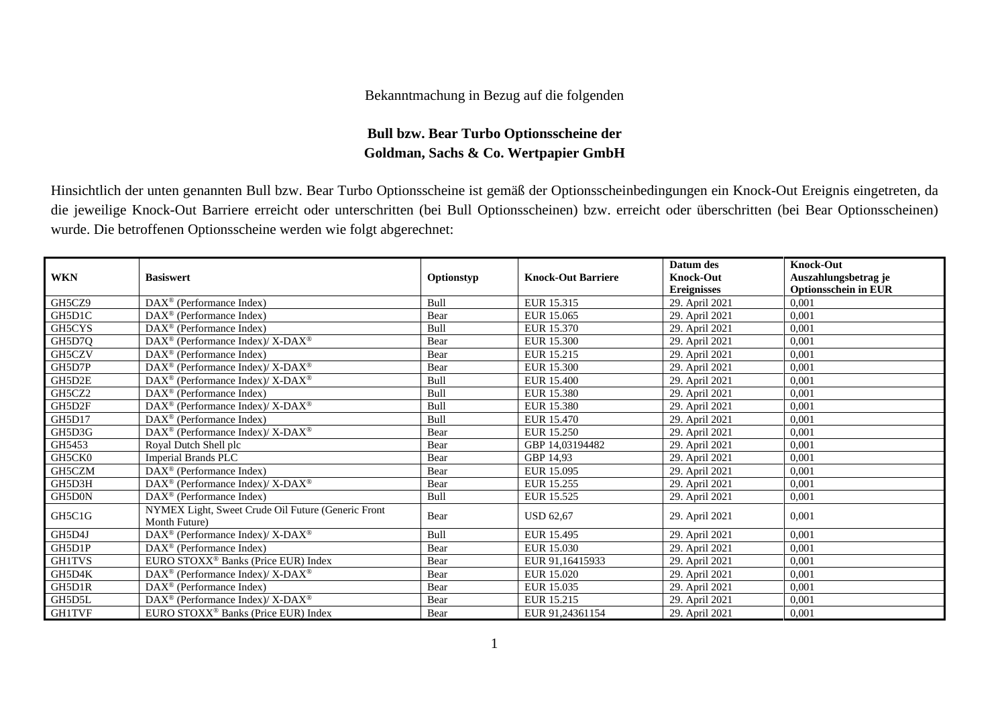## Bekanntmachung in Bezug auf die folgenden

## **Bull bzw. Bear Turbo Optionsscheine der Goldman, Sachs & Co. Wertpapier GmbH**

Hinsichtlich der unten genannten Bull bzw. Bear Turbo Optionsscheine ist gemäß der Optionsscheinbedingungen ein Knock-Out Ereignis eingetreten, da die jeweilige Knock-Out Barriere erreicht oder unterschritten (bei Bull Optionsscheinen) bzw. erreicht oder überschritten (bei Bear Optionsscheinen) wurde. Die betroffenen Optionsscheine werden wie folgt abgerechnet:

|               |                                                                    |            |                           | Datum des          | <b>Knock-Out</b>            |
|---------------|--------------------------------------------------------------------|------------|---------------------------|--------------------|-----------------------------|
| <b>WKN</b>    | <b>Basiswert</b>                                                   | Optionstyp | <b>Knock-Out Barriere</b> | <b>Knock-Out</b>   | Auszahlungsbetrag je        |
|               |                                                                    |            |                           | <b>Ereignisses</b> | <b>Optionsschein in EUR</b> |
| GH5CZ9        | $DAX^{\circledast}$ (Performance Index)                            | Bull       | EUR 15.315                | 29. April 2021     | 0,001                       |
| GH5D1C        | $DAX^{\circledR}$ (Performance Index)                              | Bear       | EUR 15.065                | 29. April 2021     | 0,001                       |
| GH5CYS        | DAX <sup>®</sup> (Performance Index)                               | Bull       | EUR 15.370                | 29. April 2021     | 0,001                       |
| GH5D7Q        | DAX <sup>®</sup> (Performance Index)/X-DAX <sup>®</sup>            | Bear       | <b>EUR 15.300</b>         | 29. April 2021     | 0,001                       |
| GH5CZV        | $\text{DAX}^{\circledast}$ (Performance Index)                     | Bear       | EUR 15.215                | 29. April 2021     | 0,001                       |
| GH5D7P        | DAX <sup>®</sup> (Performance Index)/X-DAX <sup>®</sup>            | Bear       | EUR 15.300                | 29. April 2021     | 0,001                       |
| GH5D2E        | DAX <sup>®</sup> (Performance Index)/X-DAX <sup>®</sup>            | Bull       | EUR 15.400                | 29. April 2021     | 0,001                       |
| GH5CZ2        | $DAX^{\circledcirc}$ (Performance Index)                           | Bull       | EUR 15.380                | 29. April 2021     | 0,001                       |
| GH5D2F        | $\text{DAX}^{\circledast}$ (Performance Index)/ X-DAX <sup>®</sup> | Bull       | EUR 15.380                | 29. April 2021     | 0,001                       |
| GH5D17        | $\text{DAX}^{\otimes}$ (Performance Index)                         | Bull       | EUR 15.470                | 29. April 2021     | 0,001                       |
| GH5D3G        | DAX <sup>®</sup> (Performance Index)/ X-DAX <sup>®</sup>           | Bear       | EUR 15.250                | 29. April 2021     | 0,001                       |
| GH5453        | Royal Dutch Shell plc                                              | Bear       | GBP 14,03194482           | 29. April 2021     | 0,001                       |
| GH5CK0        | Imperial Brands PLC                                                | Bear       | GBP 14,93                 | 29. April 2021     | 0.001                       |
| GH5CZM        | $\text{DAX}^{\circledast}$ (Performance Index)                     | Bear       | EUR 15.095                | 29. April 2021     | 0,001                       |
| GH5D3H        | $DAX^{\circledast}$ (Performance Index)/X-DAX <sup>®</sup>         | Bear       | EUR 15.255                | 29. April 2021     | 0,001                       |
| GH5D0N        | $\text{DAX}^{\otimes}$ (Performance Index)                         | Bull       | EUR 15.525                | 29. April 2021     | 0,001                       |
| GH5C1G        | NYMEX Light, Sweet Crude Oil Future (Generic Front                 | Bear       | <b>USD 62,67</b>          | 29. April 2021     | 0,001                       |
|               | Month Future)                                                      |            |                           |                    |                             |
| GH5D4J        | DAX <sup>®</sup> (Performance Index)/X-DAX <sup>®</sup>            | Bull       | EUR 15.495                | 29. April 2021     | 0,001                       |
| GH5D1P        | $DAX^{\circledcirc}$ (Performance Index)                           | Bear       | EUR 15.030                | 29. April 2021     | 0,001                       |
| <b>GH1TVS</b> | EURO STOXX <sup>®</sup> Banks (Price EUR) Index                    | Bear       | EUR 91,16415933           | 29. April 2021     | 0,001                       |
| GH5D4K        | DAX <sup>®</sup> (Performance Index)/X-DAX <sup>®</sup>            | Bear       | EUR 15.020                | 29. April 2021     | 0,001                       |
| GH5D1R        | $DAX^{\circledcirc}$ (Performance Index)                           | Bear       | EUR 15.035                | 29. April 2021     | 0,001                       |
| GH5D5L        | DAX <sup>®</sup> (Performance Index)/ X-DAX <sup>®</sup>           | Bear       | EUR 15.215                | 29. April 2021     | 0,001                       |
| <b>GH1TVF</b> | EURO STOXX <sup>®</sup> Banks (Price EUR) Index                    | Bear       | EUR 91,24361154           | 29. April 2021     | 0,001                       |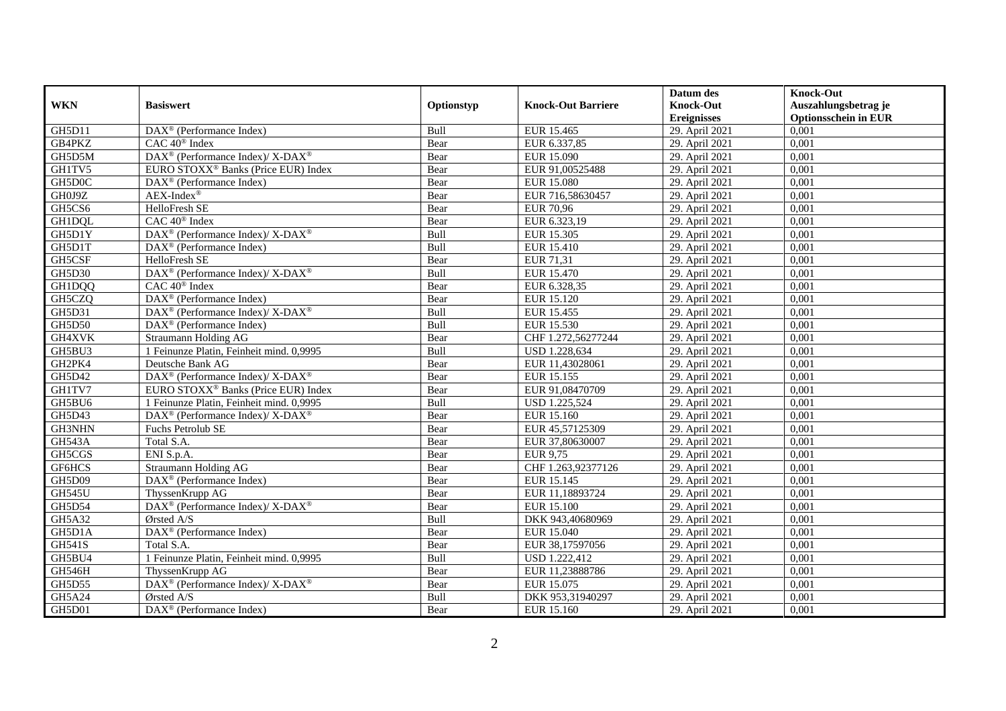|               |                                                                  |             |                           | Datum des          | <b>Knock-Out</b>            |
|---------------|------------------------------------------------------------------|-------------|---------------------------|--------------------|-----------------------------|
| <b>WKN</b>    | <b>Basiswert</b>                                                 | Optionstyp  | <b>Knock-Out Barriere</b> | <b>Knock-Out</b>   | Auszahlungsbetrag je        |
|               |                                                                  |             |                           | <b>Ereignisses</b> | <b>Optionsschein in EUR</b> |
| GH5D11        | $\overline{\text{DAX}}^{\textcircled{}}$ (Performance Index)     | Bull        | EUR 15.465                | 29. April 2021     | 0,001                       |
| GB4PKZ        | $CAC 40$ <sup>®</sup> Index                                      | Bear        | EUR 6.337,85              | 29. April 2021     | 0,001                       |
| GH5D5M        | $\text{DAX}^{\circledR}$ (Performance Index)/ X-DAX <sup>®</sup> | Bear        | EUR 15.090                | 29. April 2021     | 0,001                       |
| GH1TV5        | EURO STOXX <sup>®</sup> Banks (Price EUR) Index                  | Bear        | EUR 91,00525488           | 29. April 2021     | 0,001                       |
| GH5D0C        | $\overline{\text{DAX}}^{\textcircled{}}$ (Performance Index)     | Bear        | <b>EUR 15.080</b>         | 29. April 2021     | 0,001                       |
| GH0J9Z        | $AEX-Index^{\circledR}$                                          | Bear        | EUR 716,58630457          | 29. April 2021     | 0,001                       |
| GH5CS6        | HelloFresh SE                                                    | Bear        | <b>EUR 70,96</b>          | 29. April 2021     | 0,001                       |
| GH1DQL        | $CAC 40^{\circledast}$ Index                                     | Bear        | EUR 6.323,19              | 29. April 2021     | 0,001                       |
| GH5D1Y        | $\text{DAX}^{\circledR}$ (Performance Index)/ X-DAX <sup>®</sup> | Bull        | EUR 15.305                | 29. April 2021     | 0,001                       |
| GH5D1T        | DAX <sup>®</sup> (Performance Index)                             | Bull        | <b>EUR 15.410</b>         | 29. April 2021     | 0,001                       |
| GH5CSF        | HelloFresh SE                                                    | Bear        | EUR 71,31                 | 29. April 2021     | 0,001                       |
| <b>GH5D30</b> | DAX <sup>®</sup> (Performance Index)/ X-DAX <sup>®</sup>         | Bull        | EUR 15.470                | 29. April 2021     | 0,001                       |
| GH1DQQ        | CAC 40 <sup>®</sup> Index                                        | Bear        | EUR 6.328,35              | 29. April 2021     | 0,001                       |
| GH5CZQ        | $\text{DAX}^{\textcircled{p}}$ (Performance Index)               | Bear        | EUR 15.120                | 29. April 2021     | 0.001                       |
| GH5D31        | DAX <sup>®</sup> (Performance Index)/ X-DAX <sup>®</sup>         | Bull        | EUR 15.455                | 29. April 2021     | 0,001                       |
| <b>GH5D50</b> | DAX <sup>®</sup> (Performance Index)                             | Bull        | EUR 15.530                | 29. April 2021     | 0,001                       |
| GH4XVK        | Straumann Holding AG                                             | Bear        | CHF 1.272,56277244        | 29. April 2021     | 0,001                       |
| GH5BU3        | 1 Feinunze Platin, Feinheit mind. 0,9995                         | Bull        | <b>USD 1.228,634</b>      | 29. April 2021     | 0,001                       |
| GH2PK4        | Deutsche Bank AG                                                 | Bear        | EUR 11,43028061           | 29. April 2021     | 0,001                       |
| GH5D42        | DAX <sup>®</sup> (Performance Index)/ X-DAX <sup>®</sup>         | Bear        | EUR 15.155                | 29. April 2021     | 0,001                       |
| GH1TV7        | EURO STOXX <sup>®</sup> Banks (Price EUR) Index                  | Bear        | EUR 91,08470709           | 29. April 2021     | 0,001                       |
| GH5BU6        | 1 Feinunze Platin, Feinheit mind, 0.9995                         | Bull        | <b>USD 1.225,524</b>      | 29. April 2021     | 0.001                       |
| GH5D43        | $\text{DAX}^{\circledR}$ (Performance Index)/ X-DAX <sup>®</sup> | Bear        | EUR 15.160                | 29. April 2021     | 0,001                       |
| <b>GH3NHN</b> | Fuchs Petrolub SE                                                | Bear        | EUR 45,57125309           | 29. April 2021     | 0,001                       |
| GH543A        | Total S.A.                                                       | Bear        | EUR 37,80630007           | 29. April 2021     | 0,001                       |
| GH5CGS        | ENI S.p.A.                                                       | Bear        | EUR 9,75                  | 29. April 2021     | 0,001                       |
| GF6HCS        | Straumann Holding AG                                             | Bear        | CHF 1.263,92377126        | 29. April 2021     | 0,001                       |
| <b>GH5D09</b> | DAX <sup>®</sup> (Performance Index)                             | Bear        | EUR 15.145                | 29. April 2021     | 0,001                       |
| <b>GH545U</b> | ThyssenKrupp AG                                                  | Bear        | EUR 11,18893724           | 29. April 2021     | 0,001                       |
| GH5D54        | DAX <sup>®</sup> (Performance Index)/ X-DAX <sup>®</sup>         | Bear        | EUR 15.100                | 29. April 2021     | 0,001                       |
| GH5A32        | Ørsted A/S                                                       | Bull        | DKK 943,40680969          | 29. April 2021     | 0,001                       |
| GH5D1A        | $\overline{\text{DAX}^{\circledast}}$ (Performance Index)        | Bear        | <b>EUR 15.040</b>         | 29. April 2021     | 0,001                       |
| <b>GH541S</b> | Total S.A.                                                       | Bear        | EUR 38,17597056           | 29. April 2021     | 0,001                       |
| GH5BU4        | 1 Feinunze Platin, Feinheit mind. 0,9995                         | Bull        | USD 1.222,412             | 29. April 2021     | 0,001                       |
| GH546H        | ThyssenKrupp AG                                                  | Bear        | EUR 11,23888786           | 29. April 2021     | 0,001                       |
| GH5D55        | DAX <sup>®</sup> (Performance Index)/ X-DAX <sup>®</sup>         | Bear        | EUR 15.075                | 29. April 2021     | 0,001                       |
| GH5A24        | Ørsted A/S                                                       | <b>Bull</b> | DKK 953,31940297          | 29. April 2021     | 0,001                       |
| GH5D01        | $\overline{\text{DAX}}^{\textcircled{}}$ (Performance Index)     | Bear        | EUR 15.160                | 29. April 2021     | 0,001                       |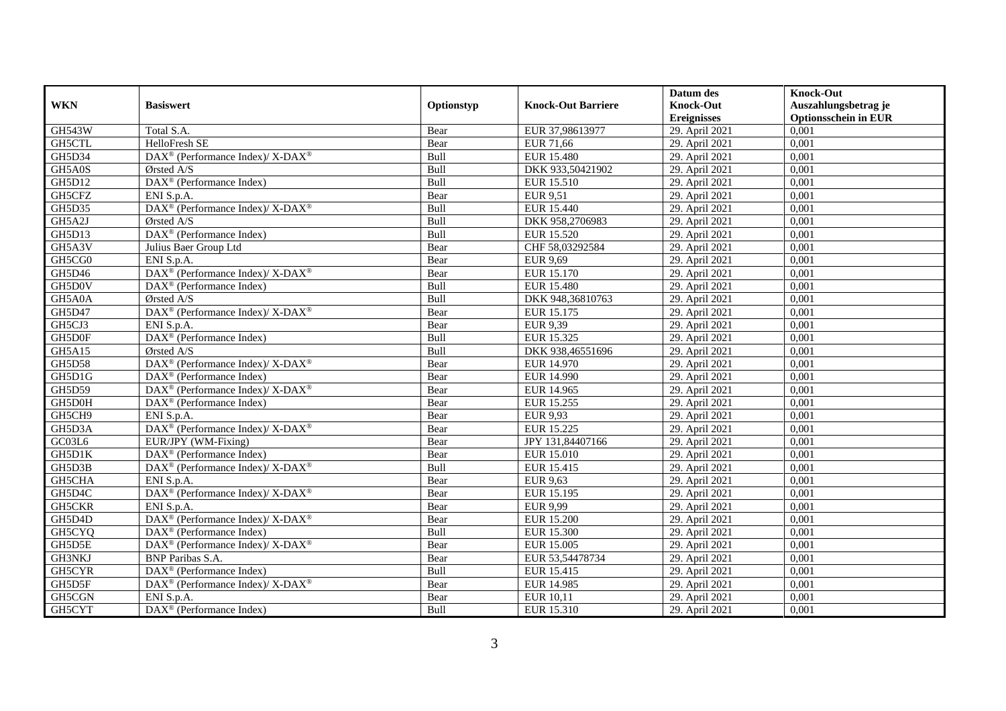|               |                                                                    |            |                           | Datum des          | <b>Knock-Out</b>            |
|---------------|--------------------------------------------------------------------|------------|---------------------------|--------------------|-----------------------------|
| <b>WKN</b>    | <b>Basiswert</b>                                                   | Optionstyp | <b>Knock-Out Barriere</b> | <b>Knock-Out</b>   | Auszahlungsbetrag je        |
|               |                                                                    |            |                           | <b>Ereignisses</b> | <b>Optionsschein in EUR</b> |
| <b>GH543W</b> | Total S.A.                                                         | Bear       | EUR 37,98613977           | 29. April 2021     | 0,001                       |
| GH5CTL        | HelloFresh SE                                                      | Bear       | EUR 71,66                 | 29. April 2021     | 0,001                       |
| GH5D34        | DAX <sup>®</sup> (Performance Index)/ X-DAX <sup>®</sup>           | Bull       | <b>EUR 15.480</b>         | 29. April 2021     | 0,001                       |
| GH5A0S        | Ørsted A/S                                                         | Bull       | DKK 933,50421902          | 29. April 2021     | 0,001                       |
| GH5D12        | DAX <sup>®</sup> (Performance Index)                               | Bull       | EUR 15.510                | 29. April 2021     | 0,001                       |
| GH5CFZ        | ENI S.p.A.                                                         | Bear       | EUR 9,51                  | 29. April 2021     | 0,001                       |
| GH5D35        | DAX <sup>®</sup> (Performance Index)/ X-DAX <sup>®</sup>           | Bull       | EUR 15.440                | 29. April 2021     | 0,001                       |
| GH5A2J        | Ørsted A/S                                                         | Bull       | DKK 958,2706983           | 29. April 2021     | 0,001                       |
| GH5D13        | DAX <sup>®</sup> (Performance Index)                               | Bull       | <b>EUR 15.520</b>         | 29. April 2021     | 0,001                       |
| GH5A3V        | Julius Baer Group Ltd                                              | Bear       | CHF 58,03292584           | 29. April 2021     | 0,001                       |
| GH5CG0        | ENI S.p.A.                                                         | Bear       | <b>EUR 9,69</b>           | 29. April 2021     | 0,001                       |
| GH5D46        | DAX <sup>®</sup> (Performance Index)/X-DAX <sup>®</sup>            | Bear       | EUR 15.170                | 29. April 2021     | 0,001                       |
| GH5D0V        | $\overline{\text{DAX}}^{\textcircled{}}$ (Performance Index)       | Bull       | <b>EUR 15.480</b>         | 29. April 2021     | 0,001                       |
| GH5A0A        | $O$ rsted A/S                                                      | Bull       | DKK 948,36810763          | 29. April 2021     | 0.001                       |
| GH5D47        | DAX <sup>®</sup> (Performance Index)/ X-DAX <sup>®</sup>           | Bear       | EUR 15.175                | 29. April 2021     | 0,001                       |
| GH5CJ3        | ENI S.p.A.                                                         | Bear       | EUR 9,39                  | 29. April 2021     | 0,001                       |
| GH5D0F        | DAX <sup>®</sup> (Performance Index)                               | Bull       | EUR 15.325                | 29. April 2021     | 0,001                       |
| GH5A15        | Ørsted A/S                                                         | Bull       | DKK 938,46551696          | 29. April 2021     | 0,001                       |
| <b>GH5D58</b> | DAX <sup>®</sup> (Performance Index)/ X-DAX <sup>®</sup>           | Bear       | EUR 14.970                | 29. April 2021     | 0,001                       |
| GH5D1G        | $\text{DAX}^{\textcircled{n}}$ (Performance Index)                 | Bear       | EUR 14.990                | 29. April 2021     | 0,001                       |
| GH5D59        | DAX <sup>®</sup> (Performance Index)/ X-DAX <sup>®</sup>           | Bear       | EUR 14.965                | 29. April 2021     | 0,001                       |
| GH5D0H        | $DAX^{\circledR}$ (Performance Index)                              | Bear       | EUR 15.255                | 29. April 2021     | 0,001                       |
| GH5CH9        | ENI S.p.A.                                                         | Bear       | <b>EUR 9,93</b>           | 29. April 2021     | 0,001                       |
| GH5D3A        | DAX <sup>®</sup> (Performance Index)/X-DAX <sup>®</sup>            | Bear       | EUR 15.225                | 29. April 2021     | 0,001                       |
| GC03L6        | EUR/JPY (WM-Fixing)                                                | Bear       | JPY 131,84407166          | 29. April 2021     | 0,001                       |
| GH5D1K        | DAX <sup>®</sup> (Performance Index)                               | Bear       | <b>EUR 15.010</b>         | 29. April 2021     | 0,001                       |
| GH5D3B        | DAX <sup>®</sup> (Performance Index)/ X-DAX <sup>®</sup>           | Bull       | EUR 15.415                | 29. April 2021     | 0,001                       |
| GH5CHA        | ENI S.p.A.                                                         | Bear       | <b>EUR 9,63</b>           | 29. April 2021     | 0,001                       |
| GH5D4C        | DAX <sup>®</sup> (Performance Index)/ X-DAX <sup>®</sup>           | Bear       | EUR 15.195                | 29. April 2021     | 0,001                       |
| GH5CKR        | ENI S.p.A.                                                         | Bear       | <b>EUR 9,99</b>           | 29. April 2021     | 0,001                       |
| GH5D4D        | DAX <sup>®</sup> (Performance Index)/ X-DAX <sup>®</sup>           | Bear       | <b>EUR 15.200</b>         | 29. April 2021     | 0,001                       |
| GH5CYQ        | DAX <sup>®</sup> (Performance Index)                               | Bull       | <b>EUR 15.300</b>         | 29. April 2021     | 0,001                       |
| GH5D5E        | DAX <sup>®</sup> (Performance Index)/ X-DAX <sup>®</sup>           | Bear       | <b>EUR 15.005</b>         | 29. April 2021     | 0,001                       |
| <b>GH3NKJ</b> | <b>BNP</b> Paribas S.A.                                            | Bear       | EUR 53,54478734           | 29. April 2021     | 0,001                       |
| GH5CYR        | $\text{DAX}^{\textcircled{n}}$ (Performance Index)                 | Bull       | EUR 15.415                | 29. April 2021     | 0,001                       |
| GH5D5F        | $\text{DAX}^{\circledast}$ (Performance Index)/ X-DAX <sup>®</sup> | Bear       | EUR 14.985                | 29. April 2021     | 0,001                       |
| GH5CGN        | ENI S.p.A.                                                         | Bear       | EUR 10,11                 | 29. April 2021     | 0,001                       |
| GH5CYT        | DAX <sup>®</sup> (Performance Index)                               | Bull       | EUR 15.310                | 29. April 2021     | 0,001                       |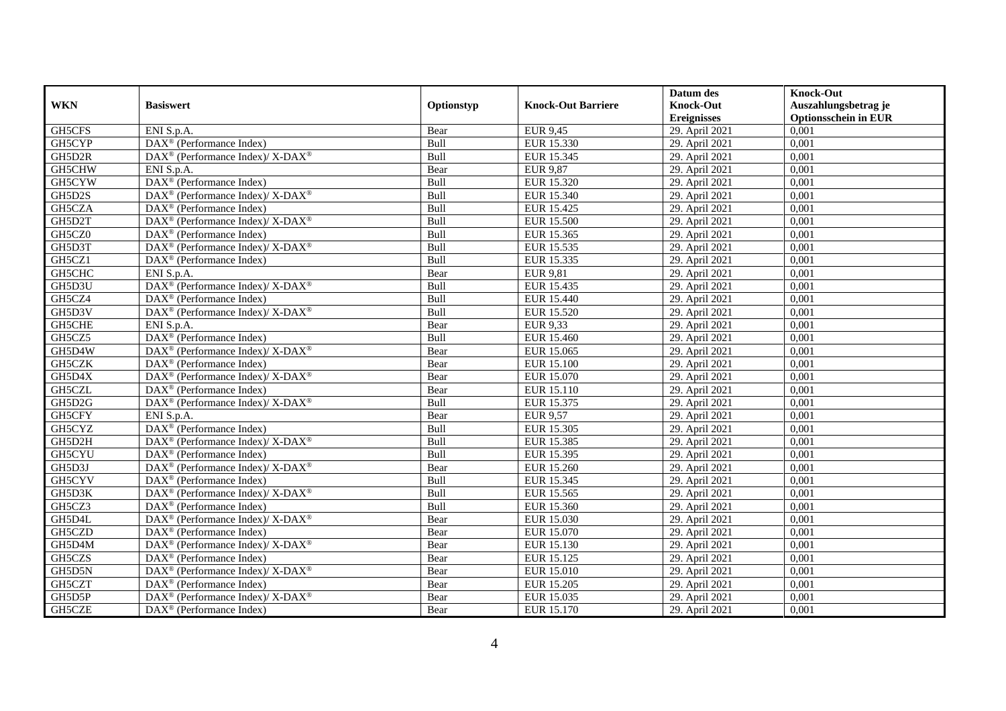|               |                                                             |            |                           | Datum des          | <b>Knock-Out</b>            |
|---------------|-------------------------------------------------------------|------------|---------------------------|--------------------|-----------------------------|
| <b>WKN</b>    | <b>Basiswert</b>                                            | Optionstyp | <b>Knock-Out Barriere</b> | <b>Knock-Out</b>   | Auszahlungsbetrag je        |
|               |                                                             |            |                           | <b>Ereignisses</b> | <b>Optionsschein in EUR</b> |
| GH5CFS        | ENI S.p.A.                                                  | Bear       | <b>EUR 9,45</b>           | 29. April 2021     | 0,001                       |
| <b>GH5CYP</b> | $\overline{\text{DAX}^{\otimes}}$ (Performance Index)       | Bull       | EUR 15.330                | 29. April 2021     | 0,001                       |
| GH5D2R        | DAX <sup>®</sup> (Performance Index)/ X-DAX <sup>®</sup>    | Bull       | EUR 15.345                | 29. April 2021     | 0,001                       |
| GH5CHW        | ENI S.p.A.                                                  | Bear       | <b>EUR 9,87</b>           | 29. April 2021     | 0,001                       |
| GH5CYW        | DAX <sup>®</sup> (Performance Index)                        | Bull       | EUR 15.320                | 29. April 2021     | 0,001                       |
| GH5D2S        | DAX <sup>®</sup> (Performance Index)/X-DAX <sup>®</sup>     | Bull       | EUR 15.340                | 29. April 2021     | 0.001                       |
| GH5CZA        | $\text{DAX}^{\textcircled{}}$ (Performance Index)           | Bull       | EUR 15.425                | 29. April 2021     | 0,001                       |
| GH5D2T        | DAX <sup>®</sup> (Performance Index)/X-DAX <sup>®</sup>     | Bull       | <b>EUR 15.500</b>         | 29. April 2021     | 0,001                       |
| GH5CZ0        | $DAX^{\circledR}$ (Performance Index)                       | Bull       | EUR 15.365                | 29. April 2021     | 0,001                       |
| GH5D3T        | DAX <sup>®</sup> (Performance Index)/X-DAX <sup>®</sup>     | Bull       | EUR 15.535                | 29. April 2021     | 0,001                       |
| GH5CZ1        | $\text{DAX}^{\textcircled{}}$ (Performance Index)           | Bull       | EUR 15.335                | 29. April 2021     | 0,001                       |
| GH5CHC        | ENI S.p.A.                                                  | Bear       | <b>EUR 9,81</b>           | 29. April 2021     | 0,001                       |
| GH5D3U        | DAX <sup>®</sup> (Performance Index)/ X-DAX <sup>®</sup>    | Bull       | EUR 15.435                | 29. April 2021     | 0,001                       |
| GH5CZ4        | $DAX^{\circledast}$ (Performance Index)                     | Bull       | EUR 15.440                | 29. April 2021     | 0,001                       |
| GH5D3V        | $DAX^{\circledast}$ (Performance Index)/ X-DAX <sup>®</sup> | Bull       | EUR 15.520                | 29. April 2021     | 0,001                       |
| GH5CHE        | ENI S.p.A.                                                  | Bear       | EUR 9,33                  | 29. April 2021     | 0,001                       |
| GH5CZ5        | DAX <sup>®</sup> (Performance Index)                        | Bull       | EUR 15.460                | 29. April 2021     | 0,001                       |
| GH5D4W        | DAX <sup>®</sup> (Performance Index)/X-DAX <sup>®</sup>     | Bear       | EUR 15.065                | 29. April 2021     | 0,001                       |
| GH5CZK        | $DAX^{\circledR}$ (Performance Index)                       | Bear       | <b>EUR 15.100</b>         | 29. April 2021     | 0,001                       |
| GH5D4X        | DAX <sup>®</sup> (Performance Index)/ X-DAX <sup>®</sup>    | Bear       | EUR 15.070                | 29. April 2021     | 0,001                       |
| GH5CZL        | DAX <sup>®</sup> (Performance Index)                        | Bear       | EUR 15.110                | 29. April 2021     | 0,001                       |
| GH5D2G        | DAX <sup>®</sup> (Performance Index)/ X-DAX <sup>®</sup>    | Bull       | EUR 15.375                | 29. April 2021     | 0,001                       |
| GH5CFY        | ENI S.p.A.                                                  | Bear       | EUR 9,57                  | 29. April 2021     | 0,001                       |
| GH5CYZ        | DAX <sup>®</sup> (Performance Index)                        | Bull       | <b>EUR 15.305</b>         | 29. April 2021     | 0,001                       |
| GH5D2H        | $DAX^{\circledast}$ (Performance Index)/ X-DAX <sup>®</sup> | Bull       | EUR 15.385                | 29. April 2021     | 0,001                       |
| GH5CYU        | $DAX^{\circledast}$ (Performance Index)                     | Bull       | EUR 15.395                | 29. April 2021     | 0,001                       |
| GH5D3J        | $DAX^{\circledast}$ (Performance Index)/ X-DAX <sup>®</sup> | Bear       | EUR 15.260                | 29. April 2021     | 0,001                       |
| GH5CYV        | $DAX^{\circledR}$ (Performance Index)                       | Bull       | EUR 15.345                | 29. April 2021     | 0.001                       |
| GH5D3K        | DAX <sup>®</sup> (Performance Index)/X-DAX <sup>®</sup>     | Bull       | EUR 15.565                | 29. April 2021     | 0,001                       |
| GH5CZ3        | $DAX^{\circledR}$ (Performance Index)                       | Bull       | EUR 15.360                | 29. April 2021     | 0,001                       |
| GH5D4L        | DAX <sup>®</sup> (Performance Index)/ X-DAX <sup>®</sup>    | Bear       | EUR 15.030                | 29. April 2021     | 0,001                       |
| GH5CZD        | $DAX^{\circledast}$ (Performance Index)                     | Bear       | EUR 15.070                | 29. April 2021     | 0.001                       |
| GH5D4M        | DAX <sup>®</sup> (Performance Index)/ X-DAX <sup>®</sup>    | Bear       | EUR 15.130                | 29. April 2021     | 0,001                       |
| GH5CZS        | DAX <sup>®</sup> (Performance Index)                        | Bear       | EUR 15.125                | 29. April 2021     | 0,001                       |
| GH5D5N        | $DAX^{\circledast}$ (Performance Index)/ X-DAX <sup>®</sup> | Bear       | EUR 15.010                | 29. April 2021     | 0,001                       |
| GH5CZT        | $DAX^{\circledast}$ (Performance Index)                     | Bear       | EUR 15.205                | 29. April 2021     | 0,001                       |
| GH5D5P        | DAX <sup>®</sup> (Performance Index)/ X-DAX <sup>®</sup>    | Bear       | EUR 15.035                | 29. April 2021     | 0,001                       |
| GH5CZE        | $\text{DAX}^{\circledast}$ (Performance Index)              | Bear       | EUR 15.170                | 29. April 2021     | 0,001                       |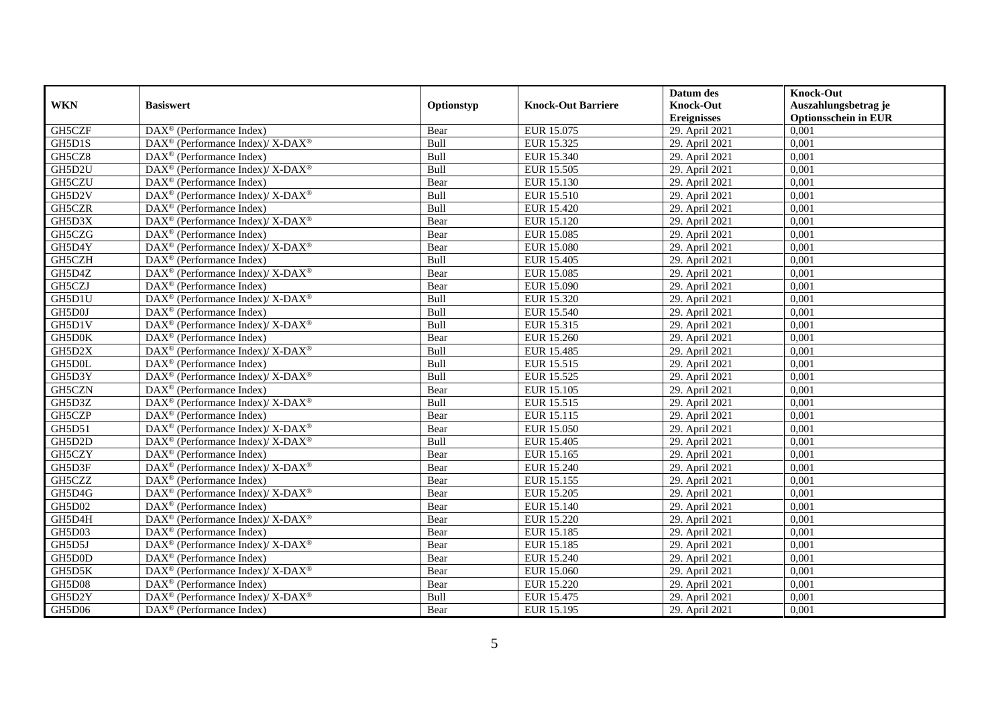|               |                                                                                         |             |                           | Datum des          | <b>Knock-Out</b>            |
|---------------|-----------------------------------------------------------------------------------------|-------------|---------------------------|--------------------|-----------------------------|
| <b>WKN</b>    | <b>Basiswert</b>                                                                        | Optionstyp  | <b>Knock-Out Barriere</b> | <b>Knock-Out</b>   | Auszahlungsbetrag je        |
|               |                                                                                         |             |                           | <b>Ereignisses</b> | <b>Optionsschein in EUR</b> |
| GH5CZF        | DAX <sup>®</sup> (Performance Index)                                                    | Bear        | EUR 15.075                | 29. April 2021     | 0,001                       |
| GH5D1S        | DAX <sup>®</sup> (Performance Index)/X-DAX <sup>®</sup>                                 | Bull        | EUR 15.325                | 29. April 2021     | 0,001                       |
| GH5CZ8        | $DAX^{\circledcirc}$ (Performance Index)                                                | Bull        | EUR 15.340                | 29. April 2021     | 0,001                       |
| GH5D2U        | DAX <sup>®</sup> (Performance Index)/ X-DAX <sup>®</sup>                                | Bull        | EUR 15.505                | 29. April 2021     | 0,001                       |
| GH5CZU        | DAX <sup>®</sup> (Performance Index)                                                    | Bear        | EUR 15.130                | 29. April 2021     | 0,001                       |
| GH5D2V        | $\text{DAX}^{\circledast}$ (Performance Index)/ $\overline{\text{X-DAX}^{\circledast}}$ | Bull        | <b>EUR 15.510</b>         | 29. April 2021     | 0,001                       |
| GH5CZR        | $DAX^{\circledR}$ (Performance Index)                                                   | Bull        | EUR 15.420                | 29. April 2021     | 0,001                       |
| GH5D3X        | DAX <sup>®</sup> (Performance Index)/ X-DAX <sup>®</sup>                                | Bear        | EUR 15.120                | 29. April 2021     | 0,001                       |
| GH5CZG        | $DAX^{\circledast}$ (Performance Index)                                                 | Bear        | <b>EUR 15.085</b>         | 29. April 2021     | 0,001                       |
| GH5D4Y        | DAX <sup>®</sup> (Performance Index)/ X-DAX <sup>®</sup>                                | Bear        | <b>EUR 15.080</b>         | 29. April 2021     | 0.001                       |
| GH5CZH        | DAX <sup>®</sup> (Performance Index)                                                    | Bull        | <b>EUR 15.405</b>         | 29. April 2021     | 0,001                       |
| GH5D4Z        | DAX <sup>®</sup> (Performance Index)/ X-DAX <sup>®</sup>                                | Bear        | <b>EUR 15.085</b>         | 29. April 2021     | 0,001                       |
| GH5CZJ        | $DAX^{\circledast}$ (Performance Index)                                                 | Bear        | EUR 15.090                | 29. April 2021     | 0,001                       |
| GH5D1U        | $DAX^{\circledcirc}$ (Performance Index)/X-DAX <sup>®</sup>                             | <b>Bull</b> | EUR 15.320                | 29. April 2021     | 0.001                       |
| GH5D0J        | DAX <sup>®</sup> (Performance Index)                                                    | Bull        | EUR 15.540                | 29. April 2021     | 0,001                       |
| GH5D1V        | DAX <sup>®</sup> (Performance Index)/ X-DAX <sup>®</sup>                                | Bull        | EUR 15.315                | 29. April 2021     | 0,001                       |
| GH5D0K        | $\text{DAX}^{\textcircled{}}$ (Performance Index)                                       | Bear        | EUR 15.260                | 29. April 2021     | 0,001                       |
| GH5D2X        | DAX <sup>®</sup> (Performance Index)/ X-DAX <sup>®</sup>                                | Bull        | EUR 15.485                | 29. April 2021     | 0,001                       |
| GH5D0L        | $DAX^{\circledast}$ (Performance Index)                                                 | Bull        | EUR 15.515                | 29. April 2021     | 0,001                       |
| GH5D3Y        | DAX <sup>®</sup> (Performance Index)/ X-DAX <sup>®</sup>                                | Bull        | EUR 15.525                | 29. April 2021     | 0,001                       |
| GH5CZN        | $DAX^{\circledast}$ (Performance Index)                                                 | Bear        | EUR 15.105                | 29. April 2021     | 0,001                       |
| GH5D3Z        | $DAX^{\circledast}$ (Performance Index)/ $\overline{X-DAX^{\circledast}}$               | Bull        | EUR 15.515                | 29. April 2021     | 0,001                       |
| GH5CZP        | $\text{DAX}^{\textcircled{}}$ (Performance Index)                                       | Bear        | EUR 15.115                | 29. April 2021     | 0,001                       |
| <b>GH5D51</b> | DAX <sup>®</sup> (Performance Index)/ X-DAX <sup>®</sup>                                | Bear        | <b>EUR 15.050</b>         | 29. April 2021     | 0,001                       |
| GH5D2D        | $\text{DAX}^{\circledR}$ (Performance Index)/ X-DAX <sup>®</sup>                        | Bull        | <b>EUR 15.405</b>         | 29. April 2021     | 0,001                       |
| GH5CZY        | DAX <sup>®</sup> (Performance Index)                                                    | Bear        | EUR 15.165                | 29. April 2021     | 0,001                       |
| GH5D3F        | DAX <sup>®</sup> (Performance Index)/ X-DAX <sup>®</sup>                                | Bear        | EUR 15.240                | 29. April 2021     | 0,001                       |
| GH5CZZ        | DAX <sup>®</sup> (Performance Index)                                                    | Bear        | EUR 15.155                | 29. April 2021     | 0,001                       |
| GH5D4G        | DAX <sup>®</sup> (Performance Index)/ X-DAX <sup>®</sup>                                | Bear        | EUR 15.205                | 29. April 2021     | 0,001                       |
| <b>GH5D02</b> | $DAX^{\circledast}$ (Performance Index)                                                 | Bear        | EUR 15.140                | 29. April 2021     | 0,001                       |
| GH5D4H        | DAX <sup>®</sup> (Performance Index)/ X-DAX <sup>®</sup>                                | Bear        | EUR 15.220                | 29. April 2021     | 0,001                       |
| GH5D03        | $DAX^{\circledast}$ (Performance Index)                                                 | Bear        | EUR 15.185                | 29. April 2021     | 0.001                       |
| GH5D5J        | DAX <sup>®</sup> (Performance Index)/X-DAX <sup>®</sup>                                 | Bear        | EUR 15.185                | 29. April 2021     | 0,001                       |
| GH5D0D        | $\overline{\text{DAX}^{\otimes}}$ (Performance Index)                                   | Bear        | EUR 15.240                | 29. April 2021     | 0,001                       |
| GH5D5K        | $DAX^{\circledast}$ (Performance Index)/ X-DAX <sup>®</sup>                             | Bear        | EUR 15.060                | 29. April 2021     | 0,001                       |
| GH5D08        | $DAX^{\circledast}$ (Performance Index)                                                 | Bear        | <b>EUR 15.220</b>         | 29. April 2021     | 0,001                       |
| GH5D2Y        | DAX <sup>®</sup> (Performance Index)/ X-DAX <sup>®</sup>                                | Bull        | EUR 15.475                | 29. April 2021     | 0,001                       |
| GH5D06        | $\text{DAX}^{\textcircled{}}$ (Performance Index)                                       | Bear        | EUR 15.195                | 29. April 2021     | 0,001                       |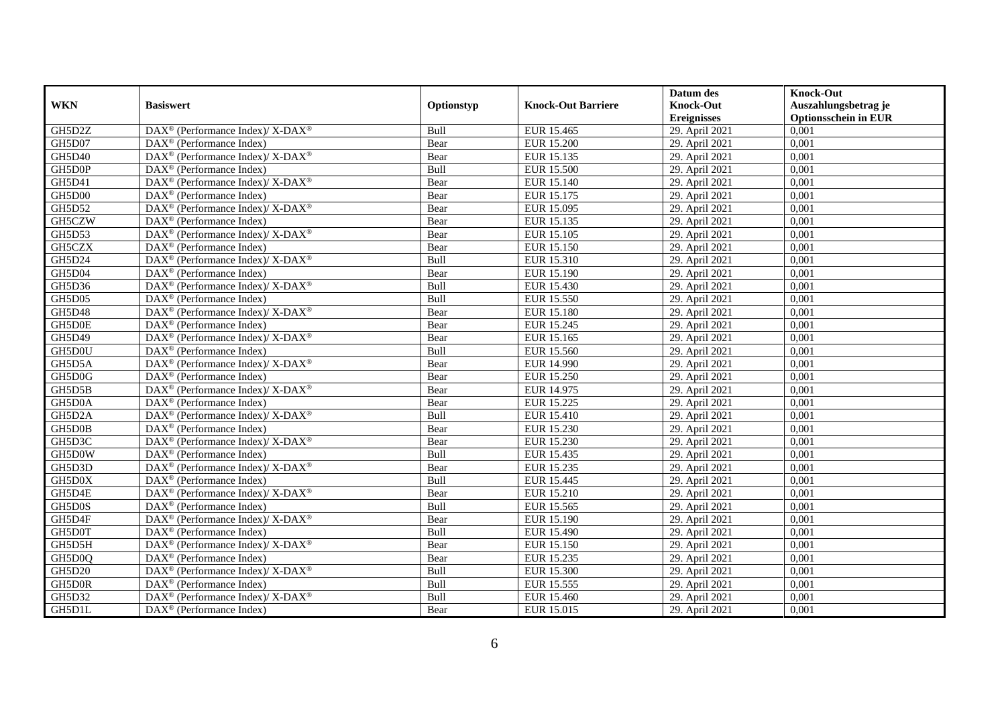|               |                                                                    |             |                           | Datum des          | <b>Knock-Out</b>            |
|---------------|--------------------------------------------------------------------|-------------|---------------------------|--------------------|-----------------------------|
| <b>WKN</b>    | <b>Basiswert</b>                                                   | Optionstyp  | <b>Knock-Out Barriere</b> | <b>Knock-Out</b>   | Auszahlungsbetrag je        |
|               |                                                                    |             |                           | <b>Ereignisses</b> | <b>Optionsschein in EUR</b> |
| GH5D2Z        | DAX <sup>®</sup> (Performance Index)/ X-DAX <sup>®</sup>           | Bull        | EUR 15.465                | 29. April 2021     | 0,001                       |
| GH5D07        | $\text{DAX}^{\textcircled{p}}$ (Performance Index)                 | Bear        | <b>EUR 15.200</b>         | 29. April 2021     | 0,001                       |
| <b>GH5D40</b> | $\text{DAX}^{\circledast}$ (Performance Index)/ X-DAX <sup>®</sup> | Bear        | EUR 15.135                | 29. April 2021     | 0,001                       |
| GH5D0P        | $\text{DAX}^{\textcircled{n}}$ (Performance Index)                 | Bull        | <b>EUR 15.500</b>         | 29. April 2021     | 0,001                       |
| GH5D41        | $\text{DAX}^{\circledR}$ (Performance Index)/ X-DAX <sup>®</sup>   | Bear        | EUR 15.140                | 29. April 2021     | 0,001                       |
| GH5D00        | $\text{DAX}^{\textcircled{n}}$ (Performance Index)                 | Bear        | EUR 15.175                | 29. April 2021     | 0,001                       |
| GH5D52        | DAX <sup>®</sup> (Performance Index)/ X-DAX <sup>®</sup>           | Bear        | EUR 15.095                | 29. April 2021     | 0,001                       |
| GH5CZW        | $\text{DAX}^{\textcircled{p}}$ (Performance Index)                 | Bear        | EUR 15.135                | 29. April 2021     | 0,001                       |
| GH5D53        | $\text{DAX}^{\circledR}$ (Performance Index)/ X-DAX <sup>®</sup>   | Bear        | EUR 15.105                | 29. April 2021     | 0,001                       |
| GH5CZX        | $DAX^{\circledcirc}$ (Performance Index)                           | <b>Bear</b> | <b>EUR 15.150</b>         | 29. April 2021     | 0,001                       |
| GH5D24        | DAX <sup>®</sup> (Performance Index)/ X-DAX <sup>®</sup>           | Bull        | EUR 15.310                | 29. April 2021     | 0,001                       |
| GH5D04        | DAX <sup>®</sup> (Performance Index)                               | Bear        | EUR 15.190                | 29. April 2021     | 0,001                       |
| GH5D36        | $\text{DAX}^{\circledast}$ (Performance Index)/ X-DAX <sup>®</sup> | Bull        | EUR 15.430                | 29. April 2021     | 0,001                       |
| <b>GH5D05</b> | $\text{DAX}^{\circledast}$ (Performance Index)                     | Bull        | EUR 15.550                | 29. April 2021     | 0,001                       |
| <b>GH5D48</b> | DAX <sup>®</sup> (Performance Index)/ X-DAX <sup>®</sup>           | Bear        | <b>EUR 15.180</b>         | 29. April 2021     | 0,001                       |
| GH5D0E        | DAX <sup>®</sup> (Performance Index)                               | Bear        | EUR 15.245                | 29. April 2021     | 0,001                       |
| GH5D49        | DAX <sup>®</sup> (Performance Index)/X-DAX <sup>®</sup>            | Bear        | EUR 15.165                | 29. April 2021     | 0,001                       |
| GH5D0U        | $DAX^{\circledR}$ (Performance Index)                              | Bull        | EUR 15.560                | 29. April 2021     | 0,001                       |
| GH5D5A        | $\text{DAX}^{\circledR}$ (Performance Index)/ X-DAX <sup>®</sup>   | Bear        | EUR 14.990                | 29. April 2021     | 0,001                       |
| GH5D0G        | $\text{DAX}^{\circledast}$ (Performance Index)                     | Bear        | EUR 15.250                | 29. April 2021     | 0,001                       |
| GH5D5B        | $\text{DAX}^{\circledR}$ (Performance Index)/ X-DAX <sup>®</sup>   | Bear        | EUR 14.975                | 29. April 2021     | 0,001                       |
| GH5D0A        | $\overline{\text{DAX}^{\otimes}}$ (Performance Index)              | Bear        | <b>EUR 15.225</b>         | 29. April 2021     | 0,001                       |
| GH5D2A        | DAX <sup>®</sup> (Performance Index)/ X-DAX <sup>®</sup>           | Bull        | EUR 15.410                | 29. April 2021     | 0,001                       |
| GH5D0B        | DAX <sup>®</sup> (Performance Index)                               | Bear        | EUR 15.230                | 29. April 2021     | 0,001                       |
| GH5D3C        | $\text{DAX}^{\circledast}$ (Performance Index)/ X-DAX <sup>®</sup> | Bear        | EUR 15.230                | 29. April 2021     | 0,001                       |
| GH5D0W        | $\text{DAX}^{\otimes}$ (Performance Index)                         | Bull        | EUR 15.435                | 29. April 2021     | 0,001                       |
| GH5D3D        | DAX <sup>®</sup> (Performance Index)/ X-DAX <sup>®</sup>           | Bear        | EUR 15.235                | 29. April 2021     | 0,001                       |
| GH5D0X        | $\text{DAX}^{\textcircled{p}}$ (Performance Index)                 | Bull        | EUR 15.445                | 29. April 2021     | 0.001                       |
| GH5D4E        | $DAX^{\circledcirc}$ (Performance Index)/ X-DAX <sup>®</sup>       | Bear        | EUR 15.210                | 29. April 2021     | 0,001                       |
| GH5D0S        | $DAX^{\circledR}$ (Performance Index)                              | Bull        | EUR 15.565                | 29. April 2021     | 0,001                       |
| GH5D4F        | $\text{DAX}^{\circledR}$ (Performance Index)/ X-DAX <sup>®</sup>   | Bear        | EUR 15.190                | 29. April 2021     | 0,001                       |
| GH5D0T        | $\text{DAX}^{\textcircled{n}}$ (Performance Index)                 | Bull        | EUR 15.490                | 29. April 2021     | 0.001                       |
| GH5D5H        | $\text{DAX}^{\circledR}$ (Performance Index)/ X-DAX <sup>®</sup>   | Bear        | <b>EUR 15.150</b>         | 29. April 2021     | 0,001                       |
| GH5D0Q        | DAX <sup>®</sup> (Performance Index)                               | Bear        | EUR 15.235                | 29. April 2021     | 0,001                       |
| <b>GH5D20</b> | $\text{DAX}^{\otimes}$ (Performance Index)/X-DAX <sup>®</sup>      | Bull        | EUR 15.300                | 29. April 2021     | 0,001                       |
| GH5D0R        | $\text{DAX}^{\circledast}$ (Performance Index)                     | Bull        | EUR 15.555                | 29. April 2021     | 0,001                       |
| GH5D32        | DAX <sup>®</sup> (Performance Index)/X-DAX <sup>®</sup>            | Bull        | EUR 15.460                | 29. April 2021     | 0,001                       |
| GH5D1L        | $\text{DAX}^{\textcircled{n}}$ (Performance Index)                 | Bear        | EUR 15.015                | 29. April 2021     | 0,001                       |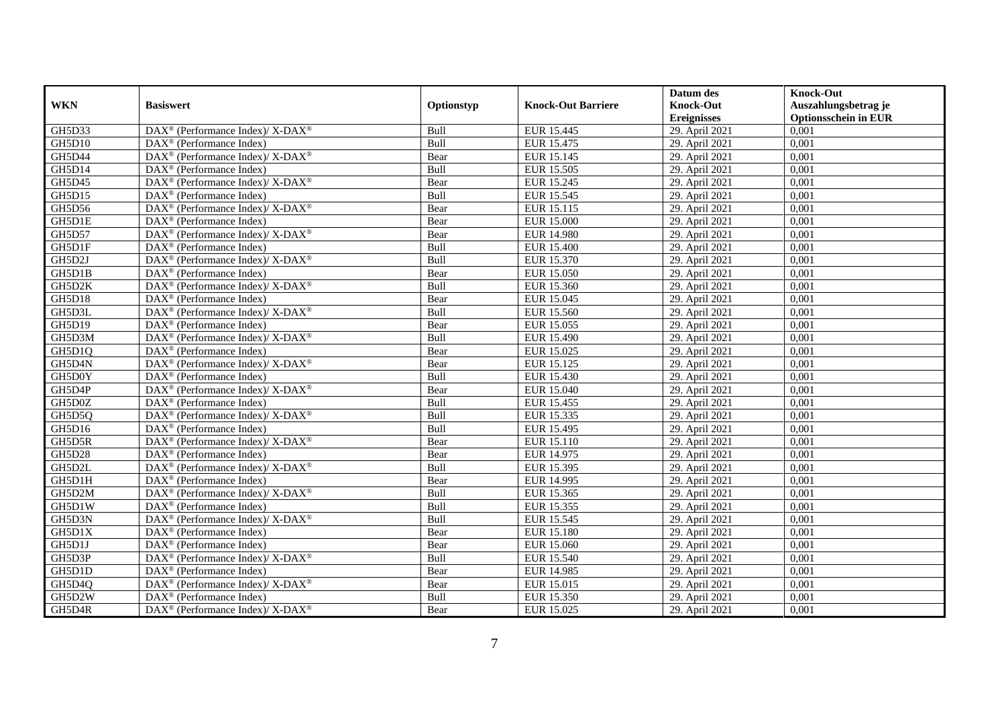|                  |                                                                                                                      |              |                           | Datum des                            | <b>Knock-Out</b>                     |
|------------------|----------------------------------------------------------------------------------------------------------------------|--------------|---------------------------|--------------------------------------|--------------------------------------|
| <b>WKN</b>       | <b>Basiswert</b>                                                                                                     | Optionstyp   | <b>Knock-Out Barriere</b> | <b>Knock-Out</b>                     | Auszahlungsbetrag je                 |
| GH5D33           | DAX <sup>®</sup> (Performance Index)/ X-DAX <sup>®</sup>                                                             | Bull         | EUR 15.445                | <b>Ereignisses</b><br>29. April 2021 | <b>Optionsschein in EUR</b><br>0,001 |
| <b>GH5D10</b>    | $DAX^{\circledR}$ (Performance Index)                                                                                | Bull         | EUR 15.475                | 29. April 2021                       | 0,001                                |
| GH5D44           | $DAX^{\circledast}$ (Performance Index)/ X-DAX <sup>®</sup>                                                          | Bear         | EUR 15.145                | 29. April 2021                       | 0,001                                |
|                  |                                                                                                                      | Bull         |                           |                                      |                                      |
| GH5D14           | $DAX^{\circledast}$ (Performance Index)<br>$DAX^{\circledast}$ (Performance Index)/ $\overline{X-DAX^{\circledast}}$ |              | EUR 15.505                | 29. April 2021                       | 0,001<br>0,001                       |
| GH5D45<br>GH5D15 | $DAX^{\circledR}$ (Performance Index)                                                                                | Bear<br>Bull | EUR 15.245<br>EUR 15.545  | 29. April 2021<br>29. April 2021     | 0,001                                |
|                  |                                                                                                                      |              |                           |                                      |                                      |
| GH5D56           | DAX <sup>®</sup> (Performance Index)/ X-DAX <sup>®</sup>                                                             | Bear         | EUR 15.115                | 29. April 2021                       | 0,001                                |
| GH5D1E           | $DAX^{\circledR}$ (Performance Index)                                                                                | Bear         | <b>EUR 15.000</b>         | 29. April 2021                       | 0,001                                |
| <b>GH5D57</b>    | $DAX^{\circledast}$ (Performance Index)/ $\overline{X-DAX^{\circledast}}$                                            | Bear         | <b>EUR 14.980</b>         | 29. April 2021                       | 0,001                                |
| GH5D1F           | $DAX^{\circledast}$ (Performance Index)                                                                              | Bull         | <b>EUR 15.400</b>         | 29. April 2021                       | 0,001                                |
| GH5D2J           | $DAX^{\circledast}$ (Performance Index)/ X-DAX <sup>®</sup>                                                          | Bull         | EUR 15.370                | 29. April 2021                       | 0,001                                |
| GH5D1B           | DAX <sup>®</sup> (Performance Index)                                                                                 | Bear         | EUR 15.050                | 29. April 2021                       | 0,001                                |
| GH5D2K           | $DAX^{\circledast}$ (Performance Index)/ X-DAX <sup>®</sup>                                                          | Bull         | EUR 15.360                | 29. April 2021                       | 0,001                                |
| GH5D18           | $DAX^{\circledR}$ (Performance Index)                                                                                | Bear         | EUR 15.045                | 29. April 2021                       | 0,001                                |
| GH5D3L           | DAX <sup>®</sup> (Performance Index)/ X-DAX <sup>®</sup>                                                             | Bull         | EUR 15.560                | 29. April 2021                       | 0,001                                |
| GH5D19           | DAX <sup>®</sup> (Performance Index)                                                                                 | Bear         | EUR 15.055                | 29. April 2021                       | 0,001                                |
| GH5D3M           | DAX <sup>®</sup> (Performance Index)/X-DAX <sup>®</sup>                                                              | Bull         | EUR 15.490                | 29. April 2021                       | 0,001                                |
| GH5D1Q           | $\overline{\text{DAX}^{\otimes}}$ (Performance Index)                                                                | Bear         | EUR 15.025                | 29. April 2021                       | 0,001                                |
| GH5D4N           | $\text{DAX}^{\circledast}$ (Performance Index)/ X-DAX <sup>®</sup>                                                   | Bear         | EUR 15.125                | 29. April 2021                       | 0,001                                |
| GH5D0Y           | $\text{DAX}^{\textcircled{}}$ (Performance Index)                                                                    | Bull         | EUR 15.430                | 29. April 2021                       | 0,001                                |
| GH5D4P           | DAX <sup>®</sup> (Performance Index)/ X-DAX <sup>®</sup>                                                             | Bear         | EUR 15.040                | 29. April 2021                       | 0,001                                |
| GH5D0Z           | $DAX^{\circledcirc}$ (Performance Index)                                                                             | Bull         | EUR 15.455                | 29. April 2021                       | 0,001                                |
| GH5D5Q           | DAX <sup>®</sup> (Performance Index)/X-DAX <sup>®</sup>                                                              | Bull         | EUR 15.335                | 29. April 2021                       | 0,001                                |
| GH5D16           | $DAX^{\circledR}$ (Performance Index)                                                                                | Bull         | EUR 15.495                | 29. April 2021                       | 0,001                                |
| GH5D5R           | DAX <sup>®</sup> (Performance Index)/X-DAX <sup>®</sup>                                                              | Bear         | EUR 15.110                | 29. April 2021                       | 0,001                                |
| <b>GH5D28</b>    | $\text{DAX}^{\textcircled{}}$ (Performance Index)                                                                    | Bear         | EUR 14.975                | 29. April 2021                       | 0,001                                |
| GH5D2L           | DAX <sup>®</sup> (Performance Index)/X-DAX <sup>®</sup>                                                              | Bull         | EUR 15.395                | 29. April 2021                       | 0,001                                |
| GH5D1H           | $DAX^{\circledast}$ (Performance Index)                                                                              | Bear         | EUR 14.995                | 29. April 2021                       | 0,001                                |
| GH5D2M           | DAX <sup>®</sup> (Performance Index)/ X-DAX <sup>®</sup>                                                             | Bull         | EUR 15.365                | 29. April 2021                       | 0,001                                |
| GH5D1W           | DAX <sup>®</sup> (Performance Index)                                                                                 | Bull         | EUR 15.355                | 29. April 2021                       | 0.001                                |
| GH5D3N           | DAX <sup>®</sup> (Performance Index)/ X-DAX <sup>®</sup>                                                             | Bull         | EUR 15.545                | 29. April 2021                       | 0,001                                |
| GH5D1X           | DAX <sup>®</sup> (Performance Index)                                                                                 | Bear         | <b>EUR 15.180</b>         | 29. April 2021                       | 0,001                                |
| GH5D1J           | $DAX^{\circledR}$ (Performance Index)                                                                                | Bear         | EUR 15.060                | 29. April 2021                       | 0,001                                |
| GH5D3P           | DAX <sup>®</sup> (Performance Index)/ X-DAX <sup>®</sup>                                                             | Bull         | <b>EUR 15.540</b>         | 29. April 2021                       | 0,001                                |
| GH5D1D           | DAX <sup>®</sup> (Performance Index)                                                                                 | Bear         | <b>EUR 14.985</b>         | 29. April 2021                       | 0,001                                |
| GH5D4Q           | $\text{DAX}^{\circledast}$ (Performance Index)/ X-DAX <sup>®</sup>                                                   | Bear         | EUR 15.015                | 29. April 2021                       | 0,001                                |
| GH5D2W           | DAX <sup>®</sup> (Performance Index)                                                                                 | Bull         | EUR 15.350                | 29. April 2021                       | 0,001                                |
| GH5D4R           | $DAX^{\circledast}$ (Performance Index)/ X-DAX <sup>®</sup>                                                          | Bear         | EUR 15.025                | 29. April 2021                       | 0,001                                |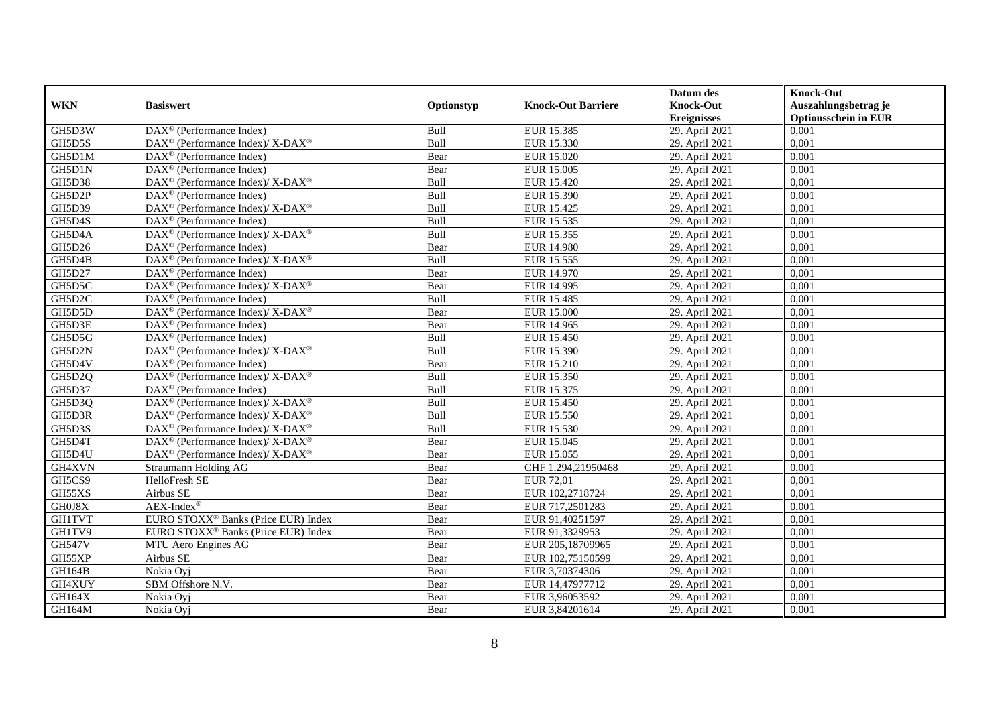|               |                                                                           |             |                           | Datum des          | <b>Knock-Out</b>            |
|---------------|---------------------------------------------------------------------------|-------------|---------------------------|--------------------|-----------------------------|
| <b>WKN</b>    | <b>Basiswert</b>                                                          | Optionstyp  | <b>Knock-Out Barriere</b> | <b>Knock-Out</b>   | Auszahlungsbetrag je        |
|               |                                                                           |             |                           | <b>Ereignisses</b> | <b>Optionsschein in EUR</b> |
| GH5D3W        | DAX <sup>®</sup> (Performance Index)                                      | Bull        | EUR 15.385                | 29. April 2021     | 0,001                       |
| GH5D5S        | DAX <sup>®</sup> (Performance Index)/ X-DAX <sup>®</sup>                  | Bull        | EUR 15.330                | 29. April 2021     | 0,001                       |
| GH5D1M        | $DAX^{\circledcirc}$ (Performance Index)                                  | Bear        | EUR 15.020                | 29. April 2021     | 0,001                       |
| GH5D1N        | $DAX^{\circledcirc}$ (Performance Index)                                  | Bear        | EUR 15.005                | 29. April 2021     | 0.001                       |
| GH5D38        | $DAX^{\circledast}$ (Performance Index)/ $\overline{X-DAX^{\circledast}}$ | Bull        | EUR 15.420                | 29. April 2021     | 0,001                       |
| GH5D2P        | $\text{DAX}^{\textcircled{}}$ (Performance Index)                         | Bull        | EUR 15.390                | 29. April 2021     | 0,001                       |
| GH5D39        | DAX <sup>®</sup> (Performance Index)/ X-DAX <sup>®</sup>                  | Bull        | EUR 15.425                | 29. April 2021     | 0,001                       |
| GH5D4S        | $DAX^{\circledast}$ (Performance Index)                                   | Bull        | EUR 15.535                | 29. April 2021     | 0,001                       |
| GH5D4A        | DAX <sup>®</sup> (Performance Index)/ X-DAX <sup>®</sup>                  | Bull        | EUR 15.355                | 29. April 2021     | 0,001                       |
| GH5D26        | DAX <sup>®</sup> (Performance Index)                                      | Bear        | EUR 14.980                | 29. April 2021     | 0,001                       |
| GH5D4B        | $DAX^{\circledast}$ (Performance Index)/ $\overline{X-DAX^{\circledast}}$ | Bull        | EUR 15.555                | 29. April 2021     | 0,001                       |
| <b>GH5D27</b> | $\overline{\text{DAX}^{\otimes}}$ (Performance Index)                     | Bear        | EUR 14.970                | 29. April 2021     | 0,001                       |
| GH5D5C        | DAX <sup>®</sup> (Performance Index)/ X-DAX <sup>®</sup>                  | Bear        | EUR 14.995                | 29. April 2021     | 0,001                       |
| GH5D2C        | $DAX^{\circledcirc}$ (Performance Index)                                  | Bull        | EUR 15.485                | 29. April 2021     | 0,001                       |
| GH5D5D        | DAX <sup>®</sup> (Performance Index)/ X-DAX <sup>®</sup>                  | Bear        | <b>EUR 15.000</b>         | 29. April 2021     | 0,001                       |
| GH5D3E        | $DAX^{\circledast}$ (Performance Index)                                   | Bear        | EUR 14.965                | 29. April 2021     | 0,001                       |
| GH5D5G        | DAX <sup>®</sup> (Performance Index)                                      | Bull        | EUR 15.450                | 29. April 2021     | 0,001                       |
| GH5D2N        | DAX <sup>®</sup> (Performance Index)/ X-DAX <sup>®</sup>                  | <b>Bull</b> | EUR 15.390                | 29. April 2021     | 0,001                       |
| GH5D4V        | $\text{DAX}^{\textcircled{}}$ (Performance Index)                         | Bear        | EUR 15.210                | 29. April 2021     | 0,001                       |
| GH5D2Q        | DAX <sup>®</sup> (Performance Index)/ X-DAX <sup>®</sup>                  | Bull        | EUR 15.350                | 29. April 2021     | 0,001                       |
| <b>GH5D37</b> | DAX <sup>®</sup> (Performance Index)                                      | Bull        | EUR 15.375                | 29. April 2021     | 0,001                       |
| GH5D3Q        | DAX <sup>®</sup> (Performance Index)/ X-DAX <sup>®</sup>                  | Bull        | <b>EUR 15.450</b>         | 29. April 2021     | 0,001                       |
| GH5D3R        | DAX <sup>®</sup> (Performance Index)/X-DAX <sup>®</sup>                   | Bull        | <b>EUR 15.550</b>         | 29. April 2021     | 0,001                       |
| GH5D3S        | DAX <sup>®</sup> (Performance Index)/ X-DAX <sup>®</sup>                  | Bull        | EUR 15.530                | 29. April 2021     | 0,001                       |
| GH5D4T        | $DAX^{\circledcirc}$ (Performance Index)/X-DAX <sup>®</sup>               | Bear        | EUR 15.045                | 29. April 2021     | 0.001                       |
| GH5D4U        | DAX <sup>®</sup> (Performance Index)/ X-DAX <sup>®</sup>                  | Bear        | EUR 15.055                | 29. April 2021     | 0,001                       |
| GH4XVN        | Straumann Holding AG                                                      | Bear        | CHF 1.294,21950468        | 29. April 2021     | 0,001                       |
| GH5CS9        | HelloFresh SE                                                             | Bear        | EUR 72,01                 | 29. April 2021     | 0,001                       |
| GH55XS        | Airbus SE                                                                 | Bear        | EUR 102,2718724           | 29. April 2021     | 0,001                       |
| GH0J8X        | $AEX-Index^{\circledR}$                                                   | Bear        | EUR 717,2501283           | 29. April 2021     | 0,001                       |
| <b>GH1TVT</b> | EURO STOXX® Banks (Price EUR) Index                                       | Bear        | EUR 91,40251597           | 29. April 2021     | 0,001                       |
| GH1TV9        | EURO STOXX <sup>®</sup> Banks (Price EUR) Index                           | Bear        | EUR 91,3329953            | 29. April 2021     | 0.001                       |
| <b>GH547V</b> | MTU Aero Engines AG                                                       | Bear        | EUR 205,18709965          | 29. April 2021     | 0,001                       |
| GH55XP        | Airbus SE                                                                 | Bear        | EUR 102,75150599          | 29. April 2021     | 0,001                       |
| GH164B        | Nokia Oyj                                                                 | Bear        | EUR 3,70374306            | 29. April 2021     | 0,001                       |
| GH4XUY        | SBM Offshore N.V.                                                         | Bear        | EUR 14,47977712           | 29. April 2021     | 0,001                       |
| GH164X        | Nokia Oyj                                                                 | Bear        | EUR 3,96053592            | 29. April 2021     | 0,001                       |
| <b>GH164M</b> | Nokia Oyj                                                                 | Bear        | EUR 3,84201614            | 29. April 2021     | 0,001                       |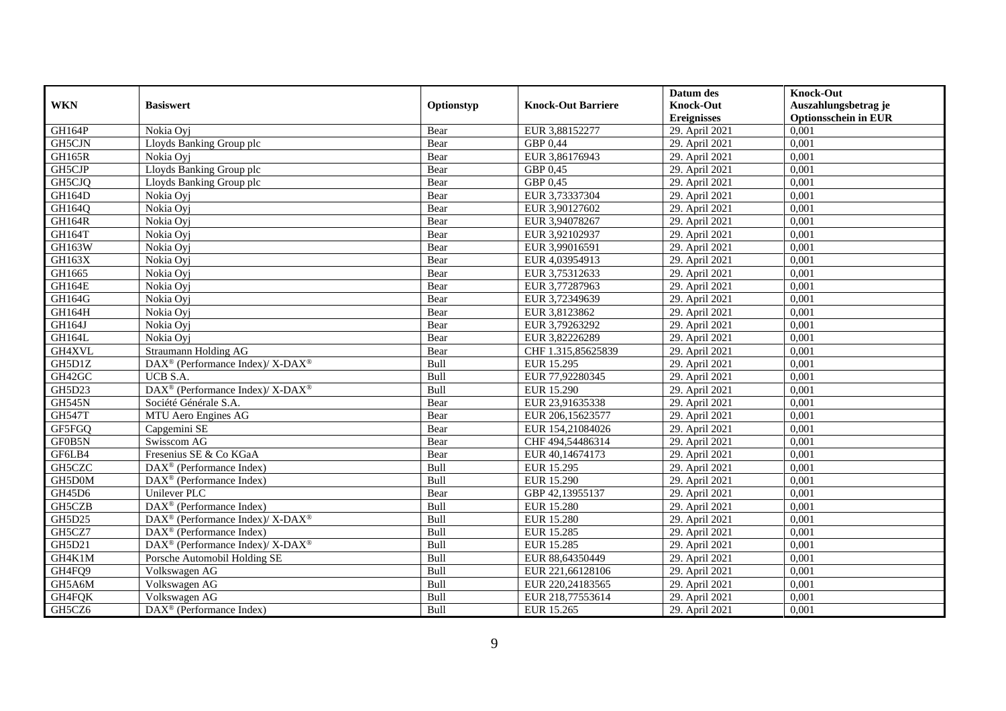|               |                                                                                         |             |                           | Datum des          | <b>Knock-Out</b>            |
|---------------|-----------------------------------------------------------------------------------------|-------------|---------------------------|--------------------|-----------------------------|
| <b>WKN</b>    | <b>Basiswert</b>                                                                        | Optionstyp  | <b>Knock-Out Barriere</b> | <b>Knock-Out</b>   | Auszahlungsbetrag je        |
|               |                                                                                         |             |                           | <b>Ereignisses</b> | <b>Optionsschein in EUR</b> |
| GH164P        | Nokia Oyj                                                                               | Bear        | EUR 3,88152277            | 29. April 2021     | 0,001                       |
| GH5CJN        | Lloyds Banking Group plc                                                                | Bear        | GBP 0,44                  | 29. April 2021     | 0,001                       |
| <b>GH165R</b> | Nokia Ovi                                                                               | Bear        | EUR 3,86176943            | 29. April 2021     | 0,001                       |
| GH5CJP        | Lloyds Banking Group plc                                                                | Bear        | GBP 0,45                  | 29. April 2021     | 0,001                       |
| GH5CJQ        | Lloyds Banking Group plc                                                                | Bear        | GBP 0,45                  | 29. April 2021     | 0,001                       |
| <b>GH164D</b> | Nokia Oyj                                                                               | Bear        | EUR 3,73337304            | 29. April 2021     | 0,001                       |
| GH164Q        | Nokia Ovi                                                                               | Bear        | EUR 3,90127602            | 29. April 2021     | 0,001                       |
| GH164R        | Nokia Oyj                                                                               | Bear        | EUR 3,94078267            | 29. April 2021     | 0,001                       |
| GH164T        | Nokia Ovi                                                                               | Bear        | EUR 3,92102937            | 29. April 2021     | 0,001                       |
| GH163W        | Nokia Oyj                                                                               | Bear        | EUR 3,99016591            | 29. April 2021     | 0,001                       |
| <b>GH163X</b> | Nokia Oyi                                                                               | Bear        | EUR 4,03954913            | 29. April 2021     | 0.001                       |
| GH1665        | Nokia Oyi                                                                               | Bear        | EUR 3,75312633            | 29. April 2021     | 0,001                       |
| <b>GH164E</b> | Nokia Ovi                                                                               | Bear        | EUR 3,77287963            | 29. April 2021     | 0,001                       |
| GH164G        | Nokia Ovi                                                                               | Bear        | EUR 3,72349639            | 29. April 2021     | 0,001                       |
| GH164H        | Nokia Ovi                                                                               | Bear        | EUR 3,8123862             | 29. April 2021     | 0,001                       |
| GH164J        | Nokia Ovi                                                                               | Bear        | EUR 3,79263292            | 29. April 2021     | 0,001                       |
| GH164L        | Nokia Oyi                                                                               | Bear        | EUR 3,82226289            | 29. April 2021     | 0,001                       |
| GH4XVL        | Straumann Holding AG                                                                    | Bear        | CHF 1.315.85625839        | 29. April 2021     | 0,001                       |
| GH5D1Z        | $\text{DAX}^{\circledast}$ (Performance Index)/ $\overline{\text{X-DAX}^{\circledast}}$ | Bull        | EUR 15.295                | 29. April 2021     | 0,001                       |
| GH42GC        | UCB S.A.                                                                                | Bull        | EUR 77,92280345           | 29. April 2021     | 0,001                       |
| GH5D23        | $\text{DAX}^{\circledR}$ (Performance Index)/ X-DAX <sup>®</sup>                        | Bull        | <b>EUR 15.290</b>         | 29. April 2021     | 0,001                       |
| <b>GH545N</b> | Société Générale S.A.                                                                   | Bear        | EUR 23,91635338           | 29. April 2021     | 0,001                       |
| <b>GH547T</b> | MTU Aero Engines AG                                                                     | Bear        | EUR 206,15623577          | 29. April 2021     | 0,001                       |
| GF5FGQ        | Capgemini SE                                                                            | Bear        | EUR 154,21084026          | 29. April 2021     | 0,001                       |
| GF0B5N        | Swisscom AG                                                                             | Bear        | CHF 494,54486314          | 29. April 2021     | 0.001                       |
| GF6LB4        | Fresenius SE & Co KGaA                                                                  | Bear        | EUR 40,14674173           | 29. April 2021     | 0,001                       |
| GH5CZC        | DAX <sup>®</sup> (Performance Index)                                                    | Bull        | EUR 15.295                | 29. April 2021     | 0,001                       |
| GH5D0M        | $\overline{\text{DAX}^{\otimes}}$ (Performance Index)                                   | Bull        | <b>EUR 15.290</b>         | 29. April 2021     | 0,001                       |
| GH45D6        | Unilever PLC                                                                            | Bear        | GBP 42,13955137           | 29. April 2021     | 0,001                       |
| GH5CZB        | DAX <sup>®</sup> (Performance Index)                                                    | Bull        | <b>EUR 15.280</b>         | 29. April 2021     | 0,001                       |
| GH5D25        | $\text{DAX}^{\circledR}$ (Performance Index)/ X-DAX <sup>®</sup>                        | Bull        | <b>EUR 15.280</b>         | 29. April 2021     | 0,001                       |
| GH5CZ7        | $\text{DAX}^{\textcircled{p}}$ (Performance Index)                                      | <b>Bull</b> | EUR 15.285                | 29. April 2021     | 0.001                       |
| <b>GH5D21</b> | $\text{DAX}^{\textcircled{\tiny{\textcircled{\tiny \dag}}}}$ (Performance Index)/X-DAX® | Bull        | <b>EUR 15.285</b>         | 29. April 2021     | 0,001                       |
| GH4K1M        | Porsche Automobil Holding SE                                                            | Bull        | EUR 88,64350449           | 29. April 2021     | 0,001                       |
| GH4FQ9        | Volkswagen AG                                                                           | Bull        | EUR 221,66128106          | 29. April 2021     | 0,001                       |
| GH5A6M        | Volkswagen AG                                                                           | Bull        | EUR 220,24183565          | 29. April 2021     | 0,001                       |
| GH4FQK        | Volkswagen AG                                                                           | Bull        | EUR 218,77553614          | 29. April 2021     | 0,001                       |
| GH5CZ6        | DAX <sup>®</sup> (Performance Index)                                                    | Bull        | EUR 15.265                | 29. April 2021     | 0,001                       |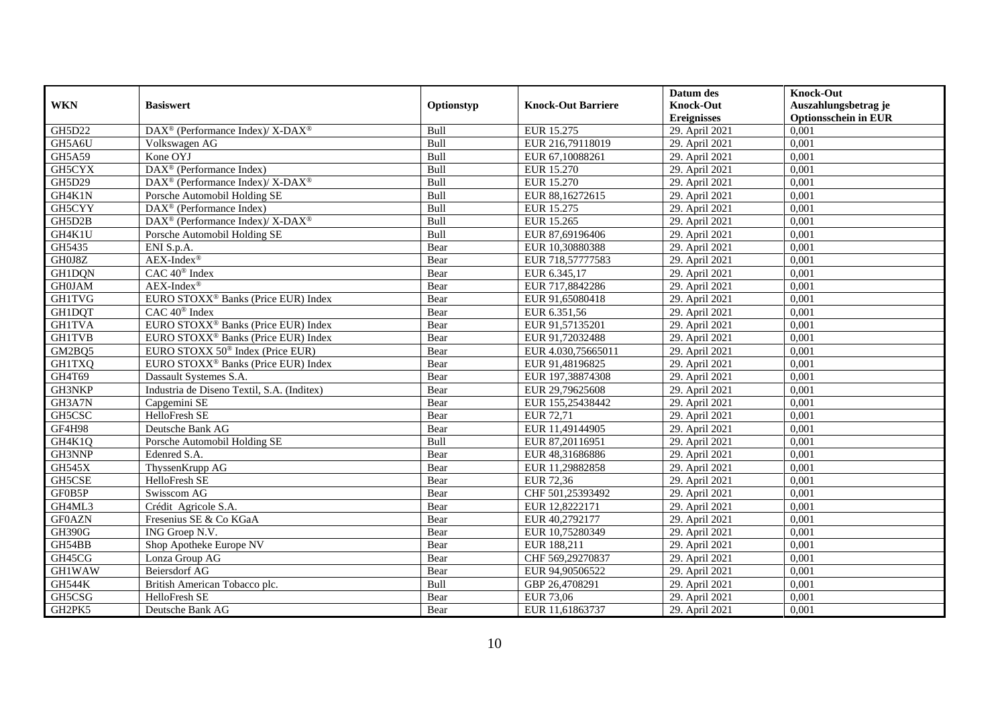|               |                                                          |            |                           | Datum des          | <b>Knock-Out</b>            |
|---------------|----------------------------------------------------------|------------|---------------------------|--------------------|-----------------------------|
| <b>WKN</b>    | <b>Basiswert</b>                                         | Optionstyp | <b>Knock-Out Barriere</b> | <b>Knock-Out</b>   | Auszahlungsbetrag je        |
|               |                                                          |            |                           | <b>Ereignisses</b> | <b>Optionsschein in EUR</b> |
| <b>GH5D22</b> | DAX <sup>®</sup> (Performance Index)/ X-DAX <sup>®</sup> | Bull       | EUR 15.275                | 29. April 2021     | 0,001                       |
| GH5A6U        | Volkswagen AG                                            | Bull       | EUR 216,79118019          | 29. April 2021     | 0,001                       |
| GH5A59        | Kone OYJ                                                 | Bull       | EUR 67,10088261           | 29. April 2021     | 0,001                       |
| GH5CYX        | DAX <sup>®</sup> (Performance Index)                     | Bull       | EUR 15.270                | 29. April 2021     | 0,001                       |
| GH5D29        | DAX <sup>®</sup> (Performance Index)/X-DAX <sup>®</sup>  | Bull       | <b>EUR 15.270</b>         | 29. April 2021     | 0,001                       |
| GH4K1N        | Porsche Automobil Holding SE                             | Bull       | EUR 88,16272615           | 29. April 2021     | 0,001                       |
| GH5CYY        | $\overline{\text{DAX}^{\otimes}}$ (Performance Index)    | Bull       | EUR 15.275                | 29. April 2021     | 0,001                       |
| GH5D2B        | DAX <sup>®</sup> (Performance Index)/X-DAX <sup>®</sup>  | Bull       | EUR 15.265                | 29. April 2021     | 0,001                       |
| GH4K1U        | Porsche Automobil Holding SE                             | Bull       | EUR 87,69196406           | 29. April 2021     | 0,001                       |
| GH5435        | ENI S.p.A.                                               | Bear       | EUR 10,30880388           | 29. April 2021     | 0,001                       |
| GH0J8Z        | $AEX-Index^{\circledR}$                                  | Bear       | EUR 718,57777583          | 29. April 2021     | 0,001                       |
| <b>GH1DQN</b> | CAC 40 <sup>®</sup> Index                                | Bear       | EUR 6.345,17              | 29. April 2021     | 0,001                       |
| <b>GH0JAM</b> | $AEX-Index^{\circledR}$                                  | Bear       | EUR 717,8842286           | 29. April 2021     | 0.001                       |
| <b>GH1TVG</b> | EURO STOXX <sup>®</sup> Banks (Price EUR) Index          | Bear       | EUR 91,65080418           | 29. April 2021     | 0,001                       |
| GH1DQT        | $CAC 40^{\circledR}$ Index                               | Bear       | EUR 6.351,56              | 29. April 2021     | 0,001                       |
| <b>GH1TVA</b> | EURO STOXX <sup>®</sup> Banks (Price EUR) Index          | Bear       | EUR 91,57135201           | 29. April 2021     | 0,001                       |
| <b>GH1TVB</b> | EURO STOXX <sup>®</sup> Banks (Price EUR) Index          | Bear       | EUR 91,72032488           | 29. April 2021     | 0,001                       |
| GM2BQ5        | EURO STOXX 50 <sup>®</sup> Index (Price EUR)             | Bear       | EUR 4.030.75665011        | 29. April 2021     | 0,001                       |
| <b>GH1TXQ</b> | EURO STOXX <sup>®</sup> Banks (Price EUR) Index          | Bear       | EUR 91,48196825           | 29. April 2021     | 0,001                       |
| GH4T69        | Dassault Systemes S.A.                                   | Bear       | EUR 197,38874308          | 29. April 2021     | 0,001                       |
| GH3NKP        | Industria de Diseno Textil, S.A. (Inditex)               | Bear       | EUR 29,79625608           | 29. April 2021     | 0,001                       |
| GH3A7N        | Capgemini SE                                             | Bear       | EUR 155,25438442          | 29. April 2021     | 0,001                       |
| GH5CSC        | HelloFresh SE                                            | Bear       | EUR 72,71                 | 29. April 2021     | 0,001                       |
| GF4H98        | Deutsche Bank AG                                         | Bear       | EUR 11,49144905           | 29. April 2021     | 0,001                       |
| GH4K1Q        | Porsche Automobil Holding SE                             | Bull       | EUR 87,20116951           | 29. April 2021     | 0,001                       |
| GH3NNP        | Edenred S.A.                                             | Bear       | EUR 48,31686886           | 29. April 2021     | 0,001                       |
| <b>GH545X</b> | ThyssenKrupp AG                                          | Bear       | EUR 11,29882858           | 29. April 2021     | 0,001                       |
| <b>GH5CSE</b> | HelloFresh SE                                            | Bear       | <b>EUR 72,36</b>          | 29. April 2021     | 0.001                       |
| GF0B5P        | Swisscom AG                                              | Bear       | CHF 501,25393492          | 29. April 2021     | 0,001                       |
| GH4ML3        | Crédit Agricole S.A.                                     | Bear       | EUR 12,8222171            | 29. April 2021     | 0,001                       |
| <b>GF0AZN</b> | Fresenius SE & Co KGaA                                   | Bear       | EUR 40,2792177            | 29. April 2021     | 0,001                       |
| <b>GH390G</b> | ING Groep N.V.                                           | Bear       | EUR 10,75280349           | 29. April 2021     | 0.001                       |
| GH54BB        | Shop Apotheke Europe NV                                  | Bear       | EUR 188,211               | 29. April 2021     | 0,001                       |
| GH45CG        | Lonza Group AG                                           | Bear       | CHF 569,29270837          | 29. April 2021     | 0,001                       |
| <b>GH1WAW</b> | Beiersdorf AG                                            | Bear       | EUR 94,90506522           | 29. April 2021     | 0,001                       |
| <b>GH544K</b> | British American Tobacco plc.                            | Bull       | GBP 26,4708291            | 29. April 2021     | 0,001                       |
| GH5CSG        | HelloFresh SE                                            | Bear       | <b>EUR 73,06</b>          | 29. April 2021     | 0,001                       |
| GH2PK5        | Deutsche Bank AG                                         | Bear       | EUR 11,61863737           | 29. April 2021     | 0,001                       |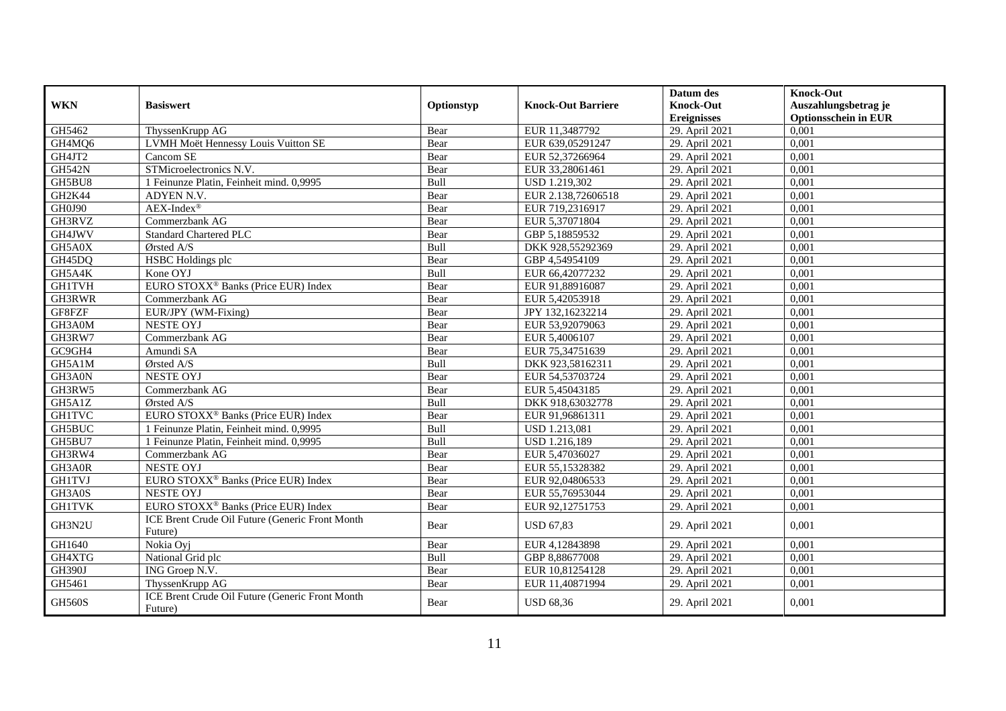|               | <b>Basiswert</b>                                           |            | <b>Knock-Out Barriere</b> | Datum des                              | <b>Knock-Out</b>                                    |
|---------------|------------------------------------------------------------|------------|---------------------------|----------------------------------------|-----------------------------------------------------|
| <b>WKN</b>    |                                                            | Optionstyp |                           | <b>Knock-Out</b><br><b>Ereignisses</b> | Auszahlungsbetrag je<br><b>Optionsschein in EUR</b> |
| GH5462        | ThyssenKrupp AG                                            | Bear       | EUR 11,3487792            | 29. April 2021                         | 0,001                                               |
| GH4MQ6        | LVMH Moët Hennessy Louis Vuitton SE                        | Bear       | EUR 639,05291247          | 29. April 2021                         | 0,001                                               |
| GH4JT2        | Cancom SE                                                  | Bear       | EUR 52,37266964           | 29. April 2021                         | 0,001                                               |
| <b>GH542N</b> | STMicroelectronics N.V.                                    | Bear       | EUR 33,28061461           | 29. April 2021                         | 0,001                                               |
| GH5BU8        | 1 Feinunze Platin, Feinheit mind. 0,9995                   | Bull       | USD 1.219,302             | 29. April 2021                         | 0,001                                               |
| GH2K44        | ADYEN N.V.                                                 | Bear       | EUR 2.138,72606518        | 29. April 2021                         | 0,001                                               |
| GH0J90        | $AEX-Index^{\circledR}$                                    | Bear       | EUR 719,2316917           | 29. April 2021                         | 0,001                                               |
| GH3RVZ        | Commerzbank AG                                             | Bear       | EUR 5,37071804            | 29. April 2021                         | 0,001                                               |
| GH4JWV        | <b>Standard Chartered PLC</b>                              | Bear       | GBP 5,18859532            | 29. April 2021                         | 0,001                                               |
| GH5A0X        | $\mathcal{O}$ rsted A/S                                    | Bull       | DKK 928,55292369          | 29. April 2021                         | 0,001                                               |
| GH45DQ        | HSBC Holdings plc                                          | Bear       | GBP 4,54954109            | 29. April 2021                         | 0,001                                               |
| GH5A4K        | Kone OYJ                                                   | Bull       | EUR 66,42077232           | 29. April 2021                         | 0,001                                               |
| <b>GH1TVH</b> | EURO STOXX <sup>®</sup> Banks (Price EUR) Index            | Bear       | EUR 91,88916087           | 29. April 2021                         | 0.001                                               |
| GH3RWR        | Commerzbank AG                                             | Bear       | EUR 5,42053918            | 29. April 2021                         | 0,001                                               |
| GF8FZF        | EUR/JPY (WM-Fixing)                                        | Bear       | JPY 132,16232214          | 29. April 2021                         | 0,001                                               |
| GH3A0M        | <b>NESTE OYJ</b>                                           | Bear       | EUR 53,92079063           | 29. April 2021                         | 0,001                                               |
| GH3RW7        | Commerzbank AG                                             | Bear       | EUR 5,4006107             | 29. April 2021                         | 0,001                                               |
| GC9GH4        | Amundi SA                                                  | Bear       | EUR 75,34751639           | 29. April 2021                         | 0.001                                               |
| GH5A1M        | Ørsted A/S                                                 | Bull       | DKK 923,58162311          | 29. April 2021                         | 0,001                                               |
| GH3A0N        | <b>NESTE OYJ</b>                                           | Bear       | EUR 54,53703724           | 29. April 2021                         | 0,001                                               |
| GH3RW5        | Commerzbank AG                                             | Bear       | EUR 5,45043185            | 29. April 2021                         | 0,001                                               |
| GH5A1Z        | Ørsted A/S                                                 | Bull       | DKK 918,63032778          | 29. April 2021                         | 0,001                                               |
| <b>GH1TVC</b> | EURO STOXX <sup>®</sup> Banks (Price EUR) Index            | Bear       | EUR 91,96861311           | 29. April 2021                         | 0.001                                               |
| GH5BUC        | 1 Feinunze Platin, Feinheit mind. 0,9995                   | Bull       | <b>USD 1.213,081</b>      | 29. April 2021                         | 0,001                                               |
| GH5BU7        | 1 Feinunze Platin, Feinheit mind. 0,9995                   | Bull       | USD 1.216,189             | 29. April 2021                         | 0,001                                               |
| GH3RW4        | Commerzbank AG                                             | Bear       | EUR 5,47036027            | 29. April 2021                         | 0.001                                               |
| GH3A0R        | <b>NESTE OYJ</b>                                           | Bear       | EUR 55,15328382           | 29. April 2021                         | 0,001                                               |
| <b>GH1TVJ</b> | EURO STOXX <sup>®</sup> Banks (Price EUR) Index            | Bear       | EUR 92,04806533           | 29. April 2021                         | 0.001                                               |
| GH3A0S        | <b>NESTE OYJ</b>                                           | Bear       | EUR 55,76953044           | 29. April 2021                         | 0,001                                               |
| <b>GH1TVK</b> | EURO STOXX <sup>®</sup> Banks (Price EUR) Index            | Bear       | EUR 92,12751753           | 29. April 2021                         | 0,001                                               |
| GH3N2U        | ICE Brent Crude Oil Future (Generic Front Month<br>Future) | Bear       | <b>USD 67,83</b>          | 29. April 2021                         | 0,001                                               |
| GH1640        | Nokia Ovi                                                  | Bear       | EUR 4,12843898            | 29. April 2021                         | 0,001                                               |
| GH4XTG        | National Grid plc                                          | Bull       | GBP 8,88677008            | 29. April 2021                         | 0,001                                               |
| <b>GH390J</b> | ING Groep N.V.                                             | Bear       | EUR 10,81254128           | 29. April 2021                         | 0,001                                               |
| GH5461        | ThyssenKrupp AG                                            | Bear       | EUR 11,40871994           | 29. April 2021                         | 0,001                                               |
| <b>GH560S</b> | ICE Brent Crude Oil Future (Generic Front Month<br>Future) | Bear       | <b>USD 68,36</b>          | 29. April 2021                         | 0,001                                               |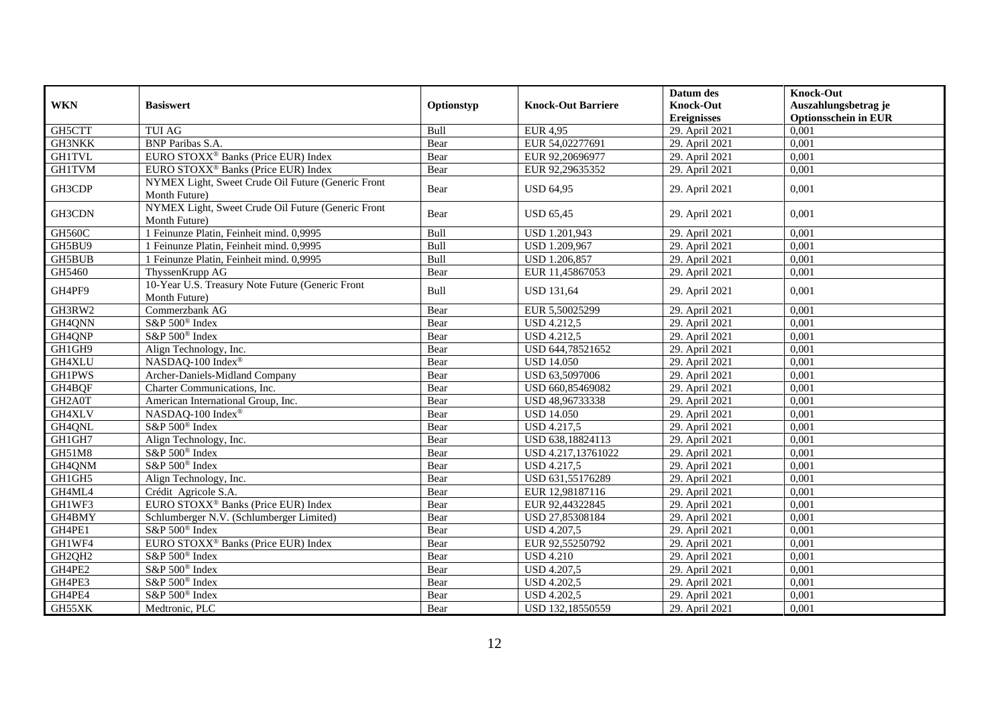| <b>WKN</b>          | <b>Basiswert</b>                                                    | Optionstyp | <b>Knock-Out Barriere</b> | Datum des<br><b>Knock-Out</b> | <b>Knock-Out</b><br>Auszahlungsbetrag je |
|---------------------|---------------------------------------------------------------------|------------|---------------------------|-------------------------------|------------------------------------------|
|                     |                                                                     |            |                           | <b>Ereignisses</b>            | <b>Optionsschein in EUR</b>              |
| GH5CTT              | <b>TUI AG</b>                                                       | Bull       | <b>EUR 4,95</b>           | 29. April 2021                | 0,001                                    |
| GH3NKK              | <b>BNP</b> Paribas S.A.                                             | Bear       | EUR 54,02277691           | 29. April 2021                | 0,001                                    |
| <b>GH1TVL</b>       | EURO STOXX <sup>®</sup> Banks (Price EUR) Index                     | Bear       | EUR 92,20696977           | 29. April 2021                | 0,001                                    |
| <b>GH1TVM</b>       | EURO STOXX <sup>®</sup> Banks (Price EUR) Index                     | Bear       | EUR 92,29635352           | 29. April 2021                | 0,001                                    |
| GH3CDP              | NYMEX Light, Sweet Crude Oil Future (Generic Front<br>Month Future) | Bear       | <b>USD 64,95</b>          | 29. April 2021                | 0,001                                    |
| GH3CDN              | NYMEX Light, Sweet Crude Oil Future (Generic Front<br>Month Future) | Bear       | <b>USD 65.45</b>          | 29. April 2021                | 0.001                                    |
| <b>GH560C</b>       | 1 Feinunze Platin, Feinheit mind. 0,9995                            | Bull       | USD 1.201,943             | 29. April 2021                | 0,001                                    |
| GH5BU9              | 1 Feinunze Platin, Feinheit mind. 0,9995                            | Bull       | USD 1.209,967             | 29. April 2021                | 0,001                                    |
| <b>GH5BUB</b>       | 1 Feinunze Platin, Feinheit mind. 0,9995                            | Bull       | USD 1.206,857             | 29. April 2021                | 0,001                                    |
| GH5460              | ThyssenKrupp AG                                                     | Bear       | EUR 11,45867053           | 29. April 2021                | 0,001                                    |
| GH4PF9              | 10-Year U.S. Treasury Note Future (Generic Front<br>Month Future)   | Bull       | <b>USD 131,64</b>         | 29. April 2021                | 0,001                                    |
| GH3RW2              | Commerzbank AG                                                      | Bear       | EUR 5,50025299            | 29. April 2021                | 0,001                                    |
| GH4QNN              | S&P 500 <sup>®</sup> Index                                          | Bear       | <b>USD 4.212,5</b>        | 29. April 2021                | 0,001                                    |
| GH4QNP              | S&P 500 <sup>®</sup> Index                                          | Bear       | <b>USD 4.212,5</b>        | 29. April 2021                | 0,001                                    |
| GH1GH9              | Align Technology, Inc.                                              | Bear       | USD 644,78521652          | 29. April 2021                | 0.001                                    |
| <b>GH4XLU</b>       | NASDAQ-100 Index®                                                   | Bear       | <b>USD 14.050</b>         | 29. April 2021                | 0,001                                    |
| <b>GH1PWS</b>       | Archer-Daniels-Midland Company                                      | Bear       | USD 63,5097006            | 29. April 2021                | 0,001                                    |
| GH4BQF              | Charter Communications, Inc.                                        | Bear       | USD 660,85469082          | 29. April 2021                | 0,001                                    |
| GH <sub>2</sub> A0T | American International Group, Inc.                                  | Bear       | USD 48,96733338           | 29. April 2021                | 0,001                                    |
| GH4XLV              | NASDAO-100 Index®                                                   | Bear       | <b>USD 14.050</b>         | 29. April 2021                | 0.001                                    |
| GH4QNL              | S&P 500 <sup>®</sup> Index                                          | Bear       | <b>USD 4.217,5</b>        | 29. April 2021                | 0,001                                    |
| GH1GH7              | Align Technology, Inc.                                              | Bear       | USD 638,18824113          | 29. April 2021                | 0,001                                    |
| GH51M8              | S&P 500 <sup>®</sup> Index                                          | Bear       | USD 4.217,13761022        | 29. April 2021                | 0,001                                    |
| GH4QNM              | S&P 500 <sup>®</sup> Index                                          | Bear       | <b>USD 4.217,5</b>        | 29. April 2021                | 0,001                                    |
| GH1GH5              | Align Technology, Inc.                                              | Bear       | USD 631,55176289          | 29. April 2021                | 0,001                                    |
| GH4ML4              | Crédit Agricole S.A.                                                | Bear       | EUR 12,98187116           | 29. April 2021                | 0,001                                    |
| GH1WF3              | EURO STOXX <sup>®</sup> Banks (Price EUR) Index                     | Bear       | EUR 92,44322845           | 29. April 2021                | 0,001                                    |
| GH4BMY              | Schlumberger N.V. (Schlumberger Limited)                            | Bear       | USD 27,85308184           | 29. April 2021                | 0,001                                    |
| GH4PE1              | S&P 500 <sup>®</sup> Index                                          | Bear       | <b>USD 4.207,5</b>        | 29. April 2021                | 0,001                                    |
| GH1WF4              | EURO STOXX <sup>®</sup> Banks (Price EUR) Index                     | Bear       | EUR 92,55250792           | 29. April 2021                | 0,001                                    |
| GH2OH2              | S&P 500 <sup>®</sup> Index                                          | Bear       | <b>USD 4.210</b>          | 29. April 2021                | 0,001                                    |
| GH4PE2              | S&P 500 <sup>®</sup> Index                                          | Bear       | <b>USD 4.207,5</b>        | 29. April 2021                | 0,001                                    |
| GH4PE3              | S&P 500 <sup>®</sup> Index                                          | Bear       | <b>USD 4.202,5</b>        | 29. April 2021                | 0,001                                    |
| GH4PE4              | S&P 500 <sup>®</sup> Index                                          | Bear       | <b>USD 4.202,5</b>        | 29. April 2021                | 0,001                                    |
| GH55XK              | Medtronic, PLC                                                      | Bear       | USD 132,18550559          | 29. April 2021                | 0,001                                    |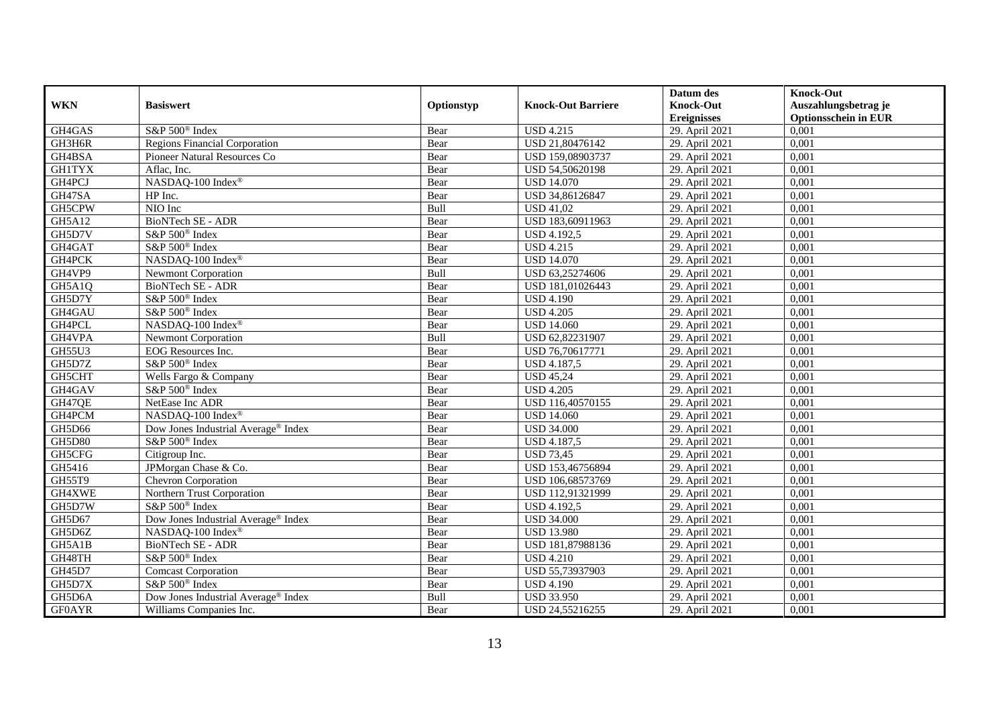|               |                                                 |            |                           | Datum des          | <b>Knock-Out</b>            |
|---------------|-------------------------------------------------|------------|---------------------------|--------------------|-----------------------------|
| <b>WKN</b>    | <b>Basiswert</b>                                | Optionstyp | <b>Knock-Out Barriere</b> | <b>Knock-Out</b>   | Auszahlungsbetrag je        |
|               |                                                 |            |                           | <b>Ereignisses</b> | <b>Optionsschein in EUR</b> |
| GH4GAS        | S&P 500 <sup>®</sup> Index                      | Bear       | <b>USD 4.215</b>          | 29. April 2021     | 0,001                       |
| GH3H6R        | <b>Regions Financial Corporation</b>            | Bear       | USD 21,80476142           | 29. April 2021     | 0,001                       |
| GH4BSA        | Pioneer Natural Resources Co                    | Bear       | USD 159,08903737          | 29. April 2021     | 0,001                       |
| <b>GH1TYX</b> | Aflac, Inc.                                     | Bear       | USD 54,50620198           | 29. April 2021     | 0,001                       |
| GH4PCJ        | NASDAQ-100 Index®                               | Bear       | <b>USD 14.070</b>         | 29. April 2021     | 0,001                       |
| GH47SA        | HP Inc.                                         | Bear       | USD 34,86126847           | 29. April 2021     | 0,001                       |
| GH5CPW        | NIO Inc                                         | Bull       | <b>USD 41,02</b>          | 29. April 2021     | 0,001                       |
| GH5A12        | BioNTech SE - ADR                               | Bear       | USD 183,60911963          | 29. April 2021     | 0,001                       |
| GH5D7V        | S&P 500 <sup>®</sup> Index                      | Bear       | <b>USD 4.192,5</b>        | 29. April 2021     | 0,001                       |
| GH4GAT        | S&P 500 <sup>®</sup> Index                      | Bear       | <b>USD 4.215</b>          | 29. April 2021     | 0,001                       |
| GH4PCK        | NASDAQ-100 Index®                               | Bear       | <b>USD 14.070</b>         | 29. April 2021     | 0,001                       |
| GH4VP9        | <b>Newmont Corporation</b>                      | Bull       | USD 63,25274606           | 29. April 2021     | 0,001                       |
| GH5A1Q        | BioNTech SE - ADR                               | Bear       | USD 181,01026443          | 29. April 2021     | 0,001                       |
| GH5D7Y        | S&P 500 <sup>®</sup> Index                      | Bear       | <b>USD 4.190</b>          | 29. April 2021     | 0.001                       |
| GH4GAU        | S&P 500 <sup>®</sup> Index                      | Bear       | <b>USD 4.205</b>          | 29. April 2021     | 0,001                       |
| GH4PCL        | NASDAQ-100 Index®                               | Bear       | <b>USD 14.060</b>         | 29. April 2021     | 0,001                       |
| GH4VPA        | <b>Newmont Corporation</b>                      | Bull       | USD 62,82231907           | 29. April 2021     | 0,001                       |
| <b>GH55U3</b> | EOG Resources Inc.                              | Bear       | USD 76,70617771           | 29. April 2021     | 0,001                       |
| GH5D7Z        | S&P 500 <sup>®</sup> Index                      | Bear       | USD 4.187,5               | 29. April 2021     | 0,001                       |
| GH5CHT        | Wells Fargo & Company                           | Bear       | <b>USD 45,24</b>          | 29. April 2021     | 0,001                       |
| GH4GAV        | S&P 500 <sup>®</sup> Index                      | Bear       | <b>USD 4.205</b>          | 29. April 2021     | 0,001                       |
| GH47QE        | NetEase Inc ADR                                 | Bear       | USD 116,40570155          | 29. April 2021     | 0,001                       |
| GH4PCM        | NASDAO-100 Index®                               | Bear       | <b>USD 14.060</b>         | 29. April 2021     | 0,001                       |
| GH5D66        | Dow Jones Industrial Average <sup>®</sup> Index | Bear       | <b>USD 34.000</b>         | 29. April 2021     | 0,001                       |
| <b>GH5D80</b> | S&P 500 <sup>®</sup> Index                      | Bear       | <b>USD 4.187,5</b>        | 29. April 2021     | 0,001                       |
| GH5CFG        | Citigroup Inc.                                  | Bear       | <b>USD 73,45</b>          | 29. April 2021     | 0,001                       |
| GH5416        | JPMorgan Chase & Co.                            | Bear       | USD 153,46756894          | 29. April 2021     | 0,001                       |
| GH55T9        | Chevron Corporation                             | Bear       | USD 106,68573769          | 29. April 2021     | 0,001                       |
| GH4XWE        | Northern Trust Corporation                      | Bear       | USD 112,91321999          | 29. April 2021     | 0,001                       |
| GH5D7W        | S&P 500 <sup>®</sup> Index                      | Bear       | <b>USD 4.192,5</b>        | 29. April 2021     | 0,001                       |
| GH5D67        | Dow Jones Industrial Average® Index             | Bear       | <b>USD 34.000</b>         | 29. April 2021     | 0,001                       |
| GH5D6Z        | NASDAQ-100 Index®                               | Bear       | <b>USD 13.980</b>         | 29. April 2021     | 0,001                       |
| GH5A1B        | BioNTech SE - ADR                               | Bear       | USD 181,87988136          | 29. April 2021     | 0,001                       |
| GH48TH        | S&P 500 <sup>®</sup> Index                      | Bear       | <b>USD 4.210</b>          | 29. April 2021     | 0,001                       |
| GH45D7        | <b>Comcast Corporation</b>                      | Bear       | USD 55,73937903           | 29. April 2021     | 0,001                       |
| GH5D7X        | S&P 500 <sup>®</sup> Index                      | Bear       | <b>USD 4.190</b>          | 29. April 2021     | 0,001                       |
| GH5D6A        | Dow Jones Industrial Average® Index             | Bull       | <b>USD 33.950</b>         | 29. April 2021     | 0,001                       |
| <b>GF0AYR</b> | Williams Companies Inc.                         | Bear       | USD 24,55216255           | 29. April 2021     | 0,001                       |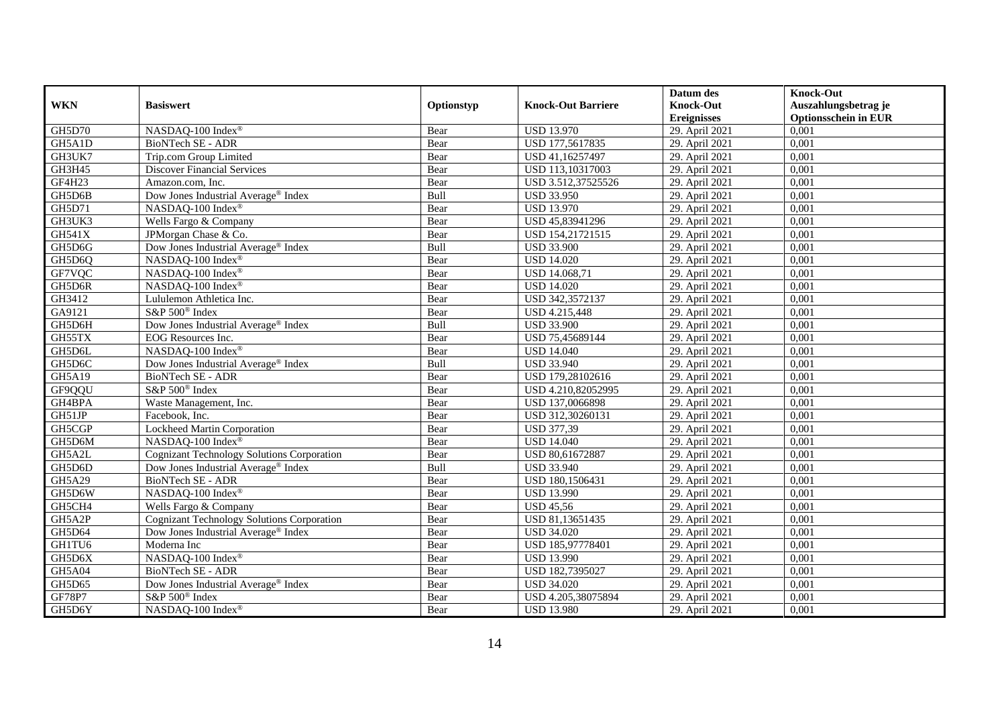|               |                                                   |            |                           | Datum des          | <b>Knock-Out</b>            |
|---------------|---------------------------------------------------|------------|---------------------------|--------------------|-----------------------------|
| <b>WKN</b>    | <b>Basiswert</b>                                  | Optionstyp | <b>Knock-Out Barriere</b> | <b>Knock-Out</b>   | Auszahlungsbetrag je        |
|               |                                                   |            |                           | <b>Ereignisses</b> | <b>Optionsschein in EUR</b> |
| <b>GH5D70</b> | NASDAQ-100 Index®                                 | Bear       | <b>USD 13.970</b>         | 29. April 2021     | 0,001                       |
| GH5A1D        | <b>BioNTech SE - ADR</b>                          | Bear       | USD 177,5617835           | 29. April 2021     | 0,001                       |
| GH3UK7        | Trip.com Group Limited                            | Bear       | USD 41,16257497           | 29. April 2021     | 0,001                       |
| GH3H45        | <b>Discover Financial Services</b>                | Bear       | USD 113,10317003          | 29. April 2021     | 0,001                       |
| GF4H23        | Amazon.com, Inc.                                  | Bear       | USD 3.512,37525526        | 29. April 2021     | 0,001                       |
| GH5D6B        | Dow Jones Industrial Average <sup>®</sup> Index   | Bull       | <b>USD 33.950</b>         | 29. April 2021     | 0,001                       |
| GH5D71        | NASDAQ-100 Index®                                 | Bear       | <b>USD 13.970</b>         | 29. April 2021     | 0,001                       |
| GH3UK3        | Wells Fargo & Company                             | Bear       | USD 45,83941296           | 29. April 2021     | 0,001                       |
| <b>GH541X</b> | JPMorgan Chase & Co.                              | Bear       | USD 154,21721515          | 29. April 2021     | 0,001                       |
| GH5D6G        | Dow Jones Industrial Average <sup>®</sup> Index   | Bull       | <b>USD 33.900</b>         | 29. April 2021     | 0,001                       |
| GH5D6Q        | NASDAQ-100 Index®                                 | Bear       | <b>USD 14.020</b>         | 29. April 2021     | 0,001                       |
| GF7VQC        | NASDAQ-100 Index®                                 | Bear       | <b>USD 14.068,71</b>      | 29. April 2021     | 0,001                       |
| GH5D6R        | NASDAQ-100 Index®                                 | Bear       | <b>USD 14.020</b>         | 29. April 2021     | 0,001                       |
| GH3412        | Lululemon Athletica Inc.                          | Bear       | USD 342,3572137           | 29. April 2021     | 0,001                       |
| GA9121        | S&P 500 <sup>®</sup> Index                        | Bear       | USD 4.215,448             | 29. April 2021     | 0,001                       |
| GH5D6H        | Dow Jones Industrial Average® Index               | Bull       | <b>USD 33.900</b>         | 29. April 2021     | 0,001                       |
| GH55TX        | EOG Resources Inc.                                | Bear       | USD 75,45689144           | 29. April 2021     | 0,001                       |
| GH5D6L        | NASDAO-100 Index®                                 | Bear       | <b>USD 14.040</b>         | 29. April 2021     | 0,001                       |
| GH5D6C        | Dow Jones Industrial Average® Index               | Bull       | <b>USD 33.940</b>         | 29. April 2021     | 0,001                       |
| GH5A19        | <b>BioNTech SE - ADR</b>                          | Bear       | USD 179,28102616          | 29. April 2021     | 0,001                       |
| GF9QQU        | S&P 500 <sup>®</sup> Index                        | Bear       | USD 4.210,82052995        | 29. April 2021     | 0,001                       |
| GH4BPA        | Waste Management, Inc.                            | Bear       | USD 137,0066898           | 29. April 2021     | 0,001                       |
| GH51JP        | Facebook, Inc.                                    | Bear       | USD 312,30260131          | 29. April 2021     | 0,001                       |
| GH5CGP        | Lockheed Martin Corporation                       | Bear       | <b>USD 377,39</b>         | 29. April 2021     | 0,001                       |
| GH5D6M        | NASDAQ-100 Index®                                 | Bear       | <b>USD 14.040</b>         | 29. April 2021     | 0,001                       |
| GH5A2L        | Cognizant Technology Solutions Corporation        | Bear       | USD 80,61672887           | 29. April 2021     | 0,001                       |
| GH5D6D        | Dow Jones Industrial Average® Index               | Bull       | <b>USD 33.940</b>         | 29. April 2021     | 0,001                       |
| GH5A29        | <b>BioNTech SE - ADR</b>                          | Bear       | USD 180,1506431           | 29. April 2021     | 0,001                       |
| GH5D6W        | NASDAQ-100 Index®                                 | Bear       | <b>USD 13.990</b>         | 29. April 2021     | 0,001                       |
| GH5CH4        | Wells Fargo & Company                             | Bear       | <b>USD 45,56</b>          | 29. April 2021     | 0,001                       |
| GH5A2P        | <b>Cognizant Technology Solutions Corporation</b> | Bear       | USD 81,13651435           | 29. April 2021     | 0,001                       |
| GH5D64        | Dow Jones Industrial Average® Index               | Bear       | <b>USD 34.020</b>         | 29. April 2021     | 0.001                       |
| GH1TU6        | Moderna Inc                                       | Bear       | USD 185,97778401          | 29. April 2021     | 0,001                       |
| GH5D6X        | NASDAQ-100 Index®                                 | Bear       | <b>USD 13.990</b>         | 29. April 2021     | 0,001                       |
| <b>GH5A04</b> | BioNTech SE - ADR                                 | Bear       | USD 182,7395027           | 29. April 2021     | 0,001                       |
| GH5D65        | Dow Jones Industrial Average <sup>®</sup> Index   | Bear       | <b>USD 34.020</b>         | 29. April 2021     | 0,001                       |
| GF78P7        | S&P 500 <sup>®</sup> Index                        | Bear       | USD 4.205,38075894        | 29. April 2021     | 0,001                       |
| GH5D6Y        | NASDAQ-100 Index®                                 | Bear       | <b>USD 13.980</b>         | 29. April 2021     | 0,001                       |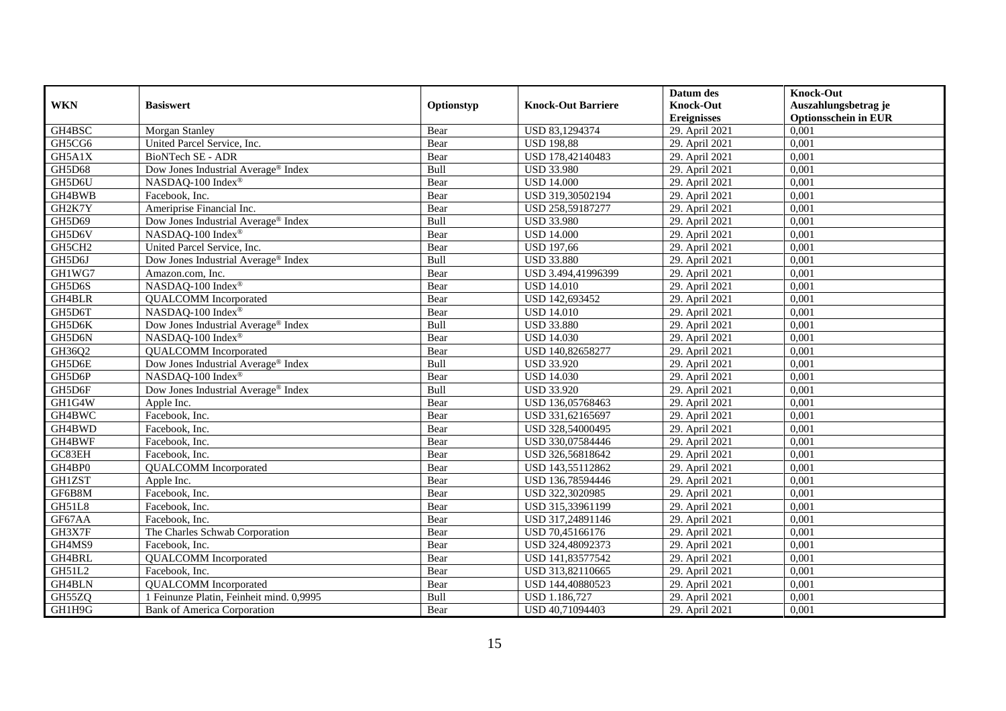|               |                                                 |            |                           | Datum des          | <b>Knock-Out</b>            |
|---------------|-------------------------------------------------|------------|---------------------------|--------------------|-----------------------------|
| <b>WKN</b>    | <b>Basiswert</b>                                | Optionstyp | <b>Knock-Out Barriere</b> | <b>Knock-Out</b>   | Auszahlungsbetrag je        |
|               |                                                 |            |                           | <b>Ereignisses</b> | <b>Optionsschein in EUR</b> |
| GH4BSC        | Morgan Stanley                                  | Bear       | USD 83,1294374            | 29. April 2021     | 0,001                       |
| GH5CG6        | United Parcel Service, Inc.                     | Bear       | <b>USD 198,88</b>         | 29. April 2021     | 0,001                       |
| GH5A1X        | BioNTech SE - ADR                               | Bear       | USD 178,42140483          | 29. April 2021     | 0,001                       |
| GH5D68        | Dow Jones Industrial Average <sup>®</sup> Index | Bull       | <b>USD 33.980</b>         | 29. April 2021     | 0,001                       |
| GH5D6U        | NASDAQ-100 Index®                               | Bear       | <b>USD 14.000</b>         | 29. April 2021     | 0,001                       |
| GH4BWB        | Facebook, Inc.                                  | Bear       | USD 319,30502194          | 29. April 2021     | 0,001                       |
| GH2K7Y        | Ameriprise Financial Inc.                       | Bear       | USD 258,59187277          | 29. April 2021     | 0,001                       |
| GH5D69        | Dow Jones Industrial Average <sup>®</sup> Index | Bull       | <b>USD 33.980</b>         | 29. April 2021     | 0,001                       |
| GH5D6V        | NASDAQ-100 Index <sup>®</sup>                   | Bear       | <b>USD 14.000</b>         | 29. April 2021     | 0,001                       |
| GH5CH2        | United Parcel Service, Inc.                     | Bear       | <b>USD 197,66</b>         | 29. April 2021     | 0,001                       |
| GH5D6J        | Dow Jones Industrial Average® Index             | Bull       | <b>USD 33.880</b>         | 29. April 2021     | 0,001                       |
| GH1WG7        | Amazon.com, Inc.                                | Bear       | USD 3.494,41996399        | 29. April 2021     | 0,001                       |
| GH5D6S        | NASDAQ-100 Index®                               | Bear       | <b>USD 14.010</b>         | 29. April 2021     | 0,001                       |
| GH4BLR        | <b>QUALCOMM</b> Incorporated                    | Bear       | USD 142,693452            | 29. April 2021     | 0.001                       |
| GH5D6T        | NASDAQ-100 Index®                               | Bear       | <b>USD 14.010</b>         | 29. April 2021     | 0,001                       |
| GH5D6K        | Dow Jones Industrial Average <sup>®</sup> Index | Bull       | <b>USD 33.880</b>         | 29. April 2021     | 0,001                       |
| GH5D6N        | NASDAQ-100 Index®                               | Bear       | <b>USD 14.030</b>         | 29. April 2021     | 0,001                       |
| GH36Q2        | <b>QUALCOMM</b> Incorporated                    | Bear       | USD 140,82658277          | 29. April 2021     | 0,001                       |
| GH5D6E        | Dow Jones Industrial Average® Index             | Bull       | <b>USD 33.920</b>         | 29. April 2021     | 0,001                       |
| GH5D6P        | NASDAQ-100 Index®                               | Bear       | <b>USD 14.030</b>         | 29. April 2021     | 0,001                       |
| GH5D6F        | Dow Jones Industrial Average <sup>®</sup> Index | Bull       | <b>USD 33.920</b>         | 29. April 2021     | 0,001                       |
| GH1G4W        | Apple Inc.                                      | Bear       | USD 136,05768463          | 29. April 2021     | 0,001                       |
| GH4BWC        | Facebook, Inc.                                  | Bear       | USD 331,62165697          | 29. April 2021     | 0,001                       |
| GH4BWD        | Facebook, Inc.                                  | Bear       | USD 328,54000495          | 29. April 2021     | 0,001                       |
| GH4BWF        | Facebook, Inc.                                  | Bear       | USD 330,07584446          | 29. April 2021     | 0,001                       |
| GC83EH        | Facebook, Inc.                                  | Bear       | USD 326,56818642          | 29. April 2021     | 0,001                       |
| GH4BP0        | <b>QUALCOMM</b> Incorporated                    | Bear       | USD 143,55112862          | 29. April 2021     | 0,001                       |
| <b>GH1ZST</b> | Apple Inc.                                      | Bear       | USD 136,78594446          | 29. April 2021     | 0,001                       |
| GF6B8M        | Facebook, Inc.                                  | Bear       | USD 322,3020985           | 29. April 2021     | 0,001                       |
| GH51L8        | Facebook, Inc.                                  | Bear       | USD 315,33961199          | 29. April 2021     | 0,001                       |
| GF67AA        | Facebook, Inc.                                  | Bear       | USD 317,24891146          | 29. April 2021     | 0,001                       |
| GH3X7F        | The Charles Schwab Corporation                  | Bear       | USD 70,45166176           | 29. April 2021     | 0,001                       |
| GH4MS9        | Facebook, Inc.                                  | Bear       | USD 324,48092373          | 29. April 2021     | 0,001                       |
| GH4BRL        | <b>QUALCOMM</b> Incorporated                    | Bear       | USD 141,83577542          | 29. April 2021     | 0,001                       |
| GH51L2        | Facebook, Inc.                                  | Bear       | USD 313,82110665          | 29. April 2021     | 0,001                       |
| GH4BLN        | <b>QUALCOMM</b> Incorporated                    | Bear       | USD 144,40880523          | 29. April 2021     | 0,001                       |
| GH55ZQ        | 1 Feinunze Platin, Feinheit mind. 0,9995        | Bull       | USD 1.186,727             | 29. April 2021     | 0,001                       |
| GH1H9G        | <b>Bank of America Corporation</b>              | Bear       | USD 40,71094403           | 29. April 2021     | 0,001                       |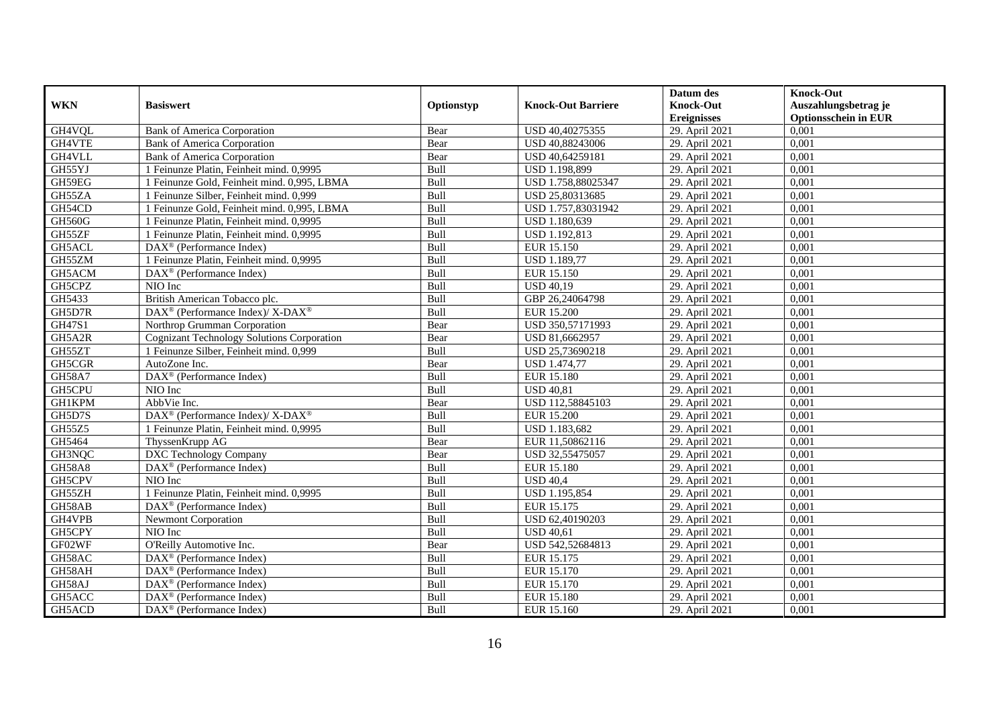|               |                                                                  |            |                           | Datum des          | <b>Knock-Out</b>            |
|---------------|------------------------------------------------------------------|------------|---------------------------|--------------------|-----------------------------|
| <b>WKN</b>    | <b>Basiswert</b>                                                 | Optionstyp | <b>Knock-Out Barriere</b> | <b>Knock-Out</b>   | Auszahlungsbetrag je        |
|               |                                                                  |            |                           | <b>Ereignisses</b> | <b>Optionsschein in EUR</b> |
| GH4VQL        | <b>Bank of America Corporation</b>                               | Bear       | USD 40,40275355           | 29. April 2021     | 0,001                       |
| GH4VTE        | <b>Bank of America Corporation</b>                               | Bear       | USD 40,88243006           | 29. April 2021     | 0,001                       |
| GH4VLL        | <b>Bank of America Corporation</b>                               | Bear       | USD 40,64259181           | 29. April 2021     | 0,001                       |
| GH55YJ        | 1 Feinunze Platin, Feinheit mind. 0,9995                         | Bull       | USD 1.198,899             | 29. April 2021     | 0,001                       |
| GH59EG        | 1 Feinunze Gold, Feinheit mind. 0,995, LBMA                      | Bull       | USD 1.758,88025347        | 29. April 2021     | 0,001                       |
| GH55ZA        | 1 Feinunze Silber, Feinheit mind. 0,999                          | Bull       | USD 25,80313685           | 29. April 2021     | 0,001                       |
| GH54CD        | 1 Feinunze Gold, Feinheit mind. 0,995, LBMA                      | Bull       | USD 1.757,83031942        | 29. April 2021     | 0,001                       |
| <b>GH560G</b> | 1 Feinunze Platin, Feinheit mind. 0,9995                         | Bull       | USD 1.180,639             | 29. April 2021     | 0,001                       |
| GH55ZF        | 1 Feinunze Platin, Feinheit mind. 0,9995                         | Bull       | USD 1.192,813             | 29. April 2021     | 0,001                       |
| GH5ACL        | $DAX^{\otimes}$ (Performance Index)                              | Bull       | <b>EUR 15.150</b>         | 29. April 2021     | 0,001                       |
| GH55ZM        | 1 Feinunze Platin, Feinheit mind. 0,9995                         | Bull       | <b>USD 1.189,77</b>       | 29. April 2021     | 0,001                       |
| GH5ACM        | $\overline{\text{DAX}}^{\textcircled{}}$ (Performance Index)     | Bull       | <b>EUR 15.150</b>         | 29. April 2021     | 0,001                       |
| GH5CPZ        | NIO Inc                                                          | Bull       | <b>USD 40.19</b>          | 29. April 2021     | 0,001                       |
| GH5433        | British American Tobacco plc.                                    | Bull       | GBP 26,24064798           | 29. April 2021     | 0,001                       |
| GH5D7R        | DAX <sup>®</sup> (Performance Index)/X-DAX <sup>®</sup>          | Bull       | <b>EUR 15.200</b>         | 29. April 2021     | 0,001                       |
| GH47S1        | Northrop Grumman Corporation                                     | Bear       | USD 350,57171993          | 29. April 2021     | 0,001                       |
| GH5A2R        | <b>Cognizant Technology Solutions Corporation</b>                | Bear       | USD 81,6662957            | 29. April 2021     | 0,001                       |
| GH55ZT        | 1 Feinunze Silber, Feinheit mind. 0.999                          | Bull       | USD 25,73690218           | 29. April 2021     | 0,001                       |
| GH5CGR        | AutoZone Inc.                                                    | Bear       | <b>USD 1.474,77</b>       | 29. April 2021     | 0,001                       |
| <b>GH58A7</b> | DAX <sup>®</sup> (Performance Index)                             | Bull       | <b>EUR 15.180</b>         | 29. April 2021     | 0,001                       |
| GH5CPU        | NIO Inc                                                          | Bull       | <b>USD 40,81</b>          | 29. April 2021     | 0,001                       |
| <b>GH1KPM</b> | AbbVie Inc.                                                      | Bear       | USD 112,58845103          | 29. April 2021     | 0,001                       |
| GH5D7S        | $\text{DAX}^{\circledR}$ (Performance Index)/ X-DAX <sup>®</sup> | Bull       | <b>EUR 15.200</b>         | 29. April 2021     | 0,001                       |
| GH55Z5        | 1 Feinunze Platin, Feinheit mind. 0,9995                         | Bull       | USD 1.183,682             | 29. April 2021     | 0,001                       |
| GH5464        | ThyssenKrupp AG                                                  | Bear       | EUR 11,50862116           | 29. April 2021     | 0,001                       |
| GH3NQC        | DXC Technology Company                                           | Bear       | USD 32,55475057           | 29. April 2021     | 0,001                       |
| <b>GH58A8</b> | $\overline{\text{DAX}^{\otimes}}$ (Performance Index)            | Bull       | <b>EUR 15.180</b>         | 29. April 2021     | 0,001                       |
| GH5CPV        | NIO Inc                                                          | Bull       | <b>USD 40.4</b>           | 29. April 2021     | 0.001                       |
| GH55ZH        | 1 Feinunze Platin, Feinheit mind. 0,9995                         | Bull       | <b>USD 1.195,854</b>      | 29. April 2021     | 0,001                       |
| GH58AB        | $DAX^{\otimes}$ (Performance Index)                              | Bull       | EUR 15.175                | 29. April 2021     | 0,001                       |
| GH4VPB        | <b>Newmont Corporation</b>                                       | Bull       | USD 62,40190203           | 29. April 2021     | 0,001                       |
| GH5CPY        | NIO Inc                                                          | Bull       | <b>USD 40.61</b>          | 29. April 2021     | 0.001                       |
| GF02WF        | O'Reilly Automotive Inc.                                         | Bear       | USD 542,52684813          | 29. April 2021     | 0,001                       |
| GH58AC        | $\overline{\text{DAX}^{\otimes}(\text{Performance Index})}$      | Bull       | EUR 15.175                | 29. April 2021     | 0,001                       |
| GH58AH        | $\text{DAX}^{\textcircled{n}}$ (Performance Index)               | Bull       | EUR 15.170                | 29. April 2021     | 0,001                       |
| GH58AJ        | DAX <sup>®</sup> (Performance Index)                             | Bull       | EUR 15.170                | 29. April 2021     | 0,001                       |
| GH5ACC        | $\text{DAX}^{\otimes}$ (Performance Index)                       | Bull       | <b>EUR 15.180</b>         | 29. April 2021     | 0,001                       |
| GH5ACD        | $\text{DAX}^{\textcircled{n}}$ (Performance Index)               | Bull       | EUR 15.160                | 29. April 2021     | 0,001                       |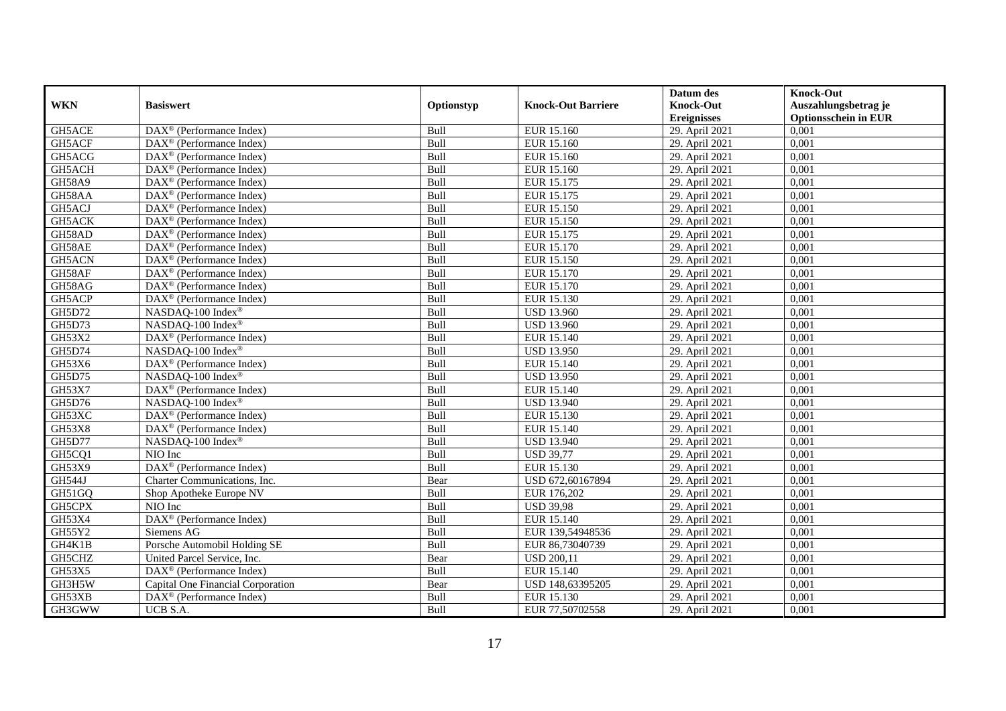|               |                                                               |             |                           | Datum des          | <b>Knock-Out</b>            |
|---------------|---------------------------------------------------------------|-------------|---------------------------|--------------------|-----------------------------|
| <b>WKN</b>    | <b>Basiswert</b>                                              | Optionstyp  | <b>Knock-Out Barriere</b> | <b>Knock-Out</b>   | Auszahlungsbetrag je        |
|               |                                                               |             |                           | <b>Ereignisses</b> | <b>Optionsschein in EUR</b> |
| GH5ACE        | DAX <sup>®</sup> (Performance Index)                          | Bull        | EUR 15.160                | 29. April 2021     | 0,001                       |
| GH5ACF        | $\text{DAX}^{\textcircled{n}}$ (Performance Index)            | Bull        | EUR 15.160                | 29. April 2021     | 0,001                       |
| GH5ACG        | DAX <sup>®</sup> (Performance Index)                          | Bull        | EUR 15.160                | 29. April 2021     | 0,001                       |
| GH5ACH        | $\text{DAX}^{\otimes}$ (Performance Index)                    | Bull        | EUR 15.160                | 29. April 2021     | 0,001                       |
| <b>GH58A9</b> | DAX <sup>®</sup> (Performance Index)                          | Bull        | EUR 15.175                | 29. April 2021     | 0,001                       |
| GH58AA        | $\text{DAX}^{\textcircled{p}}$ (Performance Index)            | Bull        | EUR 15.175                | 29. April 2021     | 0,001                       |
| GH5ACJ        | $DAX^{\otimes}$ (Performance Index)                           | Bull        | <b>EUR 15.150</b>         | 29. April 2021     | 0,001                       |
| GH5ACK        | DAX <sup>®</sup> (Performance Index)                          | Bull        | EUR 15.150                | 29. April 2021     | 0,001                       |
| GH58AD        | $\text{DAX}^{\textcircled{n}}$ (Performance Index)            | Bull        | EUR 15.175                | 29. April 2021     | 0,001                       |
| GH58AE        | $\text{DAX}^{\otimes}$ (Performance Index)                    | Bull        | EUR 15.170                | 29. April 2021     | 0,001                       |
| GH5ACN        | $\text{DAX}^{\textcircled{n}}$ (Performance Index)            | Bull        | EUR 15.150                | 29. April 2021     | 0.001                       |
| GH58AF        | DAX <sup>®</sup> (Performance Index)                          | Bull        | EUR 15.170                | 29. April 2021     | 0,001                       |
| GH58AG        | DAX <sup>®</sup> (Performance Index)                          | Bull        | EUR 15.170                | 29. April 2021     | 0,001                       |
| GH5ACP        | DAX <sup>®</sup> (Performance Index)                          | Bull        | EUR 15.130                | 29. April 2021     | 0,001                       |
| GH5D72        | NASDAQ-100 Index <sup>®</sup>                                 | Bull        | <b>USD 13.960</b>         | 29. April 2021     | 0,001                       |
| GH5D73        | NASDAQ-100 Index®                                             | Bull        | <b>USD 13.960</b>         | 29. April 2021     | 0,001                       |
| GH53X2        | $\overline{\text{DAX}^{\textcircled{a}}}$ (Performance Index) | Bull        | EUR 15.140                | 29. April 2021     | 0,001                       |
| GH5D74        | NASDAO-100 Index®                                             | Bull        | <b>USD 13.950</b>         | 29. April 2021     | 0,001                       |
| GH53X6        | DAX <sup>®</sup> (Performance Index)                          | Bull        | EUR 15.140                | 29. April 2021     | 0,001                       |
| GH5D75        | NASDAQ-100 Index®                                             | Bull        | <b>USD 13.950</b>         | 29. April 2021     | 0,001                       |
| <b>GH53X7</b> | DAX <sup>®</sup> (Performance Index)                          | Bull        | <b>EUR 15.140</b>         | 29. April 2021     | 0,001                       |
| GH5D76        | NASDAQ-100 Index®                                             | Bull        | <b>USD 13.940</b>         | 29. April 2021     | 0,001                       |
| GH53XC        | $\overline{\text{DAX}^{\otimes}}$ (Performance Index)         | Bull        | EUR 15.130                | 29. April 2021     | 0,001                       |
| <b>GH53X8</b> | DAX <sup>®</sup> (Performance Index)                          | Bull        | EUR 15.140                | 29. April 2021     | 0,001                       |
| <b>GH5D77</b> | NASDAO-100 Index <sup>®</sup>                                 | Bull        | <b>USD 13.940</b>         | 29. April 2021     | 0.001                       |
| GH5CQ1        | NIO Inc                                                       | Bull        | <b>USD 39,77</b>          | 29. April 2021     | 0,001                       |
| GH53X9        | DAX <sup>®</sup> (Performance Index)                          | Bull        | EUR 15.130                | 29. April 2021     | 0,001                       |
| GH544J        | Charter Communications, Inc.                                  | Bear        | USD 672,60167894          | 29. April 2021     | 0,001                       |
| GH51GQ        | Shop Apotheke Europe NV                                       | Bull        | EUR 176,202               | 29. April 2021     | 0,001                       |
| GH5CPX        | NIO Inc                                                       | Bull        | <b>USD 39,98</b>          | 29. April 2021     | 0,001                       |
| GH53X4        | DAX <sup>®</sup> (Performance Index)                          | Bull        | EUR 15.140                | 29. April 2021     | 0,001                       |
| GH55Y2        | Siemens AG                                                    | <b>Bull</b> | EUR 139,54948536          | 29. April 2021     | 0.001                       |
| GH4K1B        | Porsche Automobil Holding SE                                  | Bull        | EUR 86,73040739           | 29. April 2021     | 0,001                       |
| GH5CHZ        | United Parcel Service, Inc.                                   | Bear        | <b>USD 200,11</b>         | 29. April 2021     | 0,001                       |
| GH53X5        | DAX <sup>®</sup> (Performance Index)                          | Bull        | EUR 15.140                | 29. April 2021     | 0,001                       |
| GH3H5W        | Capital One Financial Corporation                             | Bear        | USD 148,63395205          | 29. April 2021     | 0,001                       |
| GH53XB        | DAX <sup>®</sup> (Performance Index)                          | Bull        | EUR 15.130                | 29. April 2021     | 0,001                       |
| GH3GWW        | UCB S.A.                                                      | Bull        | EUR 77,50702558           | 29. April 2021     | 0,001                       |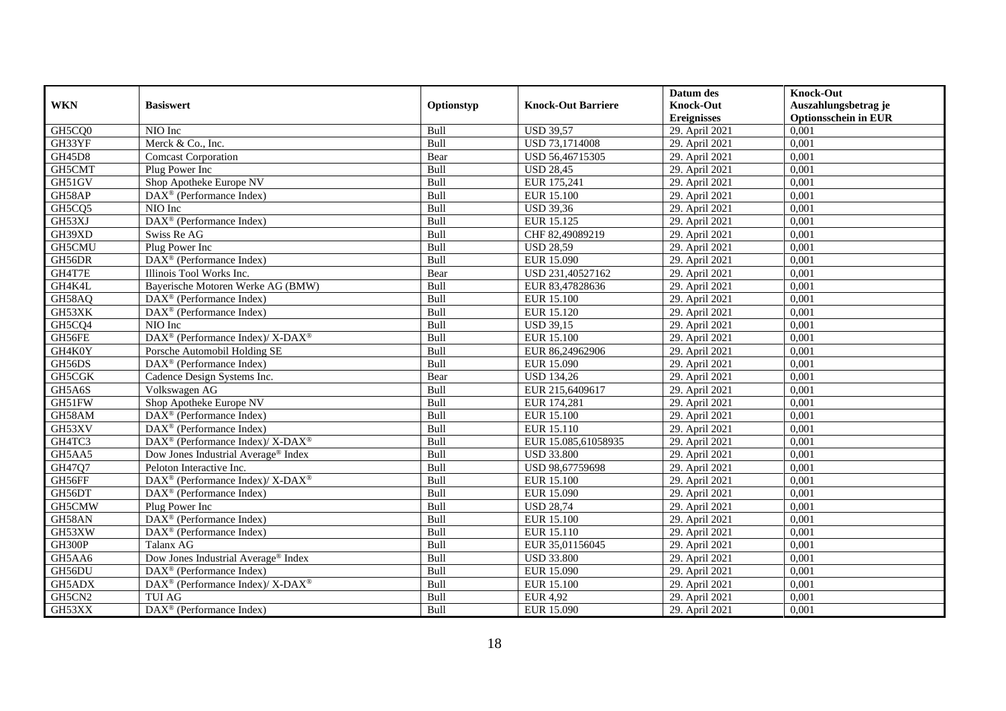|            |                                                                  |            |                           | Datum des          | <b>Knock-Out</b>            |
|------------|------------------------------------------------------------------|------------|---------------------------|--------------------|-----------------------------|
| <b>WKN</b> | <b>Basiswert</b>                                                 | Optionstyp | <b>Knock-Out Barriere</b> | <b>Knock-Out</b>   | Auszahlungsbetrag je        |
|            |                                                                  |            |                           | <b>Ereignisses</b> | <b>Optionsschein in EUR</b> |
| GH5CQ0     | NIO Inc                                                          | Bull       | <b>USD 39,57</b>          | 29. April 2021     | 0,001                       |
| GH33YF     | Merck & Co., Inc.                                                | Bull       | USD 73,1714008            | 29. April 2021     | 0,001                       |
| GH45D8     | <b>Comcast Corporation</b>                                       | Bear       | USD 56,46715305           | 29. April 2021     | 0,001                       |
| GH5CMT     | Plug Power Inc                                                   | Bull       | <b>USD 28,45</b>          | 29. April 2021     | 0,001                       |
| GH51GV     | Shop Apotheke Europe NV                                          | Bull       | EUR 175,241               | 29. April 2021     | 0,001                       |
| GH58AP     | DAX <sup>®</sup> (Performance Index)                             | Bull       | <b>EUR 15.100</b>         | 29. April 2021     | 0,001                       |
| GH5CQ5     | NIO Inc                                                          | Bull       | <b>USD 39,36</b>          | 29. April 2021     | 0,001                       |
| GH53XJ     | DAX <sup>®</sup> (Performance Index)                             | Bull       | EUR 15.125                | 29. April 2021     | 0,001                       |
| GH39XD     | Swiss Re AG                                                      | Bull       | CHF 82,49089219           | 29. April 2021     | 0,001                       |
| GH5CMU     | Plug Power Inc                                                   | Bull       | <b>USD 28,59</b>          | 29. April 2021     | 0,001                       |
| GH56DR     | DAX <sup>®</sup> (Performance Index)                             | Bull       | EUR 15.090                | 29. April 2021     | 0,001                       |
| GH4T7E     | Illinois Tool Works Inc.                                         | Bear       | USD 231,40527162          | 29. April 2021     | 0,001                       |
| GH4K4L     | Bayerische Motoren Werke AG (BMW)                                | Bull       | EUR 83,47828636           | 29. April 2021     | 0,001                       |
| GH58AQ     | DAX <sup>®</sup> (Performance Index)                             | Bull       | EUR 15.100                | 29. April 2021     | 0,001                       |
| GH53XK     | DAX <sup>®</sup> (Performance Index)                             | Bull       | EUR 15.120                | 29. April 2021     | 0,001                       |
| GH5CQ4     | NIO Inc                                                          | Bull       | <b>USD 39,15</b>          | 29. April 2021     | 0,001                       |
| GH56FE     | $\text{DAX}^{\circledR}$ (Performance Index)/ X-DAX <sup>®</sup> | Bull       | EUR 15.100                | 29. April 2021     | 0,001                       |
| GH4K0Y     | Porsche Automobil Holding SE                                     | Bull       | EUR 86,24962906           | 29. April 2021     | 0,001                       |
| GH56DS     | $\overline{\text{DAX}}^{\textcircled{}}$ (Performance Index)     | Bull       | EUR 15.090                | 29. April 2021     | 0,001                       |
| GH5CGK     | Cadence Design Systems Inc.                                      | Bear       | <b>USD 134,26</b>         | 29. April 2021     | 0,001                       |
| GH5A6S     | Volkswagen AG                                                    | Bull       | EUR 215,6409617           | 29. April 2021     | 0,001                       |
| GH51FW     | Shop Apotheke Europe NV                                          | Bull       | EUR 174,281               | 29. April 2021     | 0,001                       |
| GH58AM     | $\overline{\text{DAX}^{\otimes}}$ (Performance Index)            | Bull       | EUR 15.100                | 29. April 2021     | 0,001                       |
| GH53XV     | DAX <sup>®</sup> (Performance Index)                             | Bull       | EUR 15.110                | 29. April 2021     | 0,001                       |
| GH4TC3     | DAX <sup>®</sup> (Performance Index)/ X-DAX <sup>®</sup>         | Bull       | EUR 15.085,61058935       | 29. April 2021     | 0,001                       |
| GH5AA5     | Dow Jones Industrial Average® Index                              | Bull       | <b>USD 33.800</b>         | 29. April 2021     | 0,001                       |
| GH47Q7     | Peloton Interactive Inc.                                         | Bull       | USD 98,67759698           | 29. April 2021     | 0,001                       |
| GH56FF     | $DAX^{\circledast}$ (Performance Index)/ X-DAX <sup>®</sup>      | Bull       | EUR 15.100                | 29. April 2021     | 0.001                       |
| GH56DT     | $\text{DAX}^{\textcircled{D}}$ (Performance Index)               | Bull       | EUR 15.090                | 29. April 2021     | 0,001                       |
| GH5CMW     | Plug Power Inc                                                   | Bull       | <b>USD 28,74</b>          | 29. April 2021     | 0,001                       |
| GH58AN     | DAX <sup>®</sup> (Performance Index)                             | Bull       | <b>EUR 15.100</b>         | 29. April 2021     | 0,001                       |
| GH53XW     | DAX <sup>®</sup> (Performance Index)                             | Bull       | EUR 15.110                | 29. April 2021     | 0.001                       |
| GH300P     | Talanx AG                                                        | Bull       | EUR 35,01156045           | 29. April 2021     | 0,001                       |
| GH5AA6     | Dow Jones Industrial Average® Index                              | Bull       | <b>USD 33.800</b>         | 29. April 2021     | 0,001                       |
| GH56DU     | $\text{DAX}^{\textcircled{n}}$ (Performance Index)               | Bull       | <b>EUR 15.090</b>         | 29. April 2021     | 0,001                       |
| GH5ADX     | DAX <sup>®</sup> (Performance Index)/ X-DAX <sup>®</sup>         | Bull       | EUR 15.100                | 29. April 2021     | 0,001                       |
| GH5CN2     | <b>TUI AG</b>                                                    | Bull       | <b>EUR 4,92</b>           | 29. April 2021     | 0,001                       |
| GH53XX     | $\overline{\text{DAX}}^{\textcircled{}}$ (Performance Index)     | Bull       | EUR 15.090                | 29. April 2021     | 0,001                       |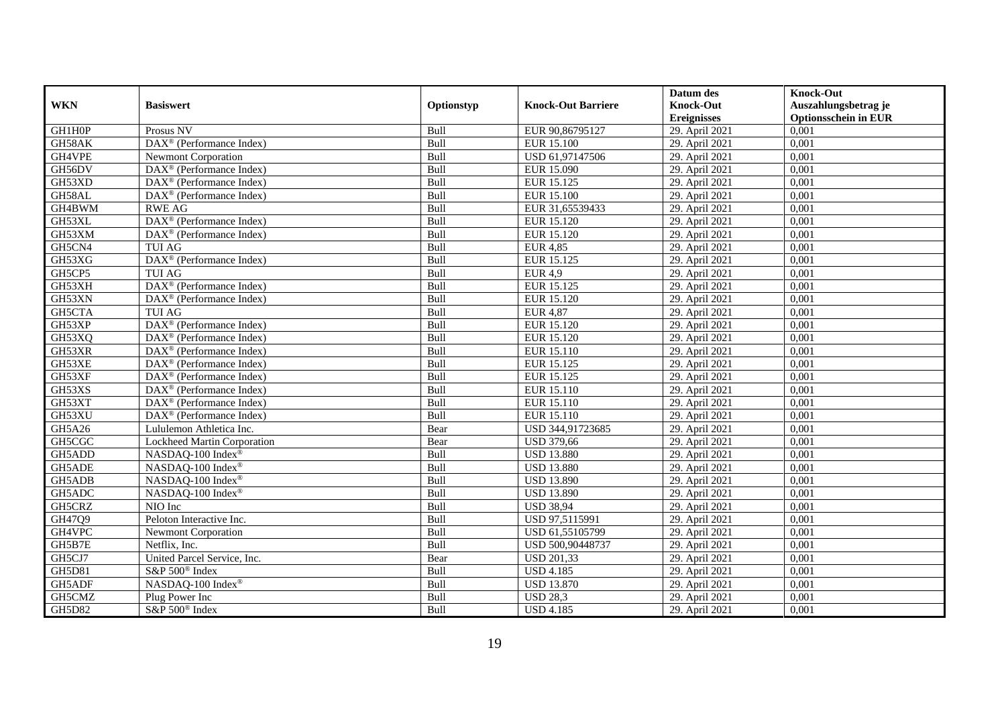|            |                                                              |            |                           | Datum des          | <b>Knock-Out</b>            |
|------------|--------------------------------------------------------------|------------|---------------------------|--------------------|-----------------------------|
| <b>WKN</b> | <b>Basiswert</b>                                             | Optionstyp | <b>Knock-Out Barriere</b> | <b>Knock-Out</b>   | Auszahlungsbetrag je        |
|            |                                                              |            |                           | <b>Ereignisses</b> | <b>Optionsschein in EUR</b> |
| GH1H0P     | Prosus NV                                                    | Bull       | EUR 90,86795127           | 29. April 2021     | 0,001                       |
| GH58AK     | DAX <sup>®</sup> (Performance Index)                         | Bull       | <b>EUR 15.100</b>         | 29. April 2021     | 0,001                       |
| GH4VPE     | <b>Newmont Corporation</b>                                   | Bull       | USD 61,97147506           | 29. April 2021     | 0,001                       |
| GH56DV     | DAX <sup>®</sup> (Performance Index)                         | Bull       | EUR 15.090                | 29. April 2021     | 0,001                       |
| GH53XD     | $\overline{\text{DAX}}^{\textcircled{}}$ (Performance Index) | Bull       | EUR 15.125                | 29. April 2021     | 0,001                       |
| GH58AL     | DAX <sup>®</sup> (Performance Index)                         | Bull       | <b>EUR 15.100</b>         | 29. April 2021     | 0,001                       |
| GH4BWM     | <b>RWE AG</b>                                                | Bull       | EUR 31,65539433           | 29. April 2021     | 0,001                       |
| GH53XL     | DAX <sup>®</sup> (Performance Index)                         | Bull       | EUR 15.120                | 29. April 2021     | 0,001                       |
| GH53XM     | DAX <sup>®</sup> (Performance Index)                         | Bull       | EUR 15.120                | 29. April 2021     | 0,001                       |
| GH5CN4     | <b>TUI AG</b>                                                | Bull       | <b>EUR 4,85</b>           | 29. April 2021     | 0,001                       |
| GH53XG     | DAX <sup>®</sup> (Performance Index)                         | Bull       | EUR 15.125                | 29. April 2021     | 0,001                       |
| GH5CP5     | <b>TUI AG</b>                                                | Bull       | <b>EUR 4,9</b>            | 29. April 2021     | 0,001                       |
| GH53XH     | DAX <sup>®</sup> (Performance Index)                         | Bull       | EUR 15.125                | 29. April 2021     | 0,001                       |
| GH53XN     | DAX <sup>®</sup> (Performance Index)                         | Bull       | EUR 15.120                | 29. April 2021     | 0.001                       |
| GH5CTA     | <b>TUI AG</b>                                                | Bull       | <b>EUR 4,87</b>           | 29. April 2021     | 0,001                       |
| GH53XP     | $\overline{\text{DAX}^{\otimes}}$ (Performance Index)        | Bull       | EUR 15.120                | 29. April 2021     | 0,001                       |
| GH53XQ     | DAX <sup>®</sup> (Performance Index)                         | Bull       | EUR 15.120                | 29. April 2021     | 0,001                       |
| GH53XR     | DAX <sup>®</sup> (Performance Index)                         | Bull       | EUR 15.110                | 29. April 2021     | 0,001                       |
| GH53XE     | $\text{DAX}^{\textcircled{n}}$ (Performance Index)           | Bull       | EUR 15.125                | 29. April 2021     | 0,001                       |
| GH53XF     | $\text{DAX}^{\otimes}$ (Performance Index)                   | Bull       | EUR 15.125                | 29. April 2021     | 0,001                       |
| GH53XS     | DAX <sup>®</sup> (Performance Index)                         | Bull       | EUR 15.110                | 29. April 2021     | 0,001                       |
| GH53XT     | $\text{DAX}^{\textcircled{p}}$ (Performance Index)           | Bull       | EUR 15.110                | 29. April 2021     | 0,001                       |
| GH53XU     | $\overline{\text{DAX}}^{\textcirc}$ (Performance Index)      | Bull       | EUR 15.110                | 29. April 2021     | 0,001                       |
| GH5A26     | Lululemon Athletica Inc.                                     | Bear       | USD 344,91723685          | 29. April 2021     | 0,001                       |
| GH5CGC     | Lockheed Martin Corporation                                  | Bear       | <b>USD 379,66</b>         | 29. April 2021     | 0,001                       |
| GH5ADD     | NASDAQ-100 Index®                                            | Bull       | <b>USD 13.880</b>         | 29. April 2021     | 0,001                       |
| GH5ADE     | NASDAQ-100 Index®                                            | Bull       | <b>USD 13.880</b>         | 29. April 2021     | 0,001                       |
| GH5ADB     | NASDAQ-100 Index®                                            | Bull       | <b>USD 13.890</b>         | 29. April 2021     | 0,001                       |
| GH5ADC     | NASDAQ-100 Index®                                            | Bull       | <b>USD 13.890</b>         | 29. April 2021     | 0,001                       |
| GH5CRZ     | NIO Inc                                                      | Bull       | <b>USD 38,94</b>          | 29. April 2021     | 0,001                       |
| GH47Q9     | Peloton Interactive Inc.                                     | Bull       | USD 97,5115991            | 29. April 2021     | 0,001                       |
| GH4VPC     | <b>Newmont Corporation</b>                                   | Bull       | USD 61,55105799           | 29. April 2021     | 0,001                       |
| GH5B7E     | Netflix, Inc.                                                | Bull       | USD 500,90448737          | 29. April 2021     | 0,001                       |
| GH5CJ7     | United Parcel Service, Inc.                                  | Bear       | <b>USD 201,33</b>         | 29. April 2021     | 0,001                       |
| GH5D81     | S&P 500 <sup>®</sup> Index                                   | Bull       | <b>USD 4.185</b>          | 29. April 2021     | 0,001                       |
| GH5ADF     | NASDAQ-100 Index®                                            | Bull       | <b>USD 13.870</b>         | 29. April 2021     | 0,001                       |
| GH5CMZ     | Plug Power Inc                                               | Bull       | <b>USD 28,3</b>           | 29. April 2021     | 0,001                       |
| GH5D82     | S&P 500 <sup>®</sup> Index                                   | Bull       | <b>USD 4.185</b>          | 29. April 2021     | 0,001                       |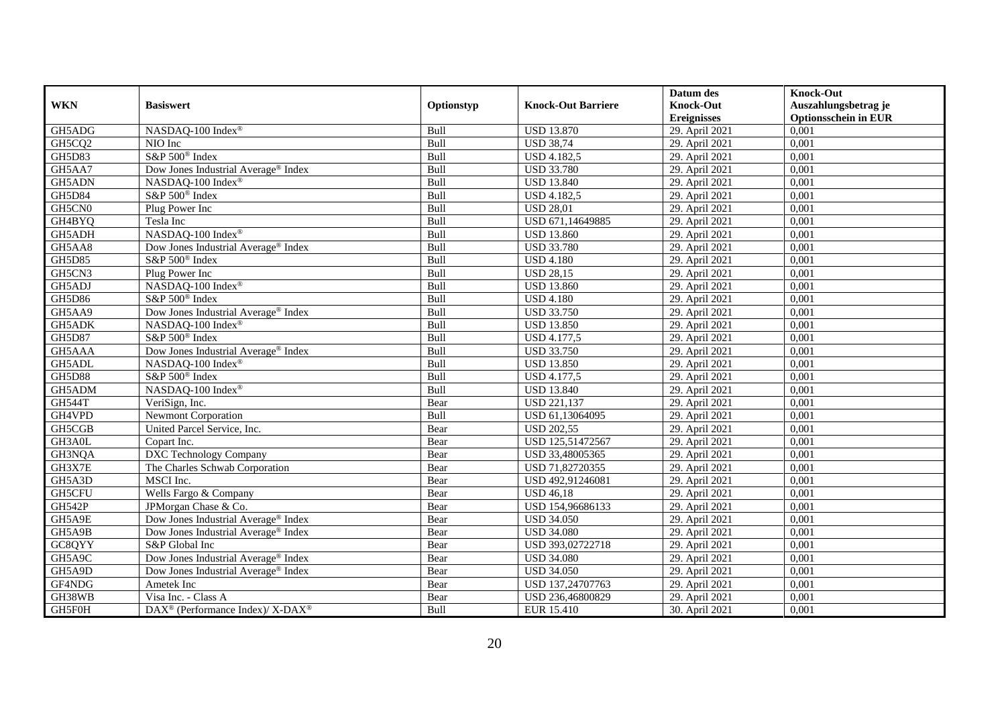|               |                                                                          |            |                           | Datum des          | <b>Knock-Out</b>            |
|---------------|--------------------------------------------------------------------------|------------|---------------------------|--------------------|-----------------------------|
| <b>WKN</b>    | <b>Basiswert</b>                                                         | Optionstyp | <b>Knock-Out Barriere</b> | <b>Knock-Out</b>   | Auszahlungsbetrag je        |
|               |                                                                          |            |                           | <b>Ereignisses</b> | <b>Optionsschein in EUR</b> |
| GH5ADG        | NASDAQ-100 Index®                                                        | Bull       | <b>USD 13.870</b>         | 29. April 2021     | 0,001                       |
| GH5CQ2        | $\overline{N}$ IO Inc                                                    | Bull       | <b>USD 38,74</b>          | 29. April 2021     | 0,001                       |
| <b>GH5D83</b> | S&P 500 <sup>®</sup> Index                                               | Bull       | <b>USD 4.182,5</b>        | 29. April 2021     | 0,001                       |
| GH5AA7        | Dow Jones Industrial Average <sup>®</sup> Index                          | Bull       | <b>USD 33.780</b>         | 29. April 2021     | 0,001                       |
| GH5ADN        | NASDAQ-100 Index®                                                        | Bull       | <b>USD 13.840</b>         | 29. April 2021     | 0,001                       |
| GH5D84        | S&P 500 <sup>®</sup> Index                                               | Bull       | USD 4.182,5               | 29. April 2021     | 0,001                       |
| GH5CN0        | Plug Power Inc                                                           | Bull       | <b>USD 28,01</b>          | 29. April 2021     | 0,001                       |
| GH4BYQ        | Tesla Inc                                                                | Bull       | USD 671,14649885          | 29. April 2021     | 0,001                       |
| GH5ADH        | NASDAQ-100 Index®                                                        | Bull       | <b>USD 13.860</b>         | 29. April 2021     | 0,001                       |
| GH5AA8        | Dow Jones Industrial Average <sup>®</sup> Index                          | Bull       | <b>USD 33.780</b>         | 29. April 2021     | 0,001                       |
| GH5D85        | S&P 500 <sup>®</sup> Index                                               | Bull       | <b>USD 4.180</b>          | 29. April 2021     | 0,001                       |
| GH5CN3        | Plug Power Inc                                                           | Bull       | <b>USD 28,15</b>          | 29. April 2021     | 0,001                       |
| GH5ADJ        | NASDAQ-100 Index®                                                        | Bull       | <b>USD 13.860</b>         | 29. April 2021     | 0,001                       |
| GH5D86        | S&P 500 <sup>®</sup> Index                                               | Bull       | <b>USD 4.180</b>          | 29. April 2021     | 0,001                       |
| GH5AA9        | Dow Jones Industrial Average® Index                                      | Bull       | <b>USD 33.750</b>         | 29. April 2021     | 0,001                       |
| GH5ADK        | NASDAQ-100 Index®                                                        | Bull       | <b>USD 13.850</b>         | 29. April 2021     | 0,001                       |
| <b>GH5D87</b> | S&P 500 <sup>®</sup> Index                                               | Bull       | <b>USD 4.177,5</b>        | 29. April 2021     | 0,001                       |
| GH5AAA        | Dow Jones Industrial Average® Index                                      | Bull       | <b>USD 33.750</b>         | 29. April 2021     | 0,001                       |
| GH5ADL        | NASDAQ-100 Index®                                                        | Bull       | <b>USD 13.850</b>         | 29. April 2021     | 0,001                       |
| <b>GH5D88</b> | S&P 500 <sup>®</sup> Index                                               | Bull       | <b>USD 4.177,5</b>        | 29. April 2021     | 0,001                       |
| GH5ADM        | NASDAQ-100 Index®                                                        | Bull       | <b>USD 13.840</b>         | 29. April 2021     | 0,001                       |
| <b>GH544T</b> | VeriSign, Inc.                                                           | Bear       | <b>USD 221,137</b>        | 29. April 2021     | 0,001                       |
| GH4VPD        | <b>Newmont Corporation</b>                                               | Bull       | USD 61,13064095           | 29. April 2021     | 0,001                       |
| GH5CGB        | United Parcel Service, Inc.                                              | Bear       | <b>USD 202,55</b>         | 29. April 2021     | 0,001                       |
| GH3A0L        | Copart Inc.                                                              | Bear       | USD 125,51472567          | 29. April 2021     | 0.001                       |
| GH3NQA        | <b>DXC Technology Company</b>                                            | Bear       | USD 33,48005365           | 29. April 2021     | 0,001                       |
| GH3X7E        | The Charles Schwab Corporation                                           | Bear       | USD 71,82720355           | 29. April 2021     | 0,001                       |
| GH5A3D        | MSCI Inc.                                                                | Bear       | USD 492,91246081          | 29. April 2021     | 0,001                       |
| GH5CFU        | Wells Fargo & Company                                                    | Bear       | <b>USD 46,18</b>          | 29. April 2021     | 0,001                       |
| <b>GH542P</b> | JPMorgan Chase & Co.                                                     | Bear       | USD 154,96686133          | 29. April 2021     | 0,001                       |
| GH5A9E        | Dow Jones Industrial Average® Index                                      | Bear       | <b>USD 34.050</b>         | 29. April 2021     | 0,001                       |
| GH5A9B        | Dow Jones Industrial Average <sup>®</sup> Index                          | Bear       | <b>USD 34.080</b>         | 29. April 2021     | 0.001                       |
| GC8QYY        | S&P Global Inc                                                           | Bear       | USD 393,02722718          | 29. April 2021     | 0,001                       |
| GH5A9C        | Dow Jones Industrial Average® Index                                      | Bear       | <b>USD 34.080</b>         | 29. April 2021     | 0,001                       |
| GH5A9D        | Dow Jones Industrial Average® Index                                      | Bear       | <b>USD 34.050</b>         | 29. April 2021     | 0,001                       |
| GF4NDG        | Ametek Inc                                                               | Bear       | USD 137,24707763          | 29. April 2021     | 0,001                       |
| GH38WB        | Visa Inc. - Class A                                                      | Bear       | USD 236,46800829          | 29. April 2021     | 0,001                       |
| GH5F0H        | $\overline{\text{DAX}^{\otimes}}$ (Performance Index)/X-DAX <sup>®</sup> | Bull       | EUR 15.410                | 30. April 2021     | 0,001                       |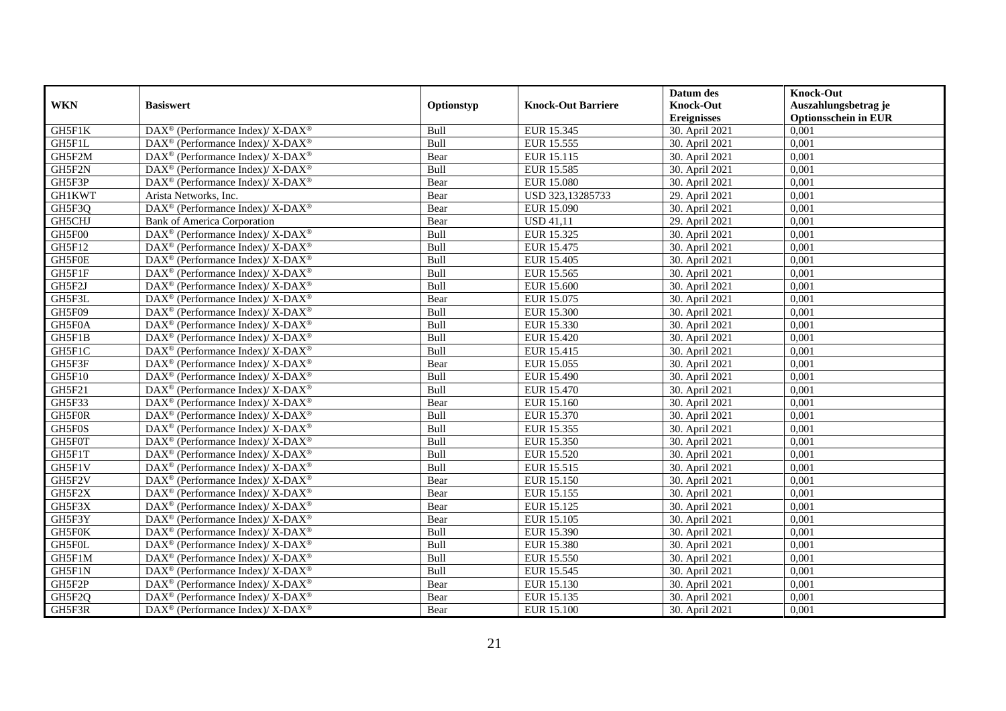|               |                                                                          |            |                           | Datum des          | <b>Knock-Out</b>            |
|---------------|--------------------------------------------------------------------------|------------|---------------------------|--------------------|-----------------------------|
| <b>WKN</b>    | <b>Basiswert</b>                                                         | Optionstyp | <b>Knock-Out Barriere</b> | <b>Knock-Out</b>   | Auszahlungsbetrag je        |
|               |                                                                          |            |                           | <b>Ereignisses</b> | <b>Optionsschein in EUR</b> |
| GH5F1K        | DAX <sup>®</sup> (Performance Index)/X-DAX <sup>®</sup>                  | Bull       | EUR 15.345                | 30. April 2021     | 0,001                       |
| GH5F1L        | $\text{DAX}^{\circledast}$ (Performance Index)/ X-DAX <sup>®</sup>       | Bull       | EUR 15.555                | 30. April 2021     | 0,001                       |
| GH5F2M        | $\text{DAX}^{\circledast}$ (Performance Index)/ X-DAX <sup>®</sup>       | Bear       | EUR 15.115                | 30. April 2021     | 0,001                       |
| GH5F2N        | DAX <sup>®</sup> (Performance Index)/X-DAX <sup>®</sup>                  | Bull       | EUR 15.585                | 30. April 2021     | 0,001                       |
| GH5F3P        | DAX <sup>®</sup> (Performance Index)/ X-DAX <sup>®</sup>                 | Bear       | <b>EUR 15.080</b>         | 30. April 2021     | 0,001                       |
| <b>GH1KWT</b> | Arista Networks, Inc.                                                    | Bear       | USD 323,13285733          | 29. April 2021     | 0,001                       |
| GH5F3Q        | DAX <sup>®</sup> (Performance Index)/ X-DAX <sup>®</sup>                 | Bear       | EUR 15.090                | 30. April 2021     | 0,001                       |
| GH5CHJ        | <b>Bank of America Corporation</b>                                       | Bear       | <b>USD 41,11</b>          | 29. April 2021     | 0,001                       |
| GH5F00        | DAX <sup>®</sup> (Performance Index)/ X-DAX <sup>®</sup>                 | Bull       | EUR 15.325                | 30. April 2021     | 0,001                       |
| GH5F12        | DAX <sup>®</sup> (Performance Index)/X-DAX <sup>®</sup>                  | Bull       | EUR 15.475                | 30. April 2021     | 0,001                       |
| GH5F0E        | $\text{DAX}^{\circledast}$ (Performance Index)/ X-DAX <sup>®</sup>       | Bull       | EUR 15.405                | 30. April 2021     | 0.001                       |
| GH5F1F        | DAX <sup>®</sup> (Performance Index)/ X-DAX <sup>®</sup>                 | Bull       | EUR 15.565                | 30. April 2021     | 0,001                       |
| GH5F2J        | $\text{DAX}^{\circledast}$ (Performance Index)/ X-DAX <sup>®</sup>       | Bull       | <b>EUR 15.600</b>         | 30. April 2021     | 0,001                       |
| GH5F3L        | $\text{DAX}^{\circledR}$ (Performance Index)/ X-DAX <sup>®</sup>         | Bear       | EUR 15.075                | 30. April 2021     | 0,001                       |
| GH5F09        | DAX <sup>®</sup> (Performance Index)/ X-DAX <sup>®</sup>                 | Bull       | <b>EUR 15.300</b>         | 30. April 2021     | 0,001                       |
| GH5F0A        | DAX <sup>®</sup> (Performance Index)/ X-DAX <sup>®</sup>                 | Bull       | EUR 15.330                | 30. April 2021     | 0,001                       |
| GH5F1B        | DAX <sup>®</sup> (Performance Index)/ X-DAX <sup>®</sup>                 | Bull       | EUR 15.420                | 30. April 2021     | 0,001                       |
| GH5F1C        | $\text{DAX}^{\circledast}$ (Performance Index)/ X-DAX <sup>®</sup>       | Bull       | EUR 15.415                | 30. April 2021     | 0,001                       |
| GH5F3F        | DAX <sup>®</sup> (Performance Index)/ X-DAX <sup>®</sup>                 | Bear       | EUR 15.055                | 30. April 2021     | 0,001                       |
| GH5F10        | $\text{DAX}^{\circledast}$ (Performance Index)/ X-DAX <sup>®</sup>       | Bull       | EUR 15.490                | 30. April 2021     | 0,001                       |
| GH5F21        | DAX <sup>®</sup> (Performance Index)/ X-DAX <sup>®</sup>                 | Bull       | EUR 15.470                | 30. April 2021     | 0,001                       |
| GH5F33        | $\text{DAX}^{\circledast}$ (Performance Index)/ X-DAX <sup>®</sup>       | Bear       | EUR 15.160                | 30. April 2021     | 0,001                       |
| GH5F0R        | DAX <sup>®</sup> (Performance Index)/X-DAX <sup>®</sup>                  | Bull       | EUR 15.370                | 30. April 2021     | 0,001                       |
| GH5F0S        | DAX <sup>®</sup> (Performance Index)/ X-DAX <sup>®</sup>                 | Bull       | EUR 15.355                | 30. April 2021     | 0,001                       |
| GH5F0T        | $\text{DAX}^{\circledast}$ (Performance Index)/ X-DAX <sup>®</sup>       | Bull       | EUR 15.350                | 30. April 2021     | 0.001                       |
| GH5F1T        | $\text{DAX}^{\circledast}$ (Performance Index)/ X-DAX <sup>®</sup>       | Bull       | <b>EUR 15.520</b>         | 30. April 2021     | 0,001                       |
| GH5F1V        | DAX <sup>®</sup> (Performance Index)/ X-DAX <sup>®</sup>                 | Bull       | EUR 15.515                | 30. April 2021     | 0,001                       |
| GH5F2V        | DAX <sup>®</sup> (Performance Index)/ X-DAX <sup>®</sup>                 | Bear       | <b>EUR 15.150</b>         | 30. April 2021     | 0,001                       |
| GH5F2X        | DAX <sup>®</sup> (Performance Index)/ X-DAX <sup>®</sup>                 | Bear       | EUR 15.155                | 30. April 2021     | 0,001                       |
| GH5F3X        | $\text{DAX}^{\otimes}$ (Performance Index)/X-DAX <sup>®</sup>            | Bear       | EUR 15.125                | 30. April 2021     | 0,001                       |
| GH5F3Y        | $\text{DAX}^{\circledast}$ (Performance Index)/ X-DAX <sup>®</sup>       | Bear       | EUR 15.105                | 30. April 2021     | 0,001                       |
| GH5F0K        | $\overline{\text{DAX}^{\otimes}}$ (Performance Index)/X-DAX <sup>®</sup> | Bull       | EUR 15.390                | 30. April 2021     | 0.001                       |
| GH5F0L        | $\text{DAX}^{\circledast}$ (Performance Index)/ X-DAX <sup>®</sup>       | Bull       | <b>EUR 15.380</b>         | 30. April 2021     | 0,001                       |
| GH5F1M        | $\text{DAX}^{\circledR}$ (Performance Index)/ X-DAX <sup>®</sup>         | Bull       | EUR 15.550                | 30. April 2021     | 0,001                       |
| GH5F1N        | $\text{DAX}^{\circledR}$ (Performance Index)/ X-DAX <sup>®</sup>         | Bull       | EUR 15.545                | 30. April 2021     | 0,001                       |
| GH5F2P        | $\text{DAX}^{\otimes}$ (Performance Index)/X-DAX <sup>®</sup>            | Bear       | EUR 15.130                | 30. April 2021     | 0,001                       |
| GH5F2Q        | DAX <sup>®</sup> (Performance Index)/ X-DAX <sup>®</sup>                 | Bear       | EUR 15.135                | 30. April 2021     | 0,001                       |
| GH5F3R        | $\text{DAX}^{\circledast}$ (Performance Index)/ X-DAX <sup>®</sup>       | Bear       | EUR 15.100                | 30. April 2021     | 0,001                       |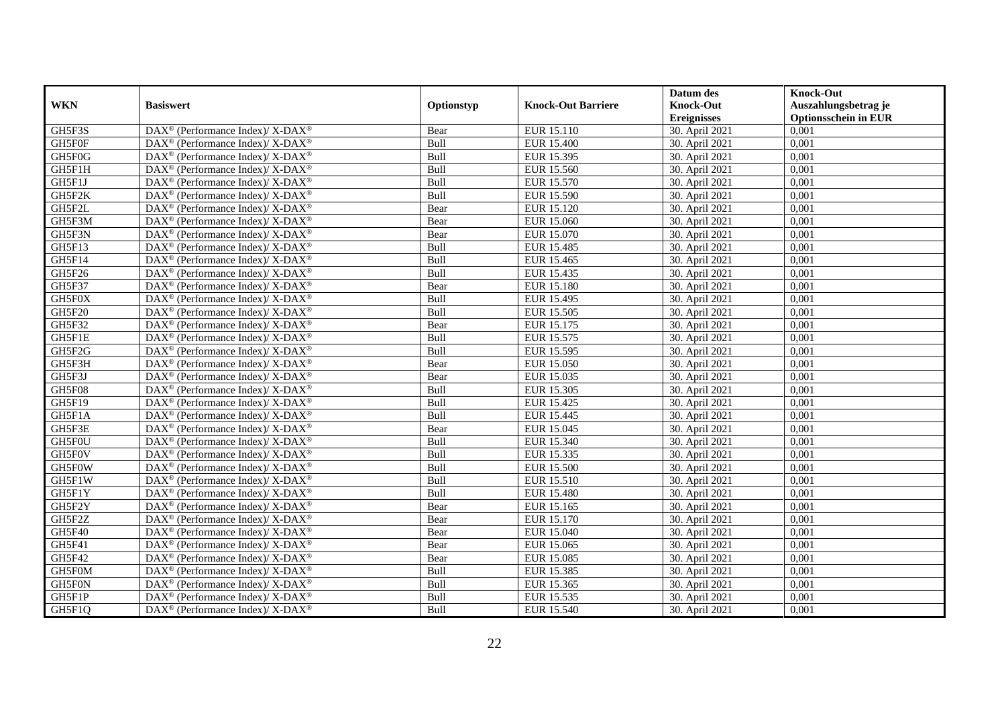|               |                                                                          |            |                           | Datum des          | <b>Knock-Out</b>            |
|---------------|--------------------------------------------------------------------------|------------|---------------------------|--------------------|-----------------------------|
| <b>WKN</b>    | <b>Basiswert</b>                                                         | Optionstyp | <b>Knock-Out Barriere</b> | <b>Knock-Out</b>   | Auszahlungsbetrag je        |
|               |                                                                          |            |                           | <b>Ereignisses</b> | <b>Optionsschein in EUR</b> |
| GH5F3S        | DAX <sup>®</sup> (Performance Index)/X-DAX <sup>®</sup>                  | Bear       | EUR 15.110                | 30. April 2021     | 0,001                       |
| GH5F0F        | $\text{DAX}^{\circledast}$ (Performance Index)/ X-DAX <sup>®</sup>       | Bull       | <b>EUR 15.400</b>         | 30. April 2021     | 0,001                       |
| GH5F0G        | $\text{DAX}^{\circledast}$ (Performance Index)/ X-DAX <sup>®</sup>       | Bull       | EUR 15.395                | 30. April 2021     | 0,001                       |
| GH5F1H        | DAX <sup>®</sup> (Performance Index)/X-DAX <sup>®</sup>                  | Bull       | EUR 15.560                | 30. April 2021     | 0,001                       |
| GH5F1J        | DAX <sup>®</sup> (Performance Index)/ X-DAX <sup>®</sup>                 | Bull       | <b>EUR 15.570</b>         | 30. April 2021     | 0,001                       |
| GH5F2K        | $\text{DAX}^{\circledR}$ (Performance Index)/ X-DAX <sup>®</sup>         | Bull       | EUR 15.590                | 30. April 2021     | 0,001                       |
| GH5F2L        | $\text{DAX}^{\circledR}$ (Performance Index)/ X-DAX <sup>®</sup>         | Bear       | EUR 15.120                | 30. April 2021     | 0,001                       |
| GH5F3M        | $\text{DAX}^{\otimes}$ (Performance Index)/X-DAX <sup>®</sup>            | Bear       | EUR 15.060                | 30. April 2021     | 0,001                       |
| GH5F3N        | $\text{DAX}^{\circledast}$ (Performance Index)/ X-DAX <sup>®</sup>       | Bear       | EUR 15.070                | 30. April 2021     | 0,001                       |
| GH5F13        | DAX <sup>®</sup> (Performance Index)/ X-DAX <sup>®</sup>                 | Bull       | EUR 15.485                | 30. April 2021     | 0,001                       |
| GH5F14        | $\text{DAX}^{\circledast}$ (Performance Index)/ X-DAX <sup>®</sup>       | Bull       | EUR 15.465                | 30. April 2021     | 0,001                       |
| GH5F26        | $\text{DAX}^{\circledR}$ (Performance Index)/ X-DAX <sup>®</sup>         | Bull       | EUR 15.435                | 30. April 2021     | 0,001                       |
| GH5F37        | $\text{DAX}^{\circledast}$ (Performance Index)/ X-DAX <sup>®</sup>       | Bear       | <b>EUR 15.180</b>         | 30. April 2021     | 0,001                       |
| GH5F0X        | $\text{DAX}^{\circledR}$ (Performance Index)/ X-DAX <sup>®</sup>         | Bull       | EUR 15.495                | 30. April 2021     | 0,001                       |
| <b>GH5F20</b> | DAX <sup>®</sup> (Performance Index)/ X-DAX <sup>®</sup>                 | Bull       | EUR 15.505                | 30. April 2021     | 0,001                       |
| GH5F32        | DAX <sup>®</sup> (Performance Index)/ X-DAX <sup>®</sup>                 | Bear       | EUR 15.175                | 30. April 2021     | 0,001                       |
| GH5F1E        | DAX <sup>®</sup> (Performance Index)/ X-DAX <sup>®</sup>                 | Bull       | EUR 15.575                | 30. April 2021     | 0,001                       |
| GH5F2G        | $\text{DAX}^{\circledast}$ (Performance Index)/ X-DAX <sup>®</sup>       | Bull       | EUR 15.595                | 30. April 2021     | 0,001                       |
| GH5F3H        | $\text{DAX}^{\circledR}$ (Performance Index)/ X-DAX <sup>®</sup>         | Bear       | <b>EUR 15.050</b>         | 30. April 2021     | 0,001                       |
| GH5F3J        | $\text{DAX}^{\circledast}$ (Performance Index)/ X-DAX <sup>®</sup>       | Bear       | EUR 15.035                | 30. April 2021     | 0,001                       |
| GH5F08        | $\text{DAX}^{\circledR}$ (Performance Index)/ X-DAX <sup>®</sup>         | Bull       | <b>EUR 15.305</b>         | 30. April 2021     | 0,001                       |
| GH5F19        | $\text{DAX}^{\circledast}$ (Performance Index)/ X-DAX <sup>®</sup>       | Bull       | EUR 15.425                | 30. April 2021     | 0,001                       |
| GH5F1A        | DAX <sup>®</sup> (Performance Index)/X-DAX <sup>®</sup>                  | Bull       | EUR 15.445                | 30. April 2021     | 0,001                       |
| GH5F3E        | $\text{DAX}^{\circledR}$ (Performance Index)/ X-DAX <sup>®</sup>         | Bear       | EUR 15.045                | 30. April 2021     | 0,001                       |
| GH5F0U        | $\text{DAX}^{\circledast}$ (Performance Index)/ X-DAX <sup>®</sup>       | Bull       | EUR 15.340                | 30. April 2021     | 0.001                       |
| GH5F0V        | $\text{DAX}^{\circledast}$ (Performance Index)/ X-DAX <sup>®</sup>       | Bull       | EUR 15.335                | 30. April 2021     | 0,001                       |
| GH5F0W        | DAX <sup>®</sup> (Performance Index)/ X-DAX <sup>®</sup>                 | Bull       | <b>EUR 15.500</b>         | 30. April 2021     | 0,001                       |
| GH5F1W        | $\text{DAX}^{\circledR}$ (Performance Index)/ X-DAX <sup>®</sup>         | Bull       | EUR 15.510                | 30. April 2021     | 0,001                       |
| GH5F1Y        | $\text{DAX}^{\circledR}$ (Performance Index)/ X-DAX <sup>®</sup>         | Bull       | <b>EUR 15.480</b>         | 30. April 2021     | 0,001                       |
| GH5F2Y        | $\text{DAX}^{\otimes}$ (Performance Index)/X-DAX <sup>®</sup>            | Bear       | EUR 15.165                | 30. April 2021     | 0,001                       |
| GH5F2Z        | $\text{DAX}^{\circledast}$ (Performance Index)/ X-DAX <sup>®</sup>       | Bear       | EUR 15.170                | 30. April 2021     | 0,001                       |
| GH5F40        | $\overline{\text{DAX}^{\otimes}}$ (Performance Index)/X-DAX <sup>®</sup> | Bear       | EUR 15.040                | 30. April 2021     | 0.001                       |
| GH5F41        | $\text{DAX}^{\circledast}$ (Performance Index)/ X-DAX <sup>®</sup>       | Bear       | EUR 15.065                | 30. April 2021     | 0,001                       |
| GH5F42        | $\text{DAX}^{\circledR}$ (Performance Index)/ X-DAX <sup>®</sup>         | Bear       | <b>EUR 15.085</b>         | 30. April 2021     | 0,001                       |
| GH5F0M        | $\text{DAX}^{\circledR}$ (Performance Index)/ X-DAX <sup>®</sup>         | Bull       | <b>EUR 15.385</b>         | 30. April 2021     | 0,001                       |
| GH5F0N        | $\text{DAX}^{\otimes}$ (Performance Index)/X-DAX <sup>®</sup>            | Bull       | EUR 15.365                | 30. April 2021     | 0,001                       |
| GH5F1P        | DAX <sup>®</sup> (Performance Index)/ X-DAX <sup>®</sup>                 | Bull       | EUR 15.535                | 30. April 2021     | 0,001                       |
| GH5F1Q        | DAX <sup>®</sup> (Performance Index)/X-DAX <sup>®</sup>                  | Bull       | EUR 15.540                | 30. April 2021     | 0,001                       |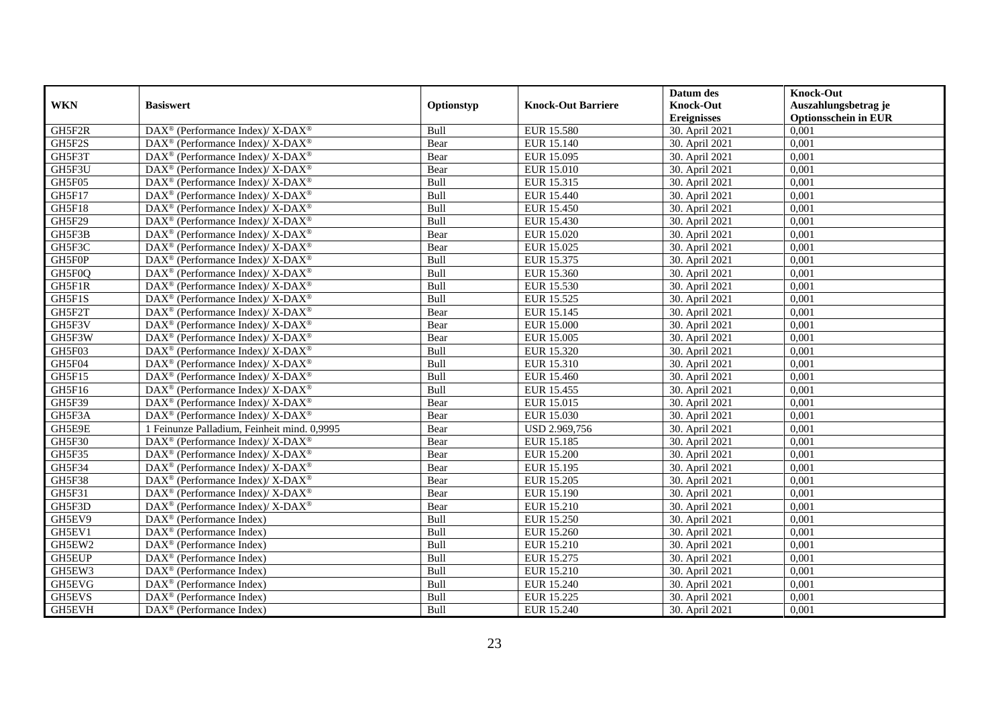|               |                                                                                         |            |                           | Datum des          | <b>Knock-Out</b>            |
|---------------|-----------------------------------------------------------------------------------------|------------|---------------------------|--------------------|-----------------------------|
| <b>WKN</b>    | <b>Basiswert</b>                                                                        | Optionstyp | <b>Knock-Out Barriere</b> | <b>Knock-Out</b>   | Auszahlungsbetrag je        |
|               |                                                                                         |            |                           | <b>Ereignisses</b> | <b>Optionsschein in EUR</b> |
| GH5F2R        | DAX <sup>®</sup> (Performance Index)/X-DAX <sup>®</sup>                                 | Bull       | EUR 15.580                | 30. April 2021     | 0,001                       |
| GH5F2S        | $\text{DAX}^{\circledast}$ (Performance Index)/ X-DAX <sup>®</sup>                      | Bear       | <b>EUR 15.140</b>         | 30. April 2021     | 0,001                       |
| GH5F3T        | $\text{DAX}^{\circledast}$ (Performance Index)/ X-DAX <sup>®</sup>                      | Bear       | EUR 15.095                | 30. April 2021     | 0,001                       |
| GH5F3U        | DAX <sup>®</sup> (Performance Index)/X-DAX <sup>®</sup>                                 | Bear       | EUR 15.010                | 30. April 2021     | 0,001                       |
| GH5F05        | DAX <sup>®</sup> (Performance Index)/ X-DAX <sup>®</sup>                                | Bull       | EUR 15.315                | 30. April 2021     | 0,001                       |
| GH5F17        | $\text{DAX}^{\circledR}$ (Performance Index)/ X-DAX <sup>®</sup>                        | Bull       | EUR 15.440                | 30. April 2021     | 0,001                       |
| GH5F18        | $DAX^{\circledcirc}$ (Performance Index)/ X-DAX <sup>®</sup>                            | Bull       | <b>EUR 15.450</b>         | 30. April 2021     | 0,001                       |
| GH5F29        | $\text{DAX}^{\otimes}$ (Performance Index)/X-DAX <sup>®</sup>                           | Bull       | EUR 15.430                | 30. April 2021     | 0,001                       |
| GH5F3B        | $\text{DAX}^{\circledast}$ (Performance Index)/ X-DAX <sup>®</sup>                      | Bear       | EUR 15.020                | 30. April 2021     | 0,001                       |
| GH5F3C        | DAX <sup>®</sup> (Performance Index)/X-DAX <sup>®</sup>                                 | Bear       | EUR 15.025                | 30. April 2021     | 0,001                       |
| GH5F0P        | $\text{DAX}^{\circledast}$ (Performance Index)/ X-DAX <sup>®</sup>                      | Bull       | EUR 15.375                | 30. April 2021     | 0.001                       |
| GH5F0Q        | $\text{DAX}^{\circledR}$ (Performance Index)/ X-DAX <sup>®</sup>                        | Bull       | EUR 15.360                | 30. April 2021     | 0,001                       |
| GH5F1R        | $\text{DAX}^{\circledast}$ (Performance Index)/ X-DAX <sup>®</sup>                      | Bull       | EUR 15.530                | 30. April 2021     | 0,001                       |
| GH5F1S        | $\text{DAX}^{\circledR}$ (Performance Index)/ X-DAX <sup>®</sup>                        | Bull       | EUR 15.525                | 30. April 2021     | 0,001                       |
| GH5F2T        | DAX <sup>®</sup> (Performance Index)/ X-DAX <sup>®</sup>                                | Bear       | EUR 15.145                | 30. April 2021     | 0,001                       |
| GH5F3V        | DAX <sup>®</sup> (Performance Index)/ X-DAX <sup>®</sup>                                | Bear       | <b>EUR 15.000</b>         | 30. April 2021     | 0,001                       |
| GH5F3W        | $\text{DAX}^{\circledR}$ (Performance Index)/ X-DAX <sup>®</sup>                        | Bear       | EUR 15.005                | 30. April 2021     | 0,001                       |
| GH5F03        | $DAX^{\circledcirc}$ (Performance Index)/X-DAX <sup>®</sup>                             | Bull       | EUR 15.320                | 30. April 2021     | 0,001                       |
| GH5F04        | $\text{DAX}^{\circledR}$ (Performance Index)/ X-DAX <sup>®</sup>                        | Bull       | EUR 15.310                | 30. April 2021     | 0,001                       |
| GH5F15        | $\text{DAX}^{\circledast}$ (Performance Index)/ X-DAX <sup>®</sup>                      | Bull       | EUR 15.460                | 30. April 2021     | 0,001                       |
| GH5F16        | $\text{DAX}^{\circledR}$ (Performance Index)/ X-DAX <sup>®</sup>                        | Bull       | EUR 15.455                | 30. April 2021     | 0,001                       |
| GH5F39        | $\text{DAX}^{\otimes}$ (Performance Index)/X-DAX <sup>®</sup>                           | Bear       | EUR 15.015                | 30. April 2021     | 0,001                       |
| GH5F3A        | $\text{DAX}^{\circledast}$ (Performance Index)/ $\overline{\text{X-DAX}^{\circledast}}$ | Bear       | EUR 15.030                | 30. April 2021     | 0,001                       |
| GH5E9E        | 1 Feinunze Palladium, Feinheit mind. 0,9995                                             | Bear       | USD 2.969,756             | 30. April 2021     | 0,001                       |
| GH5F30        | $DAX^{\circledcirc}$ (Performance Index)/X-DAX <sup>®</sup>                             | Bear       | <b>EUR 15.185</b>         | 30. April 2021     | 0.001                       |
| GH5F35        | $\text{DAX}^{\circledR}$ (Performance Index)/ X-DAX <sup>®</sup>                        | Bear       | <b>EUR 15.200</b>         | 30. April 2021     | 0,001                       |
| GH5F34        | DAX <sup>®</sup> (Performance Index)/ X-DAX <sup>®</sup>                                | Bear       | EUR 15.195                | 30. April 2021     | 0,001                       |
| GH5F38        | $\text{DAX}^{\circledR}$ (Performance Index)/ X-DAX <sup>®</sup>                        | Bear       | <b>EUR 15.205</b>         | 30. April 2021     | 0,001                       |
| GH5F31        | $\text{DAX}^{\circledR}$ (Performance Index)/ X-DAX <sup>®</sup>                        | Bear       | EUR 15.190                | 30. April 2021     | 0,001                       |
| GH5F3D        | DAX <sup>®</sup> (Performance Index)/X-DAX <sup>®</sup>                                 | Bear       | EUR 15.210                | 30. April 2021     | 0,001                       |
| GH5EV9        | $\text{DAX}^{\textcircled{n}}$ (Performance Index)                                      | Bull       | <b>EUR 15.250</b>         | 30. April 2021     | 0,001                       |
| GH5EV1        | $DAX^{\circledR}$ (Performance Index)                                                   | Bull       | EUR 15.260                | 30. April 2021     | 0.001                       |
| GH5EW2        | $\overline{\text{DAX}^{\otimes}}$ (Performance Index)                                   | Bull       | <b>EUR 15.210</b>         | 30. April 2021     | 0,001                       |
| <b>GH5EUP</b> | DAX <sup>®</sup> (Performance Index)                                                    | Bull       | EUR 15.275                | 30. April 2021     | 0,001                       |
| GH5EW3        | DAX <sup>®</sup> (Performance Index)                                                    | Bull       | EUR 15.210                | 30. April 2021     | 0,001                       |
| GH5EVG        | DAX <sup>®</sup> (Performance Index)                                                    | Bull       | <b>EUR 15.240</b>         | 30. April 2021     | 0,001                       |
| GH5EVS        | $\text{DAX}^{\otimes}$ (Performance Index)                                              | Bull       | EUR 15.225                | 30. April 2021     | 0,001                       |
| GH5EVH        | DAX <sup>®</sup> (Performance Index)                                                    | Bull       | EUR 15.240                | 30. April 2021     | 0,001                       |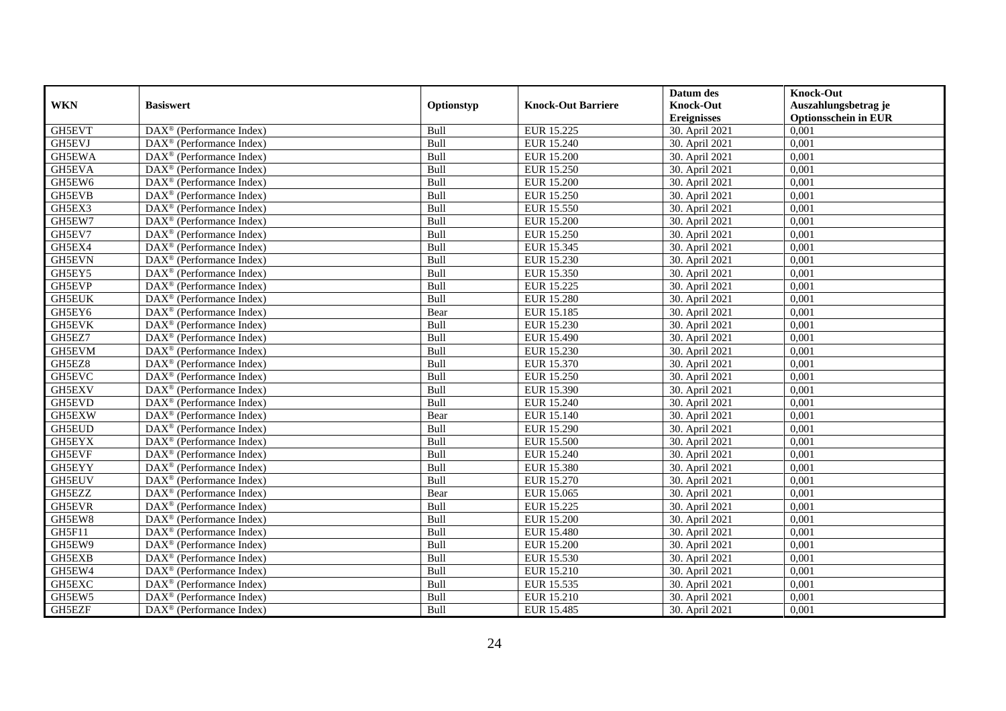|               |                                                              |            |                           | Datum des          | <b>Knock-Out</b>            |
|---------------|--------------------------------------------------------------|------------|---------------------------|--------------------|-----------------------------|
| <b>WKN</b>    | <b>Basiswert</b>                                             | Optionstyp | <b>Knock-Out Barriere</b> | <b>Knock-Out</b>   | Auszahlungsbetrag je        |
|               |                                                              |            |                           | <b>Ereignisses</b> | <b>Optionsschein in EUR</b> |
| GH5EVT        | DAX <sup>®</sup> (Performance Index)                         | Bull       | EUR 15.225                | 30. April 2021     | 0,001                       |
| GH5EVJ        | $\text{DAX}^{\textcircled{p}}$ (Performance Index)           | Bull       | EUR 15.240                | 30. April 2021     | 0,001                       |
| GH5EWA        | DAX <sup>®</sup> (Performance Index)                         | Bull       | <b>EUR 15.200</b>         | 30. April 2021     | 0,001                       |
| GH5EVA        | $\text{DAX}^{\otimes}$ (Performance Index)                   | Bull       | <b>EUR 15.250</b>         | 30. April 2021     | 0,001                       |
| GH5EW6        | DAX <sup>®</sup> (Performance Index)                         | Bull       | <b>EUR 15.200</b>         | 30. April 2021     | 0,001                       |
| <b>GH5EVB</b> | $\text{DAX}^{\textcircled{n}}$ (Performance Index)           | Bull       | EUR 15.250                | 30. April 2021     | 0,001                       |
| GH5EX3        | $\text{DAX}^{\textcircled{n}}$ (Performance Index)           | Bull       | EUR 15.550                | 30. April 2021     | 0,001                       |
| GH5EW7        | $DAX^{\otimes}$ (Performance Index)                          | Bull       | <b>EUR 15.200</b>         | 30. April 2021     | 0,001                       |
| GH5EV7        | $\text{DAX}^{\textcircled{p}}$ (Performance Index)           | Bull       | <b>EUR 15.250</b>         | 30. April 2021     | 0,001                       |
| GH5EX4        | DAX <sup>®</sup> (Performance Index)                         | Bull       | EUR 15.345                | 30. April 2021     | 0,001                       |
| <b>GH5EVN</b> | DAX <sup>®</sup> (Performance Index)                         | Bull       | EUR 15.230                | 30. April 2021     | 0,001                       |
| GH5EY5        | $\overline{\text{DAX}^{\otimes}}$ (Performance Index)        | Bull       | EUR 15.350                | 30. April 2021     | 0,001                       |
| GH5EVP        | $\text{DAX}^{\textcircled{n}}$ (Performance Index)           | Bull       | <b>EUR 15.225</b>         | 30. April 2021     | 0,001                       |
| <b>GH5EUK</b> | DAX <sup>®</sup> (Performance Index)                         | Bull       | <b>EUR 15.280</b>         | 30. April 2021     | 0,001                       |
| GH5EY6        | DAX <sup>®</sup> (Performance Index)                         | Bear       | EUR 15.185                | 30. April 2021     | 0,001                       |
| GH5EVK        | DAX <sup>®</sup> (Performance Index)                         | Bull       | EUR 15.230                | 30. April 2021     | 0,001                       |
| GH5EZ7        | DAX <sup>®</sup> (Performance Index)                         | Bull       | EUR 15.490                | 30. April 2021     | 0,001                       |
| GH5EVM        | $\overline{\text{DAX}}^{\textcirc}$ (Performance Index)      | Bull       | EUR 15.230                | 30. April 2021     | 0,001                       |
| GH5EZ8        | $\overline{\text{DAX}}^{\textcircled{}}$ (Performance Index) | Bull       | EUR 15.370                | 30. April 2021     | 0,001                       |
| <b>GH5EVC</b> | DAX <sup>®</sup> (Performance Index)                         | Bull       | EUR 15.250                | 30. April 2021     | 0,001                       |
| <b>GH5EXV</b> | DAX <sup>®</sup> (Performance Index)                         | Bull       | EUR 15.390                | 30. April 2021     | 0,001                       |
| GH5EVD        | $\overline{\text{DAX}^{\otimes}}$ (Performance Index)        | Bull       | <b>EUR 15.240</b>         | 30. April 2021     | 0,001                       |
| GH5EXW        | DAX <sup>®</sup> (Performance Index)                         | Bear       | <b>EUR 15.140</b>         | 30. April 2021     | 0,001                       |
| <b>GH5EUD</b> | DAX <sup>®</sup> (Performance Index)                         | Bull       | EUR 15.290                | 30. April 2021     | 0,001                       |
| GH5EYX        | $\text{DAX}^{\textcircled{n}}$ (Performance Index)           | Bull       | <b>EUR 15.500</b>         | 30. April 2021     | 0,001                       |
| GH5EVF        | $\text{DAX}^{\otimes}$ (Performance Index)                   | Bull       | EUR 15.240                | 30. April 2021     | 0,001                       |
| GH5EYY        | $\text{DAX}^{\circledast}$ (Performance Index)               | Bull       | EUR 15.380                | 30. April 2021     | 0,001                       |
| <b>GH5EUV</b> | $\text{DAX}^{\textcircled{p}}$ (Performance Index)           | Bull       | EUR 15.270                | 30. April 2021     | 0.001                       |
| GH5EZZ        | $\text{DAX}^{\textcircled{p}}$ (Performance Index)           | Bear       | EUR 15.065                | 30. April 2021     | 0,001                       |
| <b>GH5EVR</b> | $DAX^{\otimes}$ (Performance Index)                          | Bull       | EUR 15.225                | 30. April 2021     | 0,001                       |
| GH5EW8        | DAX <sup>®</sup> (Performance Index)                         | Bull       | <b>EUR 15.200</b>         | 30. April 2021     | 0,001                       |
| GH5F11        | DAX <sup>®</sup> (Performance Index)                         | Bull       | <b>EUR 15.480</b>         | 30. April 2021     | 0.001                       |
| GH5EW9        | $\overline{\text{DAX}^{\otimes}}$ (Performance Index)        | Bull       | <b>EUR 15.200</b>         | 30. April 2021     | 0,001                       |
| GH5EXB        | DAX <sup>®</sup> (Performance Index)                         | Bull       | EUR 15.530                | 30. April 2021     | 0,001                       |
| GH5EW4        | $\text{DAX}^{\textcircled{n}}$ (Performance Index)           | Bull       | <b>EUR 15.210</b>         | 30. April 2021     | 0,001                       |
| GH5EXC        | $\text{DAX}^{\textcircled{n}}$ (Performance Index)           | Bull       | EUR 15.535                | 30. April 2021     | 0,001                       |
| GH5EW5        | $\text{DAX}^{\otimes}$ (Performance Index)                   | Bull       | EUR 15.210                | 30. April 2021     | 0,001                       |
| GH5EZF        | $\overline{\text{DAX}}^{\textcirc}$ (Performance Index)      | Bull       | EUR 15.485                | 30. April 2021     | 0,001                       |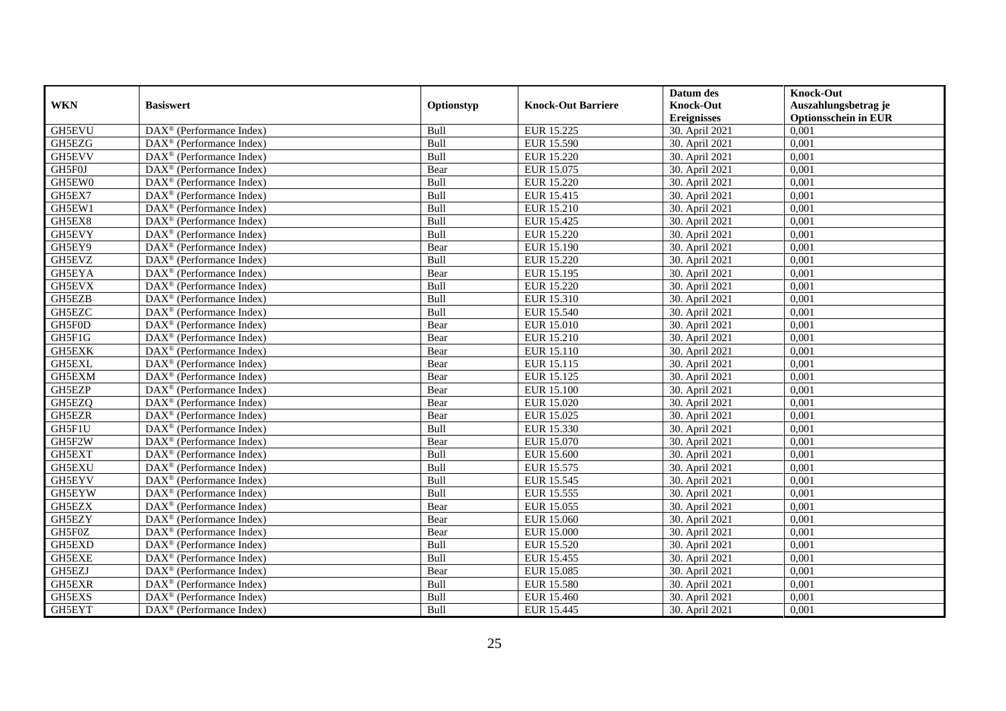|               |                                                              |            |                           | Datum des          | <b>Knock-Out</b>            |
|---------------|--------------------------------------------------------------|------------|---------------------------|--------------------|-----------------------------|
| <b>WKN</b>    | <b>Basiswert</b>                                             | Optionstyp | <b>Knock-Out Barriere</b> | <b>Knock-Out</b>   | Auszahlungsbetrag je        |
|               |                                                              |            |                           | <b>Ereignisses</b> | <b>Optionsschein in EUR</b> |
| GH5EVU        | DAX <sup>®</sup> (Performance Index)                         | Bull       | EUR 15.225                | 30. April 2021     | 0,001                       |
| GH5EZG        | $\text{DAX}^{\textcircled{p}}$ (Performance Index)           | Bull       | <b>EUR 15.590</b>         | 30. April 2021     | 0,001                       |
| GH5EVV        | DAX <sup>®</sup> (Performance Index)                         | Bull       | <b>EUR 15.220</b>         | 30. April 2021     | 0,001                       |
| GH5F0J        | $\text{DAX}^{\otimes}$ (Performance Index)                   | Bear       | EUR 15.075                | 30. April 2021     | 0,001                       |
| GH5EW0        | DAX <sup>®</sup> (Performance Index)                         | Bull       | EUR 15.220                | 30. April 2021     | 0,001                       |
| GH5EX7        | $\text{DAX}^{\textcircled{n}}$ (Performance Index)           | Bull       | EUR 15.415                | 30. April 2021     | 0,001                       |
| GH5EW1        | $\text{DAX}^{\textcircled{n}}$ (Performance Index)           | Bull       | EUR 15.210                | 30. April 2021     | 0,001                       |
| GH5EX8        | $DAX^{\otimes}$ (Performance Index)                          | Bull       | EUR 15.425                | 30. April 2021     | 0,001                       |
| GH5EVY        | $\text{DAX}^{\textcircled{p}}$ (Performance Index)           | Bull       | <b>EUR 15.220</b>         | 30. April 2021     | 0,001                       |
| GH5EY9        | $DAX^{\otimes}$ (Performance Index)                          | Bear       | EUR 15.190                | 30. April 2021     | 0,001                       |
| GH5EVZ        | DAX <sup>®</sup> (Performance Index)                         | Bull       | EUR 15.220                | 30. April 2021     | 0,001                       |
| GH5EYA        | $\overline{\text{DAX}^{\otimes}}$ (Performance Index)        | Bear       | EUR 15.195                | 30. April 2021     | 0,001                       |
| GH5EVX        | $\text{DAX}^{\textcircled{n}}$ (Performance Index)           | Bull       | <b>EUR 15.220</b>         | 30. April 2021     | 0,001                       |
| GH5EZB        | DAX <sup>®</sup> (Performance Index)                         | Bull       | EUR 15.310                | 30. April 2021     | 0,001                       |
| GH5EZC        | DAX <sup>®</sup> (Performance Index)                         | Bull       | EUR 15.540                | 30. April 2021     | 0,001                       |
| GH5F0D        | DAX <sup>®</sup> (Performance Index)                         | Bear       | EUR 15.010                | 30. April 2021     | 0,001                       |
| GH5F1G        | DAX <sup>®</sup> (Performance Index)                         | Bear       | EUR 15.210                | 30. April 2021     | 0,001                       |
| GH5EXK        | $\overline{\text{DAX}}^{\textcirc}$ (Performance Index)      | Bear       | EUR 15.110                | 30. April 2021     | 0,001                       |
| <b>GH5EXL</b> | $\overline{\text{DAX}}^{\textcircled{}}$ (Performance Index) | Bear       | EUR 15.115                | 30. April 2021     | 0,001                       |
| GH5EXM        | DAX <sup>®</sup> (Performance Index)                         | Bear       | EUR 15.125                | 30. April 2021     | 0,001                       |
| <b>GH5EZP</b> | DAX <sup>®</sup> (Performance Index)                         | Bear       | <b>EUR 15.100</b>         | 30. April 2021     | 0,001                       |
| GH5EZQ        | $\overline{\text{DAX}^{\otimes}}$ (Performance Index)        | Bear       | EUR 15.020                | 30. April 2021     | 0,001                       |
| <b>GH5EZR</b> | $\text{DAX}^{\circledast}$ (Performance Index)               | Bear       | EUR 15.025                | 30. April 2021     | 0,001                       |
| GH5F1U        | DAX <sup>®</sup> (Performance Index)                         | Bull       | EUR 15.330                | 30. April 2021     | 0,001                       |
| GH5F2W        | $\text{DAX}^{\textcircled{n}}$ (Performance Index)           | Bear       | EUR 15.070                | 30. April 2021     | 0,001                       |
| GH5EXT        | $\text{DAX}^{\otimes}$ (Performance Index)                   | Bull       | <b>EUR 15.600</b>         | 30. April 2021     | 0,001                       |
| <b>GH5EXU</b> | $\text{DAX}^{\circledast}$ (Performance Index)               | Bull       | EUR 15.575                | 30. April 2021     | 0,001                       |
| GH5EYV        | $\text{DAX}^{\textcircled{p}}$ (Performance Index)           | Bull       | EUR 15.545                | 30. April 2021     | 0.001                       |
| GH5EYW        | $\text{DAX}^{\textcircled{p}}$ (Performance Index)           | Bull       | EUR 15.555                | 30. April 2021     | 0,001                       |
| GH5EZX        | $DAX^{\otimes}$ (Performance Index)                          | Bear       | EUR 15.055                | 30. April 2021     | 0,001                       |
| GH5EZY        | DAX <sup>®</sup> (Performance Index)                         | Bear       | EUR 15.060                | 30. April 2021     | 0,001                       |
| GH5F0Z        | DAX <sup>®</sup> (Performance Index)                         | Bear       | <b>EUR 15.000</b>         | 30. April 2021     | 0.001                       |
| GH5EXD        | $\overline{\text{DAX}^{\otimes}}$ (Performance Index)        | Bull       | <b>EUR 15.520</b>         | 30. April 2021     | 0,001                       |
| GH5EXE        | DAX <sup>®</sup> (Performance Index)                         | Bull       | EUR 15.455                | 30. April 2021     | 0,001                       |
| GH5EZJ        | $\text{DAX}^{\textcircled{n}}$ (Performance Index)           | Bear       | EUR 15.085                | 30. April 2021     | 0,001                       |
| GH5EXR        | $\text{DAX}^{\textcircled{n}}$ (Performance Index)           | Bull       | <b>EUR 15.580</b>         | 30. April 2021     | 0,001                       |
| GH5EXS        | $\text{DAX}^{\otimes}$ (Performance Index)                   | Bull       | EUR 15.460                | 30. April 2021     | 0,001                       |
| GH5EYT        | DAX <sup>®</sup> (Performance Index)                         | Bull       | EUR 15.445                | 30. April 2021     | 0,001                       |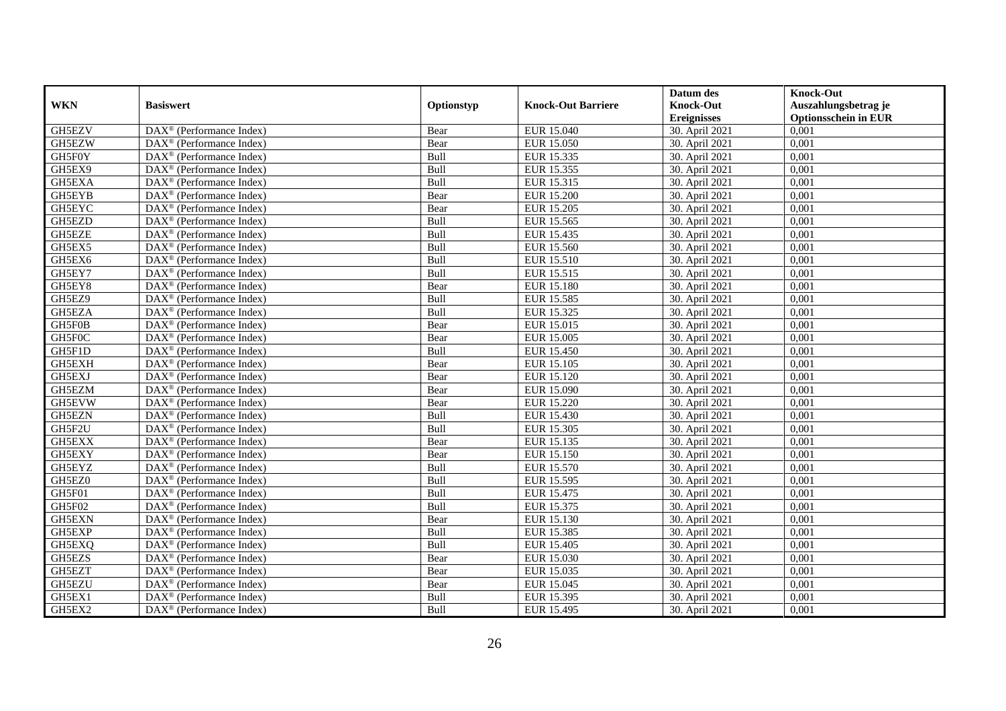|               |                                                              |            |                           | Datum des          | <b>Knock-Out</b>            |
|---------------|--------------------------------------------------------------|------------|---------------------------|--------------------|-----------------------------|
| <b>WKN</b>    | <b>Basiswert</b>                                             | Optionstyp | <b>Knock-Out Barriere</b> | <b>Knock-Out</b>   | Auszahlungsbetrag je        |
|               |                                                              |            |                           | <b>Ereignisses</b> | <b>Optionsschein in EUR</b> |
| GH5EZV        | DAX <sup>®</sup> (Performance Index)                         | Bear       | EUR 15.040                | 30. April 2021     | 0,001                       |
| GH5EZW        | $\text{DAX}^{\textcircled{p}}$ (Performance Index)           | Bear       | <b>EUR 15.050</b>         | 30. April 2021     | 0,001                       |
| GH5F0Y        | DAX <sup>®</sup> (Performance Index)                         | Bull       | EUR 15.335                | 30. April 2021     | 0,001                       |
| GH5EX9        | $\text{DAX}^{\otimes}$ (Performance Index)                   | Bull       | EUR 15.355                | 30. April 2021     | 0,001                       |
| GH5EXA        | DAX <sup>®</sup> (Performance Index)                         | Bull       | EUR 15.315                | 30. April 2021     | 0,001                       |
| GH5EYB        | $\text{DAX}^{\textcircled{n}}$ (Performance Index)           | Bear       | <b>EUR 15.200</b>         | 30. April 2021     | 0,001                       |
| GH5EYC        | $\text{DAX}^{\textcircled{n}}$ (Performance Index)           | Bear       | EUR 15.205                | 30. April 2021     | 0,001                       |
| GH5EZD        | $DAX^{\otimes}$ (Performance Index)                          | Bull       | EUR 15.565                | 30. April 2021     | 0,001                       |
| <b>GH5EZE</b> | $\text{DAX}^{\textcircled{D}}$ (Performance Index)           | Bull       | EUR 15.435                | 30. April 2021     | 0,001                       |
| GH5EX5        | $DAX^{\otimes}$ (Performance Index)                          | Bull       | <b>EUR 15.560</b>         | 30. April 2021     | 0,001                       |
| GH5EX6        | DAX <sup>®</sup> (Performance Index)                         | Bull       | EUR 15.510                | 30. April 2021     | 0,001                       |
| GH5EY7        | $\overline{\text{DAX}^{\otimes}}$ (Performance Index)        | Bull       | EUR 15.515                | 30. April 2021     | 0,001                       |
| GH5EY8        | $\text{DAX}^{\textcircled{n}}$ (Performance Index)           | Bear       | <b>EUR 15.180</b>         | 30. April 2021     | 0,001                       |
| GH5EZ9        | DAX <sup>®</sup> (Performance Index)                         | Bull       | EUR 15.585                | 30. April 2021     | 0,001                       |
| GH5EZA        | DAX <sup>®</sup> (Performance Index)                         | Bull       | EUR 15.325                | 30. April 2021     | 0,001                       |
| GH5F0B        | DAX <sup>®</sup> (Performance Index)                         | Bear       | EUR 15.015                | 30. April 2021     | 0,001                       |
| GH5F0C        | DAX <sup>®</sup> (Performance Index)                         | Bear       | EUR 15.005                | 30. April 2021     | 0,001                       |
| GH5F1D        | $\overline{\text{DAX}}^{\textcirc}$ (Performance Index)      | Bull       | EUR 15.450                | 30. April 2021     | 0,001                       |
| <b>GH5EXH</b> | $\overline{\text{DAX}}^{\textcircled{}}$ (Performance Index) | Bear       | EUR 15.105                | 30. April 2021     | 0,001                       |
| GH5EXJ        | DAX <sup>®</sup> (Performance Index)                         | Bear       | EUR 15.120                | 30. April 2021     | 0,001                       |
| GH5EZM        | DAX <sup>®</sup> (Performance Index)                         | Bear       | <b>EUR 15.090</b>         | 30. April 2021     | 0,001                       |
| GH5EVW        | $\overline{\text{DAX}^{\otimes}}$ (Performance Index)        | Bear       | <b>EUR 15.220</b>         | 30. April 2021     | 0,001                       |
| GH5EZN        | $\text{DAX}^{\circledast}$ (Performance Index)               | Bull       | EUR 15.430                | 30. April 2021     | 0,001                       |
| GH5F2U        | DAX <sup>®</sup> (Performance Index)                         | Bull       | EUR 15.305                | 30. April 2021     | 0,001                       |
| GH5EXX        | $\text{DAX}^{\textcircled{n}}$ (Performance Index)           | Bear       | EUR 15.135                | 30. April 2021     | 0,001                       |
| GH5EXY        | $\text{DAX}^{\otimes}$ (Performance Index)                   | Bear       | EUR 15.150                | 30. April 2021     | 0,001                       |
| GH5EYZ        | $\text{DAX}^{\circledast}$ (Performance Index)               | Bull       | EUR 15.570                | 30. April 2021     | 0,001                       |
| GH5EZ0        | $\text{DAX}^{\textcircled{D}}$ (Performance Index)           | Bull       | <b>EUR 15.595</b>         | 30. April 2021     | 0.001                       |
| GH5F01        | $\text{DAX}^{\textcircled{D}}$ (Performance Index)           | Bull       | EUR 15.475                | 30. April 2021     | 0,001                       |
| GH5F02        | $\text{DAX}^{\textcircled{D}}$ (Performance Index)           | Bull       | EUR 15.375                | 30. April 2021     | 0,001                       |
| <b>GH5EXN</b> | DAX <sup>®</sup> (Performance Index)                         | Bear       | EUR 15.130                | 30. April 2021     | 0,001                       |
| GH5EXP        | DAX <sup>®</sup> (Performance Index)                         | Bull       | <b>EUR 15.385</b>         | 30. April 2021     | 0.001                       |
| GH5EXQ        | $\overline{\text{DAX}^{\otimes}}$ (Performance Index)        | Bull       | <b>EUR 15.405</b>         | 30. April 2021     | 0,001                       |
| <b>GH5EZS</b> | DAX <sup>®</sup> (Performance Index)                         | Bear       | EUR 15.030                | 30. April 2021     | 0,001                       |
| GH5EZT        | $\text{DAX}^{\textcircled{n}}$ (Performance Index)           | Bear       | EUR 15.035                | 30. April 2021     | 0,001                       |
| GH5EZU        | $\text{DAX}^{\textcircled{n}}$ (Performance Index)           | Bear       | EUR 15.045                | 30. April 2021     | 0,001                       |
| GH5EX1        | $\text{DAX}^{\otimes}$ (Performance Index)                   | Bull       | EUR 15.395                | 30. April 2021     | 0,001                       |
| GH5EX2        | $\overline{\text{DAX}}^{\textcirc}$ (Performance Index)      | Bull       | EUR 15.495                | 30. April 2021     | 0,001                       |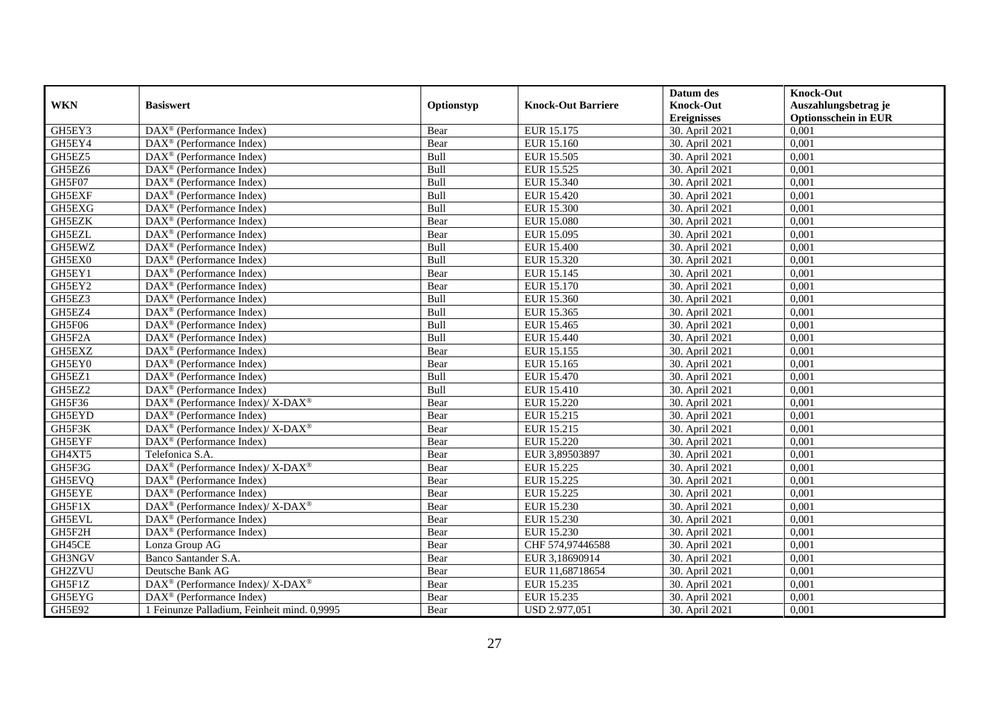|               |                                                                    |            |                           | Datum des          | <b>Knock-Out</b>            |
|---------------|--------------------------------------------------------------------|------------|---------------------------|--------------------|-----------------------------|
| <b>WKN</b>    | <b>Basiswert</b>                                                   | Optionstyp | <b>Knock-Out Barriere</b> | <b>Knock-Out</b>   | Auszahlungsbetrag je        |
|               |                                                                    |            |                           | <b>Ereignisses</b> | <b>Optionsschein in EUR</b> |
| GH5EY3        | DAX <sup>®</sup> (Performance Index)                               | Bear       | EUR 15.175                | 30. April 2021     | 0,001                       |
| GH5EY4        | $\text{DAX}^{\textcircled{n}}$ (Performance Index)                 | Bear       | EUR 15.160                | 30. April 2021     | 0,001                       |
| GH5EZ5        | DAX <sup>®</sup> (Performance Index)                               | Bull       | EUR 15.505                | 30. April 2021     | 0,001                       |
| GH5EZ6        | $\text{DAX}^{\otimes}$ (Performance Index)                         | Bull       | EUR 15.525                | 30. April 2021     | 0,001                       |
| GH5F07        | DAX <sup>®</sup> (Performance Index)                               | Bull       | EUR 15.340                | 30. April 2021     | 0,001                       |
| <b>GH5EXF</b> | $\text{DAX}^{\textcircled{p}}$ (Performance Index)                 | Bull       | EUR 15.420                | 30. April 2021     | 0,001                       |
| GH5EXG        | $DAX^{\otimes}$ (Performance Index)                                | Bull       | <b>EUR 15.300</b>         | 30. April 2021     | 0,001                       |
| GH5EZK        | DAX <sup>®</sup> (Performance Index)                               | Bear       | <b>EUR 15.080</b>         | 30. April 2021     | 0,001                       |
| GH5EZL        | $\text{DAX}^{\textcircled{n}}$ (Performance Index)                 | Bear       | EUR 15.095                | 30. April 2021     | 0,001                       |
| GH5EWZ        | $\text{DAX}^{\otimes}$ (Performance Index)                         | Bull       | <b>EUR 15.400</b>         | 30. April 2021     | 0,001                       |
| GH5EX0        | $\text{DAX}^{\textcircled{n}}$ (Performance Index)                 | Bull       | EUR 15.320                | 30. April 2021     | 0.001                       |
| GH5EY1        | DAX <sup>®</sup> (Performance Index)                               | Bear       | EUR 15.145                | 30. April 2021     | 0,001                       |
| GH5EY2        | DAX <sup>®</sup> (Performance Index)                               | Bear       | EUR 15.170                | 30. April 2021     | 0,001                       |
| GH5EZ3        | $\text{DAX}^{\textcircled{D}}$ (Performance Index)                 | Bull       | EUR 15.360                | 30. April 2021     | 0,001                       |
| GH5EZ4        | $\text{DAX}^{\otimes}$ (Performance Index)                         | Bull       | EUR 15.365                | 30. April 2021     | 0,001                       |
| GH5F06        | $\overline{\text{DAX}}^{\textcircled{}}$ (Performance Index)       | Bull       | EUR 15.465                | 30. April 2021     | 0,001                       |
| GH5F2A        | DAX <sup>®</sup> (Performance Index)                               | Bull       | EUR 15.440                | 30. April 2021     | 0,001                       |
| GH5EXZ        | $DAX^{\circledR}$ (Performance Index)                              | Bear       | EUR 15.155                | 30. April 2021     | 0,001                       |
| GH5EY0        | $\overline{\text{DAX}}^{\textcircled{}}$ (Performance Index)       | Bear       | EUR 15.165                | 30. April 2021     | 0,001                       |
| GH5EZ1        | DAX <sup>®</sup> (Performance Index)                               | Bull       | EUR 15.470                | 30. April 2021     | 0,001                       |
| GH5EZ2        | $\overline{\text{DAX}^{\otimes}}$ (Performance Index)              | Bull       | <b>EUR 15.410</b>         | 30. April 2021     | 0,001                       |
| GH5F36        | DAX <sup>®</sup> (Performance Index)/ X-DAX <sup>®</sup>           | Bear       | <b>EUR 15.220</b>         | 30. April 2021     | 0,001                       |
| GH5EYD        | DAX <sup>®</sup> (Performance Index)                               | Bear       | EUR 15.215                | 30. April 2021     | 0,001                       |
| GH5F3K        | DAX <sup>®</sup> (Performance Index)/ X-DAX <sup>®</sup>           | Bear       | EUR 15.215                | 30. April 2021     | 0,001                       |
| GH5EYF        | $DAX^{\circledR}$ (Performance Index)                              | Bear       | <b>EUR 15.220</b>         | 30. April 2021     | 0.001                       |
| GH4XT5        | Telefonica S.A.                                                    | Bear       | EUR 3,89503897            | 30. April 2021     | 0,001                       |
| GH5F3G        | DAX <sup>®</sup> (Performance Index)/ X-DAX <sup>®</sup>           | Bear       | EUR 15.225                | 30. April 2021     | 0,001                       |
| GH5EVQ        | $\text{DAX}^{\textcircled{p}}$ (Performance Index)                 | Bear       | <b>EUR 15.225</b>         | 30. April 2021     | 0,001                       |
| GH5EYE        | DAX <sup>®</sup> (Performance Index)                               | Bear       | <b>EUR 15.225</b>         | 30. April 2021     | 0,001                       |
| GH5F1X        | $\text{DAX}^{\circledast}$ (Performance Index)/ X-DAX <sup>®</sup> | Bear       | EUR 15.230                | 30. April 2021     | 0,001                       |
| GH5EVL        | $\text{DAX}^{\textcircled{n}}$ (Performance Index)                 | Bear       | EUR 15.230                | 30. April 2021     | 0,001                       |
| GH5F2H        | $\text{DAX}^{\circledast}$ (Performance Index)                     | Bear       | EUR 15.230                | 30. April 2021     | 0.001                       |
| GH45CE        | Lonza Group AG                                                     | Bear       | CHF 574,97446588          | 30. April 2021     | 0,001                       |
| GH3NGV        | Banco Santander S.A.                                               | Bear       | EUR 3,18690914            | 30. April 2021     | 0,001                       |
| <b>GH2ZVU</b> | Deutsche Bank AG                                                   | Bear       | EUR 11,68718654           | 30. April 2021     | 0,001                       |
| GH5F1Z        | DAX <sup>®</sup> (Performance Index)/ X-DAX <sup>®</sup>           | Bear       | EUR 15.235                | 30. April 2021     | 0,001                       |
| GH5EYG        | $\text{DAX}^{\circledast}$ (Performance Index)                     | Bear       | EUR 15.235                | 30. April 2021     | 0,001                       |
| GH5E92        | 1 Feinunze Palladium, Feinheit mind. 0,9995                        | Bear       | USD 2.977,051             | 30. April 2021     | 0,001                       |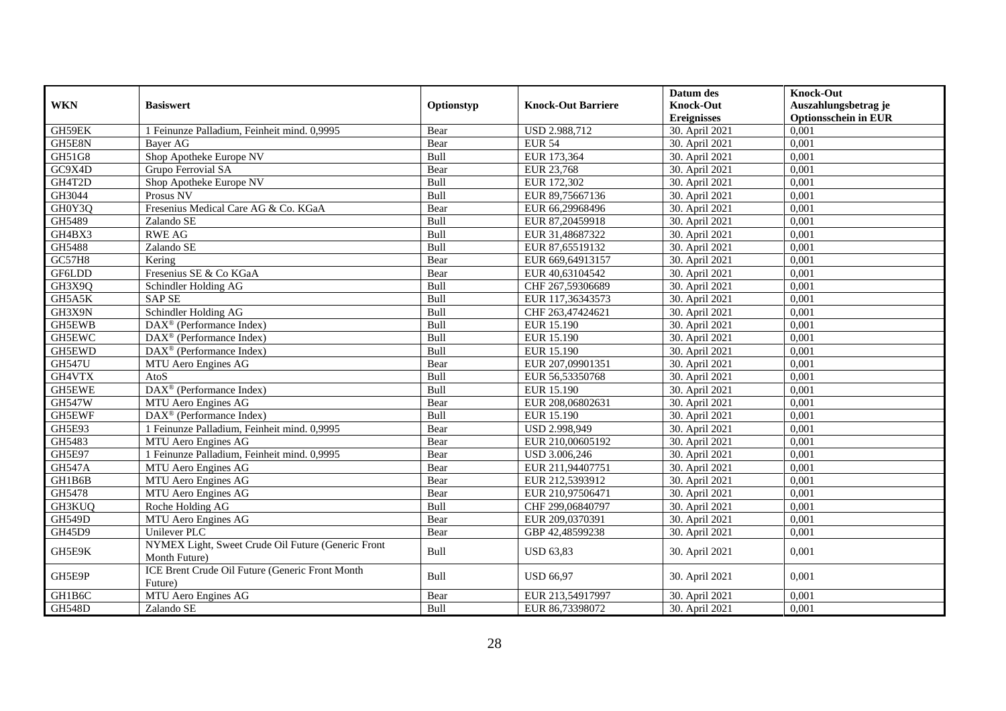| <b>WKN</b>    | <b>Basiswert</b>                                                    | Optionstyp | <b>Knock-Out Barriere</b> | Datum des<br><b>Knock-Out</b> | <b>Knock-Out</b><br>Auszahlungsbetrag je |
|---------------|---------------------------------------------------------------------|------------|---------------------------|-------------------------------|------------------------------------------|
|               |                                                                     |            |                           | <b>Ereignisses</b>            | <b>Optionsschein in EUR</b>              |
| GH59EK        | 1 Feinunze Palladium, Feinheit mind. 0,9995                         | Bear       | USD 2.988,712             | 30. April 2021                | 0,001                                    |
| GH5E8N        | Baver AG                                                            | Bear       | <b>EUR 54</b>             | 30. April 2021                | 0,001                                    |
| GH51G8        | Shop Apotheke Europe NV                                             | Bull       | EUR 173,364               | 30. April 2021                | 0,001                                    |
| GC9X4D        | Grupo Ferrovial SA                                                  | Bear       | EUR 23,768                | 30. April 2021                | 0,001                                    |
| GH4T2D        | Shop Apotheke Europe NV                                             | Bull       | EUR 172,302               | 30. April 2021                | 0,001                                    |
| GH3044        | Prosus NV                                                           | Bull       | EUR 89,75667136           | 30. April 2021                | 0,001                                    |
| GH0Y3Q        | Fresenius Medical Care AG & Co. KGaA                                | Bear       | EUR 66,29968496           | 30. April 2021                | 0,001                                    |
| GH5489        | Zalando SE                                                          | Bull       | EUR 87,20459918           | 30. April 2021                | 0,001                                    |
| GH4BX3        | <b>RWE AG</b>                                                       | Bull       | EUR 31,48687322           | 30. April 2021                | 0,001                                    |
| GH5488        | Zalando SE                                                          | Bull       | EUR 87,65519132           | 30. April 2021                | 0,001                                    |
| GC57H8        | Kering                                                              | Bear       | EUR 669,64913157          | 30. April 2021                | 0,001                                    |
| GF6LDD        | Fresenius SE & Co KGaA                                              | Bear       | EUR 40,63104542           | 30. April 2021                | 0,001                                    |
| GH3X9Q        | Schindler Holding AG                                                | Bull       | CHF 267,59306689          | 30. April 2021                | 0,001                                    |
| GH5A5K        | <b>SAP SE</b>                                                       | Bull       | EUR 117,36343573          | 30. April 2021                | 0,001                                    |
| GH3X9N        | Schindler Holding AG                                                | Bull       | CHF 263,47424621          | 30. April 2021                | 0,001                                    |
| GH5EWB        | DAX <sup>®</sup> (Performance Index)                                | Bull       | EUR 15.190                | 30. April 2021                | 0,001                                    |
| GH5EWC        | DAX <sup>®</sup> (Performance Index)                                | Bull       | EUR 15.190                | 30. April 2021                | 0,001                                    |
| GH5EWD        | DAX <sup>®</sup> (Performance Index)                                | Bull       | EUR 15.190                | 30. April 2021                | 0,001                                    |
| <b>GH547U</b> | MTU Aero Engines AG                                                 | Bear       | EUR 207,09901351          | 30. April 2021                | 0,001                                    |
| GH4VTX        | AtoS                                                                | Bull       | EUR 56,53350768           | 30. April 2021                | 0,001                                    |
| GH5EWE        | DAX <sup>®</sup> (Performance Index)                                | Bull       | EUR 15.190                | 30. April 2021                | 0,001                                    |
| <b>GH547W</b> | MTU Aero Engines AG                                                 | Bear       | EUR 208,06802631          | 30. April 2021                | 0.001                                    |
| GH5EWF        | DAX <sup>®</sup> (Performance Index)                                | Bull       | EUR 15.190                | 30. April 2021                | 0,001                                    |
| GH5E93        | 1 Feinunze Palladium, Feinheit mind. 0,9995                         | Bear       | USD 2.998,949             | 30. April 2021                | 0,001                                    |
| GH5483        | MTU Aero Engines AG                                                 | Bear       | EUR 210,00605192          | 30. April 2021                | 0,001                                    |
| GH5E97        | 1 Feinunze Palladium, Feinheit mind. 0,9995                         | Bear       | USD 3.006,246             | 30. April 2021                | 0,001                                    |
| <b>GH547A</b> | MTU Aero Engines AG                                                 | Bear       | EUR 211,94407751          | 30. April 2021                | 0,001                                    |
| GH1B6B        | MTU Aero Engines AG                                                 | Bear       | EUR 212,5393912           | 30. April 2021                | 0,001                                    |
| GH5478        | MTU Aero Engines AG                                                 | Bear       | EUR 210,97506471          | 30. April 2021                | 0,001                                    |
| GH3KUQ        | Roche Holding AG                                                    | Bull       | CHF 299,06840797          | 30. April 2021                | 0.001                                    |
| <b>GH549D</b> | MTU Aero Engines AG                                                 | Bear       | EUR 209,0370391           | 30. April 2021                | 0,001                                    |
| GH45D9        | <b>Unilever PLC</b>                                                 | Bear       | GBP 42,48599238           | 30. April 2021                | 0,001                                    |
| GH5E9K        | NYMEX Light, Sweet Crude Oil Future (Generic Front<br>Month Future) | Bull       | <b>USD 63,83</b>          | 30. April 2021                | 0,001                                    |
| GH5E9P        | ICE Brent Crude Oil Future (Generic Front Month<br>Future)          | Bull       | <b>USD 66,97</b>          | 30. April 2021                | 0,001                                    |
| GH1B6C        | MTU Aero Engines AG                                                 | Bear       | EUR 213,54917997          | 30. April 2021                | 0,001                                    |
| <b>GH548D</b> | Zalando SE                                                          | Bull       | EUR 86,73398072           | 30. April 2021                | 0,001                                    |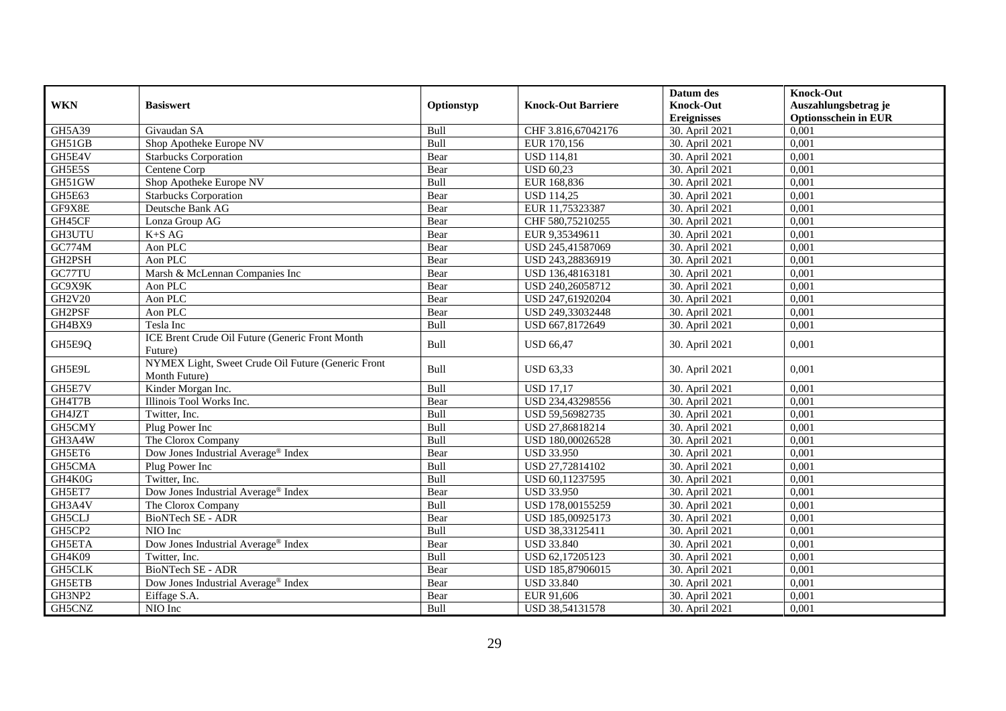|               |                                                                     |            |                           | Datum des                              | <b>Knock-Out</b>                                    |
|---------------|---------------------------------------------------------------------|------------|---------------------------|----------------------------------------|-----------------------------------------------------|
| <b>WKN</b>    | <b>Basiswert</b>                                                    | Optionstyp | <b>Knock-Out Barriere</b> | <b>Knock-Out</b><br><b>Ereignisses</b> | Auszahlungsbetrag je<br><b>Optionsschein in EUR</b> |
| GH5A39        | Givaudan SA                                                         | Bull       | CHF 3.816,67042176        | 30. April 2021                         | 0,001                                               |
| GH51GB        | Shop Apotheke Europe NV                                             | Bull       | EUR 170,156               | 30. April 2021                         | 0,001                                               |
| GH5E4V        | <b>Starbucks Corporation</b>                                        | Bear       | <b>USD 114,81</b>         | 30. April 2021                         | 0,001                                               |
| GH5E5S        | Centene Corp                                                        | Bear       | <b>USD 60,23</b>          | 30. April 2021                         | 0,001                                               |
| GH51GW        | Shop Apotheke Europe NV                                             | Bull       | EUR 168,836               | 30. April 2021                         | 0,001                                               |
| GH5E63        | <b>Starbucks Corporation</b>                                        | Bear       | <b>USD 114,25</b>         | 30. April 2021                         | 0,001                                               |
| GF9X8E        | Deutsche Bank AG                                                    | Bear       | EUR 11,75323387           | 30. April 2021                         | 0,001                                               |
| GH45CF        | Lonza Group AG                                                      | Bear       | CHF 580,75210255          | 30. April 2021                         | 0,001                                               |
| GH3UTU        | $K+SAG$                                                             | Bear       | EUR 9,35349611            | 30. April 2021                         | 0.001                                               |
| GC774M        | Aon PLC                                                             | Bear       | USD 245,41587069          | 30. April 2021                         | 0,001                                               |
| GH2PSH        | Aon PLC                                                             | Bear       | USD 243,28836919          | 30. April 2021                         | 0,001                                               |
| GC77TU        | Marsh & McLennan Companies Inc                                      | Bear       | USD 136,48163181          | 30. April 2021                         | 0,001                                               |
| GC9X9K        | Aon PLC                                                             | Bear       | USD 240,26058712          | 30. April 2021                         | 0,001                                               |
| GH2V20        | Aon PLC                                                             | Bear       | USD 247,61920204          | 30. April 2021                         | 0,001                                               |
| GH2PSF        | Aon PLC                                                             | Bear       | USD 249,33032448          | 30. April 2021                         | 0,001                                               |
| GH4BX9        | Tesla Inc                                                           | Bull       | USD 667,8172649           | 30. April 2021                         | 0,001                                               |
| GH5E9Q        | ICE Brent Crude Oil Future (Generic Front Month<br>Future)          | Bull       | <b>USD 66,47</b>          | 30. April 2021                         | 0,001                                               |
| GH5E9L        | NYMEX Light, Sweet Crude Oil Future (Generic Front<br>Month Future) | Bull       | <b>USD 63,33</b>          | 30. April 2021                         | 0,001                                               |
| GH5E7V        | Kinder Morgan Inc.                                                  | Bull       | <b>USD 17,17</b>          | 30. April 2021                         | 0.001                                               |
| GH4T7B        | Illinois Tool Works Inc.                                            | Bear       | USD 234,43298556          | 30. April 2021                         | 0,001                                               |
| GH4JZT        | Twitter, Inc.                                                       | Bull       | USD 59,56982735           | 30. April 2021                         | 0,001                                               |
| GH5CMY        | Plug Power Inc                                                      | Bull       | USD 27,86818214           | 30. April 2021                         | 0,001                                               |
| GH3A4W        | The Clorox Company                                                  | Bull       | USD 180,00026528          | 30. April 2021                         | 0,001                                               |
| GH5ET6        | Dow Jones Industrial Average <sup>®</sup> Index                     | Bear       | <b>USD 33.950</b>         | 30. April 2021                         | 0,001                                               |
| GH5CMA        | Plug Power Inc                                                      | Bull       | USD 27,72814102           | 30. April 2021                         | 0.001                                               |
| GH4K0G        | Twitter, Inc.                                                       | Bull       | USD 60,11237595           | 30. April 2021                         | 0,001                                               |
| GH5ET7        | Dow Jones Industrial Average® Index                                 | Bear       | <b>USD 33.950</b>         | 30. April 2021                         | 0,001                                               |
| GH3A4V        | The Clorox Company                                                  | Bull       | USD 178,00155259          | 30. April 2021                         | 0,001                                               |
| GH5CLJ        | BioNTech SE - ADR                                                   | Bear       | USD 185,00925173          | 30. April 2021                         | 0,001                                               |
| GH5CP2        | NIO Inc                                                             | Bull       | USD 38,33125411           | 30. April 2021                         | 0,001                                               |
| <b>GH5ETA</b> | Dow Jones Industrial Average <sup>®</sup> Index                     | Bear       | USD 33.840                | 30. April 2021                         | 0.001                                               |
| GH4K09        | Twitter, Inc.                                                       | Bull       | USD 62,17205123           | 30. April 2021                         | 0,001                                               |
| <b>GH5CLK</b> | <b>BioNTech SE - ADR</b>                                            | Bear       | USD 185,87906015          | 30. April 2021                         | 0,001                                               |
| GH5ETB        | Dow Jones Industrial Average <sup>®</sup> Index                     | Bear       | <b>USD 33.840</b>         | 30. April 2021                         | 0,001                                               |
| GH3NP2        | Eiffage S.A.                                                        | Bear       | EUR 91,606                | 30. April 2021                         | 0,001                                               |
| GH5CNZ        | NIO Inc                                                             | Bull       | USD 38,54131578           | 30. April 2021                         | 0,001                                               |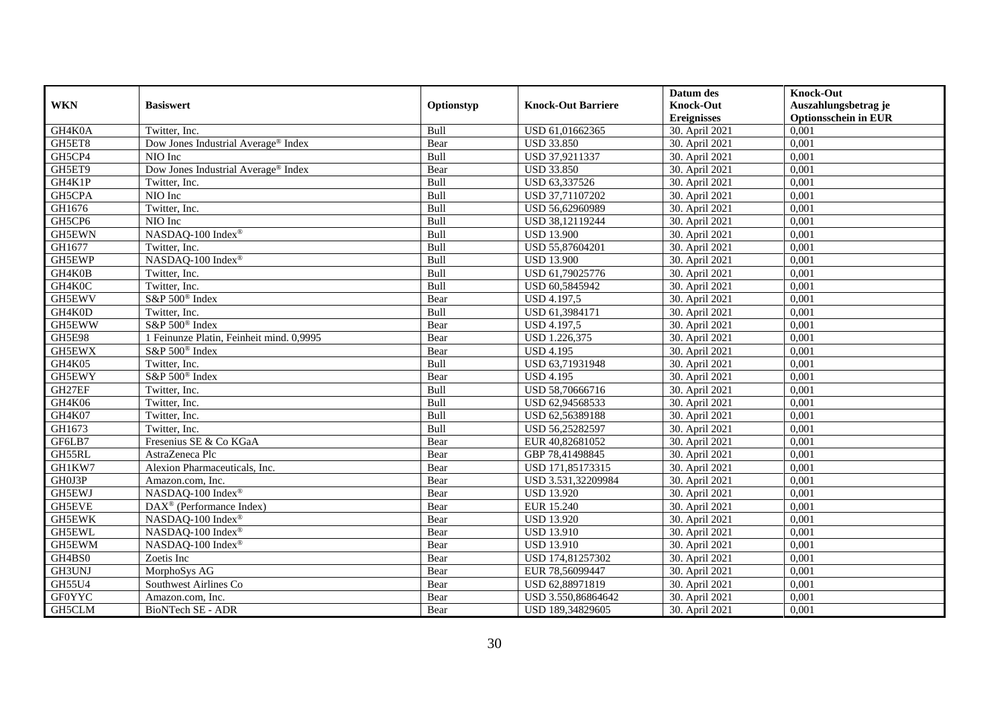|               |                                          |            |                           | Datum des                              | <b>Knock-Out</b>                                    |
|---------------|------------------------------------------|------------|---------------------------|----------------------------------------|-----------------------------------------------------|
| <b>WKN</b>    | <b>Basiswert</b>                         | Optionstyp | <b>Knock-Out Barriere</b> | <b>Knock-Out</b><br><b>Ereignisses</b> | Auszahlungsbetrag je<br><b>Optionsschein in EUR</b> |
| GH4K0A        | Twitter, Inc.                            | Bull       | USD 61,01662365           | 30. April 2021                         | 0,001                                               |
| GH5ET8        | Dow Jones Industrial Average® Index      | Bear       | <b>USD 33.850</b>         | 30. April 2021                         | 0,001                                               |
| GH5CP4        | NIO Inc                                  | Bull       | USD 37,9211337            | 30. April 2021                         | 0,001                                               |
| GH5ET9        | Dow Jones Industrial Average® Index      | Bear       | <b>USD 33.850</b>         | 30. April 2021                         | 0,001                                               |
| GH4K1P        | Twitter, Inc.                            | Bull       | USD 63,337526             | 30. April 2021                         | 0,001                                               |
| GH5CPA        | NIO Inc                                  | Bull       | USD 37,71107202           | 30. April 2021                         | 0,001                                               |
| GH1676        | Twitter, Inc.                            | Bull       | USD 56,62960989           | 30. April 2021                         | 0,001                                               |
| GH5CP6        | NIO Inc                                  | Bull       | USD 38,12119244           | 30. April 2021                         | 0,001                                               |
| GH5EWN        | NASDAQ-100 Index®                        | Bull       | <b>USD 13.900</b>         | 30. April 2021                         | 0,001                                               |
| GH1677        | Twitter, Inc.                            | Bull       | USD 55,87604201           | 30. April 2021                         | 0,001                                               |
| GH5EWP        | NASDAQ-100 Index®                        | Bull       | <b>USD 13.900</b>         | 30. April 2021                         | 0,001                                               |
| GH4K0B        | Twitter, Inc.                            | Bull       | USD 61,79025776           | 30. April 2021                         | 0,001                                               |
| GH4K0C        | Twitter, Inc.                            | Bull       | USD 60,5845942            | 30. April 2021                         | 0,001                                               |
| GH5EWV        | S&P 500 <sup>®</sup> Index               | Bear       | <b>USD 4.197,5</b>        | 30. April 2021                         | 0,001                                               |
| GH4K0D        | Twitter, Inc.                            | Bull       | USD 61,3984171            | 30. April 2021                         | 0,001                                               |
| GH5EWW        | S&P 500 <sup>®</sup> Index               | Bear       | $USD\,4.197,5$            | 30. April 2021                         | 0,001                                               |
| <b>GH5E98</b> | 1 Feinunze Platin, Feinheit mind. 0,9995 | Bear       | USD 1.226,375             | 30. April 2021                         | 0,001                                               |
| GH5EWX        | $S\&P 500^{\circ}$ Index                 | Bear       | <b>USD 4.195</b>          | 30. April 2021                         | 0,001                                               |
| GH4K05        | Twitter, Inc.                            | Bull       | USD 63,71931948           | 30. April 2021                         | 0,001                                               |
| GH5EWY        | S&P 500 <sup>®</sup> Index               | Bear       | <b>USD 4.195</b>          | 30. April 2021                         | 0,001                                               |
| GH27EF        | Twitter, Inc.                            | Bull       | USD 58,70666716           | 30. April 2021                         | 0,001                                               |
| GH4K06        | Twitter, Inc.                            | Bull       | USD 62,94568533           | 30. April 2021                         | 0,001                                               |
| GH4K07        | Twitter, Inc.                            | Bull       | USD 62,56389188           | 30. April 2021                         | 0,001                                               |
| GH1673        | Twitter, Inc.                            | Bull       | USD 56,25282597           | 30. April 2021                         | 0,001                                               |
| GF6LB7        | Fresenius SE & Co KGaA                   | Bear       | EUR 40,82681052           | 30. April 2021                         | 0,001                                               |
| GH55RL        | AstraZeneca Plc                          | Bear       | GBP 78,41498845           | 30. April 2021                         | 0,001                                               |
| GH1KW7        | Alexion Pharmaceuticals, Inc.            | Bear       | USD 171,85173315          | 30. April 2021                         | 0,001                                               |
| GH0J3P        | Amazon.com, Inc.                         | Bear       | USD 3.531,32209984        | 30. April 2021                         | 0,001                                               |
| GH5EWJ        | NASDAQ-100 Index®                        | Bear       | <b>USD 13.920</b>         | 30. April 2021                         | 0,001                                               |
| GH5EVE        | DAX <sup>®</sup> (Performance Index)     | Bear       | EUR 15.240                | 30. April 2021                         | 0,001                                               |
| GH5EWK        | NASDAQ-100 Index®                        | Bear       | <b>USD 13.920</b>         | 30. April 2021                         | 0,001                                               |
| GH5EWL        | NASDAQ-100 Index®                        | Bear       | <b>USD 13.910</b>         | 30. April 2021                         | 0,001                                               |
| GH5EWM        | NASDAQ-100 Index®                        | Bear       | <b>USD 13.910</b>         | 30. April 2021                         | 0,001                                               |
| GH4BS0        | Zoetis Inc                               | Bear       | USD 174,81257302          | 30. April 2021                         | 0,001                                               |
| GH3UNJ        | MorphoSys AG                             | Bear       | EUR 78,56099447           | 30. April 2021                         | 0,001                                               |
| GH55U4        | Southwest Airlines Co                    | Bear       | USD 62,88971819           | 30. April 2021                         | 0,001                                               |
| <b>GF0YYC</b> | Amazon.com, Inc.                         | Bear       | USD 3.550,86864642        | 30. April 2021                         | 0,001                                               |
| GH5CLM        | BioNTech SE - ADR                        | Bear       | USD 189,34829605          | 30. April 2021                         | 0,001                                               |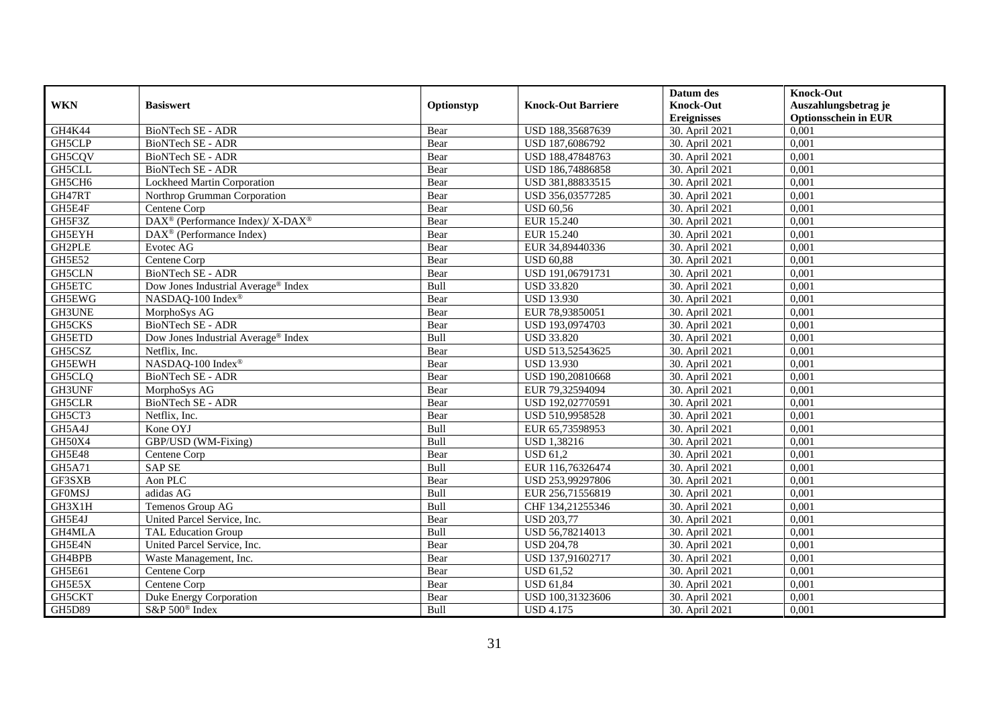|               |                                                          |            |                           | Datum des          | <b>Knock-Out</b>            |
|---------------|----------------------------------------------------------|------------|---------------------------|--------------------|-----------------------------|
| <b>WKN</b>    | <b>Basiswert</b>                                         | Optionstyp | <b>Knock-Out Barriere</b> | <b>Knock-Out</b>   | Auszahlungsbetrag je        |
|               |                                                          |            |                           | <b>Ereignisses</b> | <b>Optionsschein in EUR</b> |
| GH4K44        | BioNTech SE - ADR                                        | Bear       | USD 188,35687639          | 30. April 2021     | 0,001                       |
| <b>GH5CLP</b> | BioNTech SE - ADR                                        | Bear       | USD 187,6086792           | 30. April 2021     | 0,001                       |
| GH5CQV        | BioNTech SE - ADR                                        | Bear       | USD 188,47848763          | 30. April 2021     | 0,001                       |
| GH5CLL        | BioNTech SE - ADR                                        | Bear       | USD 186,74886858          | 30. April 2021     | 0,001                       |
| GH5CH6        | Lockheed Martin Corporation                              | Bear       | USD 381,88833515          | 30. April 2021     | 0,001                       |
| GH47RT        | Northrop Grumman Corporation                             | Bear       | USD 356,03577285          | 30. April 2021     | 0,001                       |
| GH5E4F        | Centene Corp                                             | Bear       | <b>USD 60.56</b>          | 30. April 2021     | 0,001                       |
| GH5F3Z        | DAX <sup>®</sup> (Performance Index)/ X-DAX <sup>®</sup> | Bear       | EUR 15.240                | 30. April 2021     | 0,001                       |
| GH5EYH        | DAX <sup>®</sup> (Performance Index)                     | Bear       | <b>EUR 15.240</b>         | 30. April 2021     | 0,001                       |
| GH2PLE        | Evotec AG                                                | Bear       | EUR 34,89440336           | 30. April 2021     | 0,001                       |
| <b>GH5E52</b> | Centene Corp                                             | Bear       | <b>USD 60,88</b>          | 30. April 2021     | 0,001                       |
| GH5CLN        | BioNTech SE - ADR                                        | Bear       | USD 191,06791731          | 30. April 2021     | 0,001                       |
| <b>GH5ETC</b> | Dow Jones Industrial Average® Index                      | Bull       | <b>USD 33.820</b>         | 30. April 2021     | 0,001                       |
| GH5EWG        | NASDAO-100 Index <sup>®</sup>                            | Bear       | <b>USD 13.930</b>         | 30. April 2021     | 0.001                       |
| GH3UNE        | MorphoSys AG                                             | Bear       | EUR 78,93850051           | 30. April 2021     | 0,001                       |
| <b>GH5CKS</b> | <b>BioNTech SE - ADR</b>                                 | Bear       | USD 193,0974703           | 30. April 2021     | 0,001                       |
| GH5ETD        | Dow Jones Industrial Average® Index                      | Bull       | <b>USD 33.820</b>         | 30. April 2021     | 0,001                       |
| GH5CSZ        | Netflix, Inc.                                            | Bear       | USD 513,52543625          | 30. April 2021     | 0,001                       |
| <b>GH5EWH</b> | NASDAQ-100 Index®                                        | Bear       | <b>USD 13.930</b>         | 30. April 2021     | 0,001                       |
| GH5CLQ        | BioNTech SE - ADR                                        | Bear       | USD 190,20810668          | 30. April 2021     | 0,001                       |
| GH3UNF        | MorphoSys AG                                             | Bear       | EUR 79,32594094           | 30. April 2021     | 0,001                       |
| <b>GH5CLR</b> | <b>BioNTech SE - ADR</b>                                 | Bear       | USD 192,02770591          | 30. April 2021     | 0,001                       |
| GH5CT3        | Netflix, Inc.                                            | Bear       | USD 510,9958528           | 30. April 2021     | 0,001                       |
| GH5A4J        | Kone OYJ                                                 | Bull       | EUR 65,73598953           | 30. April 2021     | 0,001                       |
| GH50X4        | GBP/USD (WM-Fixing)                                      | Bull       | USD 1,38216               | 30. April 2021     | 0,001                       |
| <b>GH5E48</b> | Centene Corp                                             | Bear       | <b>USD 61,2</b>           | 30. April 2021     | 0,001                       |
| <b>GH5A71</b> | <b>SAP SE</b>                                            | Bull       | EUR 116,76326474          | 30. April 2021     | 0,001                       |
| GF3SXB        | Aon PLC                                                  | Bear       | USD 253,99297806          | 30. April 2021     | 0,001                       |
| <b>GFOMSJ</b> | adidas AG                                                | Bull       | EUR 256,71556819          | 30. April 2021     | 0,001                       |
| GH3X1H        | Temenos Group AG                                         | Bull       | CHF 134,21255346          | 30. April 2021     | 0,001                       |
| GH5E4J        | United Parcel Service, Inc.                              | Bear       | <b>USD 203,77</b>         | 30. April 2021     | 0,001                       |
| GH4MLA        | TAL Education Group                                      | Bull       | USD 56,78214013           | 30. April 2021     | 0,001                       |
| GH5E4N        | United Parcel Service, Inc.                              | Bear       | <b>USD 204,78</b>         | 30. April 2021     | 0,001                       |
| GH4BPB        | Waste Management, Inc.                                   | Bear       | USD 137,91602717          | 30. April 2021     | 0,001                       |
| GH5E61        | Centene Corp                                             | Bear       | <b>USD 61,52</b>          | 30. April 2021     | 0,001                       |
| GH5E5X        | Centene Corp                                             | Bear       | <b>USD 61,84</b>          | 30. April 2021     | 0,001                       |
| GH5CKT        | Duke Energy Corporation                                  | Bear       | USD 100,31323606          | 30. April 2021     | 0,001                       |
| <b>GH5D89</b> | S&P 500 <sup>®</sup> Index                               | Bull       | <b>USD 4.175</b>          | 30. April 2021     | 0,001                       |